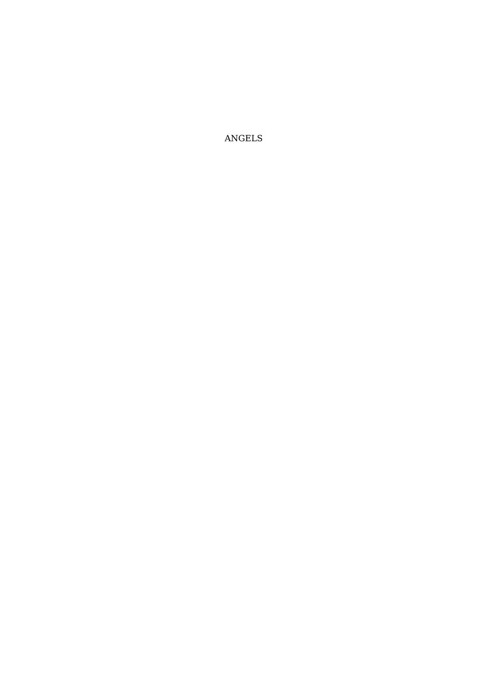ANGELS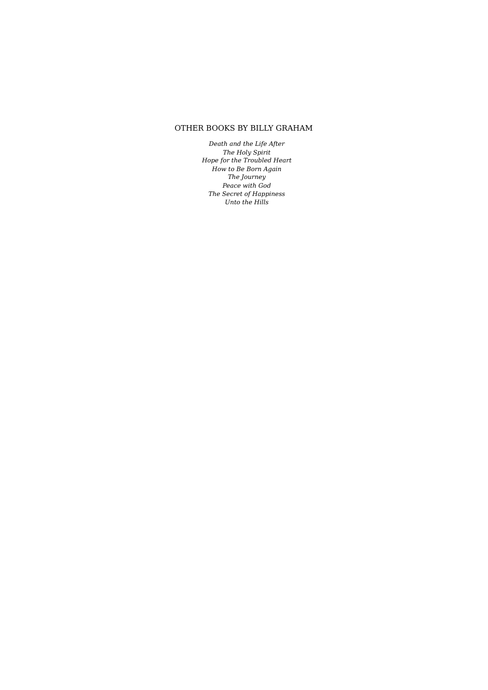# OTHER BOOKS BY BILLY GRAHAM

*Death and the Life After The Holy Spirit Hope for the Troubled Heart How to Be Born Again The Journey Peace with God The Secret of Happiness Unto the Hills*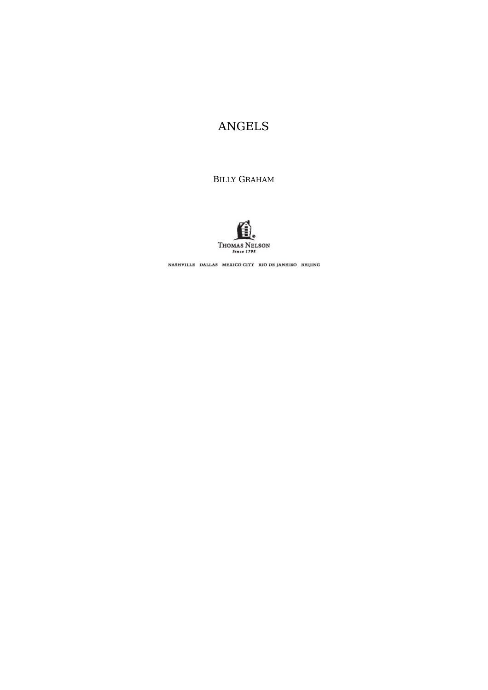# ANGELS

BILLY GRAHAM



NASHVILLE DALLAS MEXICO CITY RIO DE JANEIRO BEIJING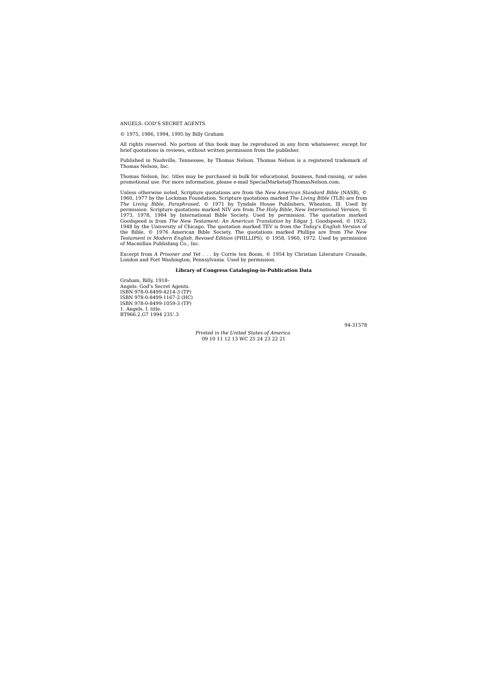ANGELS: GOD'S SECRET AGENTS

© 1975, 1986, 1994, 1995 by Billy Graham

All rights reserved. No portion of this book may be reproduced in any form whatsoever, except for brief quotations in reviews, without written permission from the publisher.

Published in Nashville, Tennessee, by Thomas Nelson. Thomas Nelson is a registered trademark of Thomas Nelson, Inc.

Thomas Nelson, Inc. titles may be purchased in bulk for educational, business, fund-raising, or sales promotional use. For more information, please e-mail SpecialMarkets@ThomasNelson.com.

Unless otherwise noted, Scripture quotations are from the New American Standard Bible (NASB), © 1960, 1977 by the Lockman Foundation. Scripture quotations marked The Living Bible (TLB) are from the Hill and The Living Bib

Excerpt from *A Prisoner and Yet . . .* by Corrie ten Boom, © 1954 by Christian Literature Crusade, London and Fort Washington, Pennsylvania. Used by permission.

#### **Library of Congress Cataloging-in-Publication Data**

Graham, Billy, 1918– Angels: God's Secret Agents. ISBN 978-0-8499-4214-3 (TP) ISBN 978-0-8499-1167-2 (HC) ISBN 978-0-8499-1059-3 (TP) 1. Angels. I. title. BT966.2.G7 1994 235'.3

94-31578

*Printed in the United States of America* 09 10 11 12 13 WC 25 24 23 22 21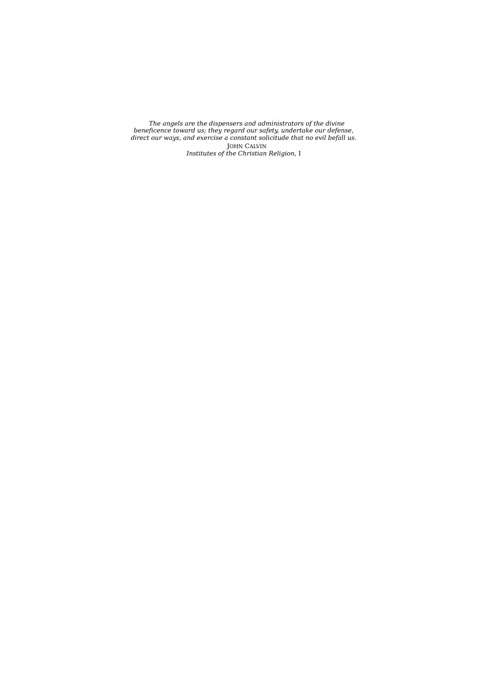*The angels are the dispensers and administrators of the divine beneficence toward us; they regard our safety, undertake our defense, direct our ways, and exercise a constant solicitude that no evil befall us.* JOHN CALVIN *Institutes of the Christian Religion*, I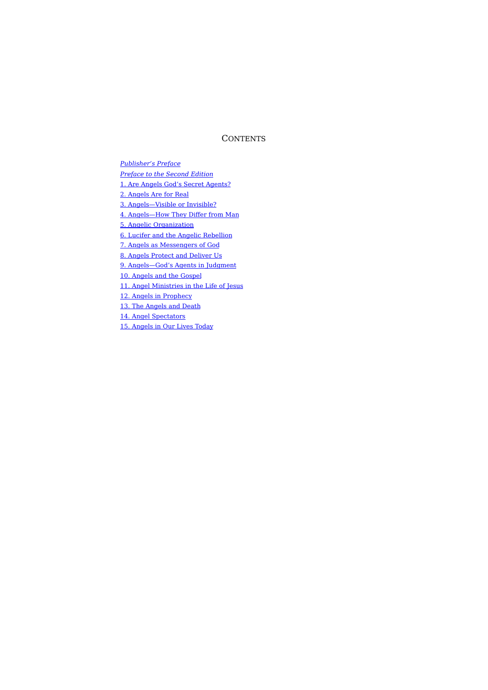# **CONTENTS**

*Publisher's Preface*

*Preface to the Second Edition*

1. Are Angels God's Secret Agents?

2. Angels Are for Real

3. Angels—Visible or Invisible?

4. Angels—How They Differ from Man

5. Angelic Organization

6. Lucifer and the Angelic Rebellion

7. Angels as Messengers of God

8. Angels Protect and Deliver Us

9. Angels—God's Agents in Judgment

10. Angels and the Gospel

11. Angel Ministries in the Life of Jesus

12. Angels in Prophecy

13. The Angels and Death

14. Angel Spectators

15. Angels in Our Lives Today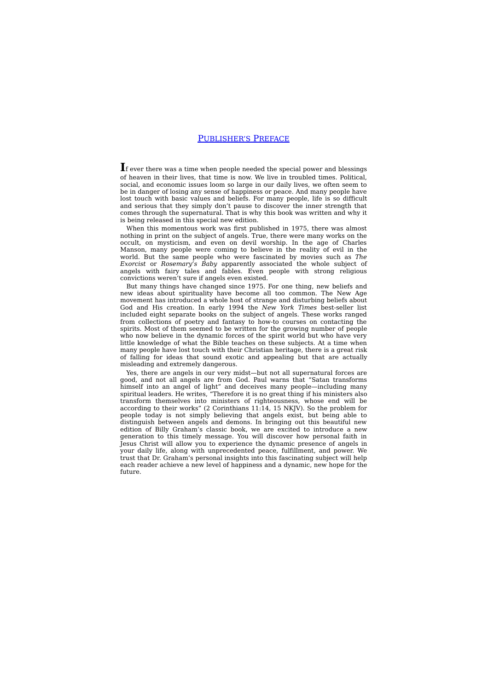## PUBLISHER'S PREFACE

**I**<sup>f</sup> ever there was <sup>a</sup> time when people needed the special power and blessings of heaven in their lives, that time is now. We live in troubled times. Political, social, and economic issues loom so large in our daily lives, we often seem to be in danger of losing any sense of happiness or peace. And many people have lost touch with basic values and beliefs. For many people, life is so difficult and serious that they simply don't pause to discover the inner strength that comes through the supernatural. That is why this book was written and why it is being released in this special new edition.

When this momentous work was first published in 1975, there was almost nothing in print on the subject of angels. True, there were many works on the occult, on mysticism, and even on devil worship. In the age of Charles Manson, many people were coming to believe in the reality of evil in the world. But the same people who were fascinated by movies such as *The Exorcist* or *Rosemary's Baby* apparently associated the whole subject of angels with fairy tales and fables. Even people with strong religious convictions weren't sure if angels even existed.

But many things have changed since 1975. For one thing, new beliefs and new ideas about spirituality have become all too common. The New Age movement has introduced a whole host of strange and disturbing beliefs about God and His creation. In early 1994 the *New York Times* best-seller list included eight separate books on the subject of angels. These works ranged from collections of poetry and fantasy to how-to courses on contacting the spirits. Most of them seemed to be written for the growing number of people who now believe in the dynamic forces of the spirit world but who have very little knowledge of what the Bible teaches on these subjects. At a time when many people have lost touch with their Christian heritage, there is a great risk of falling for ideas that sound exotic and appealing but that are actually misleading and extremely dangerous.

Yes, there are angels in our very midst—but not all supernatural forces are good, and not all angels are from God. Paul warns that "Satan transforms himself into an angel of light" and deceives many people—including many spiritual leaders. He writes, "Therefore it is no great thing if his ministers also transform themselves into ministers of righteousness, whose end will be according to their works" (2 Corinthians 11:14, 15 NKJV). So the problem for people today is not simply believing that angels exist, but being able to distinguish between angels and demons. In bringing out this beautiful new edition of Billy Graham's classic book, we are excited to introduce a new generation to this timely message. You will discover how personal faith in Jesus Christ will allow you to experience the dynamic presence of angels in your daily life, along with unprecedented peace, fulfillment, and power. We trust that Dr. Graham's personal insights into this fascinating subject will help each reader achieve a new level of happiness and a dynamic, new hope for the future.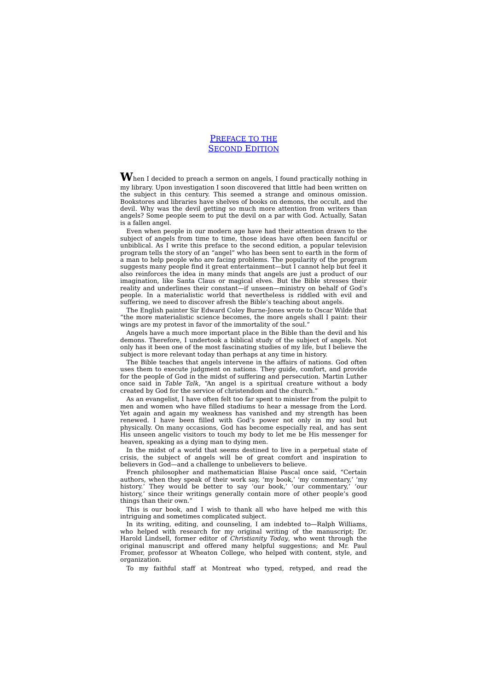## PREFACE TO THE SECOND EDITION

 $\mathbf{W}$ hen I decided to preach a sermon on angels, I found practically nothing in my library. Upon investigation I soon discovered that little had been written on the subject in this century. This seemed a strange and ominous omission. Bookstores and libraries have shelves of books on demons, the occult, and the devil. Why was the devil getting so much more attention from writers than angels? Some people seem to put the devil on a par with God. Actually, Satan is a fallen angel.

Even when people in our modern age have had their attention drawn to the subject of angels from time to time, those ideas have often been fanciful or unbiblical. As I write this preface to the second edition, a popular television program tells the story of an "angel" who has been sent to earth in the form of a man to help people who are facing problems. The popularity of the program suggests many people find it great entertainment—but I cannot help but feel it also reinforces the idea in many minds that angels are just a product of our imagination, like Santa Claus or magical elves. But the Bible stresses their reality and underlines their constant—if unseen—ministry on behalf of God's people. In a materialistic world that nevertheless is riddled with evil and suffering, we need to discover afresh the Bible's teaching about angels.

The English painter Sir Edward Coley Burne-Jones wrote to Oscar Wilde that "the more materialistic science becomes, the more angels shall I paint: their wings are my protest in favor of the immortality of the soul."

Angels have a much more important place in the Bible than the devil and his demons. Therefore, I undertook a biblical study of the subject of angels. Not only has it been one of the most fascinating studies of my life, but I believe the subject is more relevant today than perhaps at any time in history.

The Bible teaches that angels intervene in the affairs of nations. God often uses them to execute judgment on nations. They guide, comfort, and provide for the people of God in the midst of suffering and persecution. Martin Luther once said in *Table Talk*, "An angel is a spiritual creature without a body created by God for the service of christendom and the church.

As an evangelist, I have often felt too far spent to minister from the pulpit to men and women who have filled stadiums to hear a message from the Lord. Yet again and again my weakness has vanished and my strength has been renewed. I have been filled with God's power not only in my soul but physically. On many occasions, God has become especially real, and has sent His unseen angelic visitors to touch my body to let me be His messenger for heaven, speaking as a dying man to dying men.

In the midst of a world that seems destined to live in a perpetual state of crisis, the subject of angels will be of great comfort and inspiration to believers in God—and a challenge to unbelievers to believe.

French philosopher and mathematician Blaise Pascal once said, "Certain authors, when they speak of their work say, 'my book,' 'my commentary,' 'my history.' They would be better to say 'our book,' 'our commentary,' 'our history.' They would be better to say 'our book,' 'our commentary,' 'our history,' since their writings generally contain more of other people's good things than their own."

This is our book, and I wish to thank all who have helped me with this intriguing and sometimes complicated subject.

In its writing, editing, and counseling, I am indebted to—Ralph Williams, who helped with research for my original writing of the manuscript; Dr. Harold Lindsell, former editor of *Christianity Today*, who went through the original manuscript and offered many helpful suggestions; and Mr. Paul Fromer, professor at Wheaton College, who helped with content, style, and organization.

To my faithful staff at Montreat who typed, retyped, and read the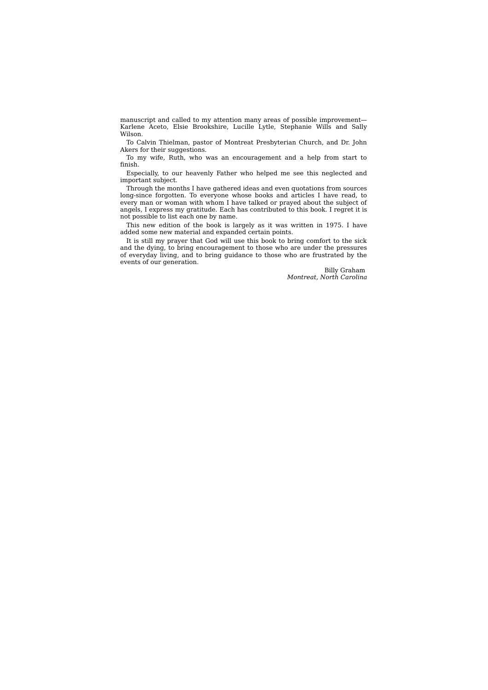manuscript and called to my attention many areas of possible improvement— Karlene Aceto, Elsie Brookshire, Lucille Lytle, Stephanie Wills and Sally Wilson.

To Calvin Thielman, pastor of Montreat Presbyterian Church, and Dr. John Akers for their suggestions.

To my wife, Ruth, who was an encouragement and a help from start to finish.

Especially, to our heavenly Father who helped me see this neglected and important subject.

Through the months I have gathered ideas and even quotations from sources long-since forgotten. To everyone whose books and articles I have read, to every man or woman with whom I have talked or prayed about the subject of angels, I express my gratitude. Each has contributed to this book. I regret it is not possible to list each one by name.

This new edition of the book is largely as it was written in 1975. I have added some new material and expanded certain points.

It is still my prayer that God will use this book to bring comfort to the sick and the dying, to bring encouragement to those who are under the pressures of everyday living, and to bring guidance to those who are frustrated by the events of our generation.

Billy Graham *Montreat, North Carolina*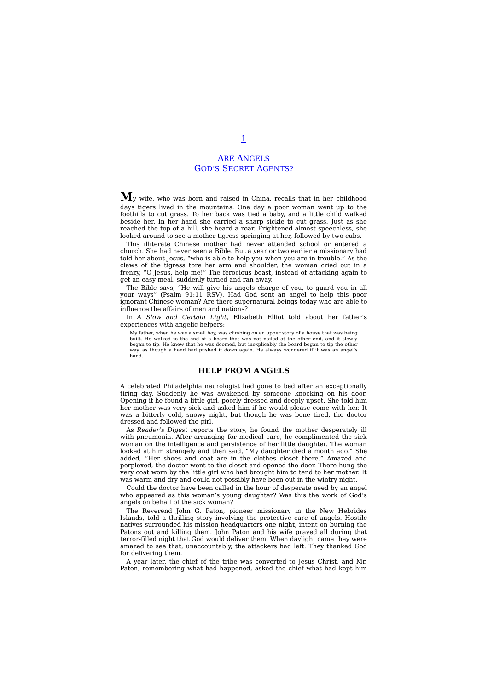## ARE ANGELS GOD'S SECRET AGENTS?

 $M_{v}$  wife, who was born and raised in China, recalls that in her childhood days tigers lived in the mountains. One day a poor woman went up to the foothills to cut grass. To her back was tied a baby, and a little child walked beside her. In her hand she carried a sharp sickle to cut grass. Just as she reached the top of a hill, she heard a roar. Frightened almost speechless, she looked around to see a mother tigress springing at her, followed by two cubs.

This illiterate Chinese mother had never attended school or entered a church. She had never seen a Bible. But a year or two earlier a missionary had told her about Jesus, "who is able to help you when you are in trouble." As the claws of the tigress tore her arm and shoulder, the woman cried out in a frenzy, "O Jesus, help me!" The ferocious beast, instead of attacking again to get an easy meal, suddenly turned and ran away.

The Bible says, "He will give his angels charge of you, to guard you in all your ways" (Psalm 91:11 RSV). Had God sent an angel to help this poor ignorant Chinese woman? Are there supernatural beings today who are able to influence the affairs of men and nations?

In *A Slow and Certain Light*, Elizabeth Elliot told about her father's experiences with angelic helpers:

My father, when he was a small boy, was climbing on an upper story of a house that was being built. He walked to the end of a board that was not nailed at the other end, and it slowly began to tip. He knew that he was doomed, but inexplicably the board began to tip the other way, as though a hand had pushed it down again. He always wondered if it was an angel's hand.

## **HELP FROM ANGELS**

A celebrated Philadelphia neurologist had gone to bed after an exceptionally tiring day. Suddenly he was awakened by someone knocking on his door. Opening it he found a little girl, poorly dressed and deeply upset. She told him her mother was very sick and asked him if he would please come with her. It was a bitterly cold, snowy night, but though he was bone tired, the doctor dressed and followed the girl.

As *Reader's Digest* reports the story, he found the mother desperately ill with pneumonia. After arranging for medical care, he complimented the sick woman on the intelligence and persistence of her little daughter. The woman looked at him strangely and then said, "My daughter died a month ago." She added, "Her shoes and coat are in the clothes closet there." Amazed and perplexed, the doctor went to the closet and opened the door. There hung the very coat worn by the little girl who had brought him to tend to her mother. It was warm and dry and could not possibly have been out in the wintry night.

Could the doctor have been called in the hour of desperate need by an angel who appeared as this woman's young daughter? Was this the work of God's angels on behalf of the sick woman?

The Reverend John G. Paton, pioneer missionary in the New Hebrides Islands, told a thrilling story involving the protective care of angels. Hostile natives surrounded his mission headquarters one night, intent on burning the Patons out and killing them. John Paton and his wife prayed all during that terror-filled night that God would deliver them. When daylight came they were amazed to see that, unaccountably, the attackers had left. They thanked God for delivering them.

A year later, the chief of the tribe was converted to Jesus Christ, and Mr. Paton, remembering what had happened, asked the chief what had kept him

1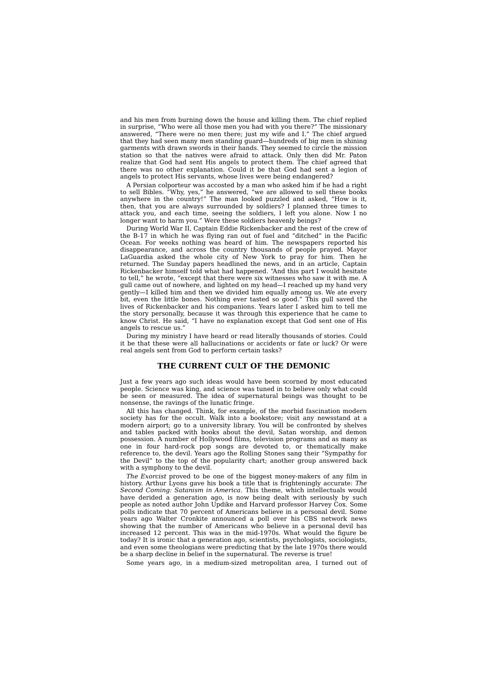and his men from burning down the house and killing them. The chief replied in surprise, "Who were all those men you had with you there?" The missionary answered, "There were no men there; just my wife and I." The chief argued that they had seen many men standing guard—hundreds of big men in shining garments with drawn swords in their hands. They seemed to circle the mission station so that the natives were afraid to attack. Only then did Mr. Paton realize that God had sent His angels to protect them. The chief agreed that there was no other explanation. Could it be that God had sent a legion of angels to protect His servants, whose lives were being endangered?

A Persian colporteur was accosted by a man who asked him if he had a right to sell Bibles. "Why, yes," he answered, "we are allowed to sell these books anywhere in the country!" The man looked puzzled and asked, "How is it, then, that you are always surrounded by soldiers? I planned three times to attack you, and each time, seeing the soldiers, I left you alone. Now I no longer want to harm you." Were these soldiers heavenly beings?

During World War II, Captain Eddie Rickenbacker and the rest of the crew of the B-17 in which he was flying ran out of fuel and "ditched" in the Pacific Ocean. For weeks nothing was heard of him. The newspapers reported his disappearance, and across the country thousands of people prayed. Mayor LaGuardia asked the whole city of New York to pray for him. Then he returned. The Sunday papers headlined the news, and in an article, Captain Rickenbacker himself told what had happened. "And this part I would hesitate to tell," he wrote, "except that there were six witnesses who saw it with me. A gull came out of nowhere, and lighted on my head—I reached up my hand very gently—I killed him and then we divided him equally among us. We ate every bit, even the little bones. Nothing ever tasted so good." This gull saved the lives of Rickenbacker and his companions. Years later I asked him to tell me the story personally, because it was through this experience that he came to know Christ. He said, "I have no explanation except that God sent one of His angels to rescue us."

During my ministry I have heard or read literally thousands of stories. Could it be that these were all hallucinations or accidents or fate or luck? Or were real angels sent from God to perform certain tasks?

#### **THE CURRENT CULT OF THE DEMONIC**

Just a few years ago such ideas would have been scorned by most educated people. Science was king, and science was tuned in to believe only what could be seen or measured. The idea of supernatural beings was thought to be nonsense, the ravings of the lunatic fringe.

All this has changed. Think, for example, of the morbid fascination modern society has for the occult. Walk into a bookstore; visit any newsstand at a modern airport; go to a university library. You will be confronted by shelves and tables packed with books about the devil, Satan worship, and demon possession. A number of Hollywood films, television programs and as many as one in four hard-rock pop songs are devoted to, or thematically make reference to, the devil. Years ago the Rolling Stones sang their "Sympathy for the Devil" to the top of the popularity chart; another group answered back with a symphony to the devil.

*The Exorcist* proved to be one of the biggest money-makers of any film in history. Arthur Lyons gave his book a title that is frighteningly accurate: *The Second Coming: Satanism in America*. This theme, which intellectuals would have derided a generation ago, is now being dealt with seriously by such people as noted author John Updike and Harvard professor Harvey Cox. Some polls indicate that 70 percent of Americans believe in a personal devil. Some years ago Walter Cronkite announced a poll over his CBS network news showing that the number of Americans who believe in a personal devil has increased 12 percent. This was in the mid-1970s. What would the figure be today? It is ironic that a generation ago, scientists, psychologists, sociologists, and even some theologians were predicting that by the late 1970s there would be a sharp decline in belief in the supernatural. The reverse is true!

Some years ago, in a medium-sized metropolitan area, I turned out of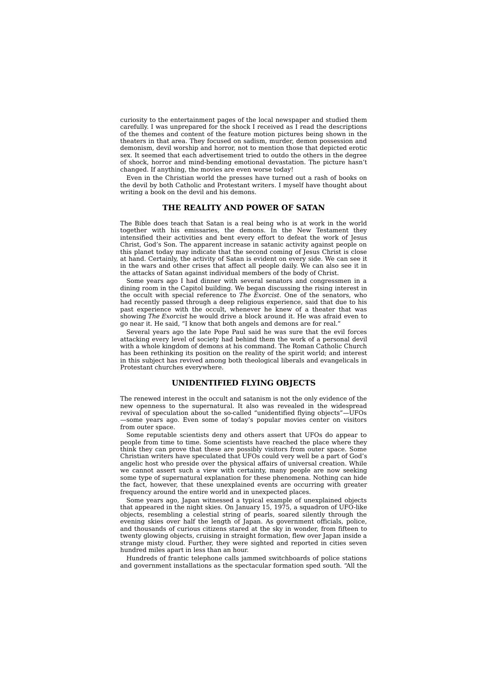curiosity to the entertainment pages of the local newspaper and studied them carefully. I was unprepared for the shock I received as I read the descriptions of the themes and content of the feature motion pictures being shown in the theaters in that area. They focused on sadism, murder, demon possession and demonism, devil worship and horror, not to mention those that depicted erotic sex. It seemed that each advertisement tried to outdo the others in the degree of shock, horror and mind-bending emotional devastation. The picture hasn't changed. If anything, the movies are even worse today!

Even in the Christian world the presses have turned out a rash of books on the devil by both Catholic and Protestant writers. I myself have thought about writing a book on the devil and his demons.

#### **THE REALITY AND POWER OF SATAN**

The Bible does teach that Satan is a real being who is at work in the world together with his emissaries, the demons. In the New Testament they intensified their activities and bent every effort to defeat the work of Jesus Christ, God's Son. The apparent increase in satanic activity against people on this planet today may indicate that the second coming of Jesus Christ is close at hand. Certainly, the activity of Satan is evident on every side. We can see it in the wars and other crises that affect all people daily. We can also see it in the attacks of Satan against individual members of the body of Christ.

Some years ago I had dinner with several senators and congressmen in a dining room in the Capitol building. We began discussing the rising interest in the occult with special reference to *The Exorcist*. One of the senators, who had recently passed through a deep religious experience, said that due to his past experience with the occult, whenever he knew of a theater that was showing *The Exorcist* he would drive a block around it. He was afraid even to go near it. He said, "I know that both angels and demons are for real."

Several years ago the late Pope Paul said he was sure that the evil forces attacking every level of society had behind them the work of a personal devil with a whole kingdom of demons at his command. The Roman Catholic Church has been rethinking its position on the reality of the spirit world; and interest in this subject has revived among both theological liberals and evangelicals in Protestant churches everywhere.

#### **UNIDENTIFIED FLYING OBJECTS**

The renewed interest in the occult and satanism is not the only evidence of the new openness to the supernatural. It also was revealed in the widespread revival of speculation about the so-called "unidentified flying objects"—UFOs —some years ago. Even some of today's popular movies center on visitors from outer space.

Some reputable scientists deny and others assert that UFOs do appear to people from time to time. Some scientists have reached the place where they think they can prove that these are possibly visitors from outer space. Some Christian writers have speculated that UFOs could very well be a part of God's angelic host who preside over the physical affairs of universal creation. While we cannot assert such a view with certainty, many people are now seeking some type of supernatural explanation for these phenomena. Nothing can hide the fact, however, that these unexplained events are occurring with greater frequency around the entire world and in unexpected places.

Some years ago, Japan witnessed a typical example of unexplained objects that appeared in the night skies. On January 15, 1975, a squadron of UFO-like objects, resembling a celestial string of pearls, soared silently through the evening skies over half the length of Japan. As government officials, police, and thousands of curious citizens stared at the sky in wonder, from fifteen to twenty glowing objects, cruising in straight formation, flew over Japan inside a strange misty cloud. Further, they were sighted and reported in cities seven hundred miles apart in less than an hour.

Hundreds of frantic telephone calls jammed switchboards of police stations and government installations as the spectacular formation sped south. "All the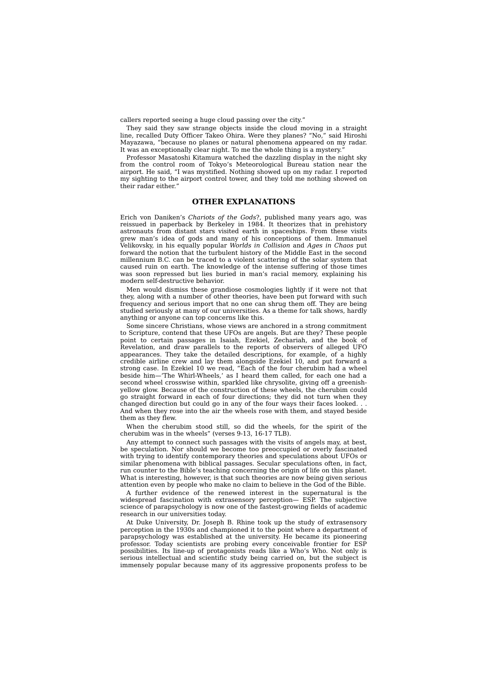callers reported seeing a huge cloud passing over the city."

They said they saw strange objects inside the cloud moving in a straight line, recalled Duty Officer Takeo Ohira. Were they planes? "No," said Hiroshi Mayazawa, "because no planes or natural phenomena appeared on my radar. It was an exceptionally clear night. To me the whole thing is a mystery.

Professor Masatoshi Kitamura watched the dazzling display in the night sky from the control room of Tokyo's Meteorological Bureau station near the airport. He said, "I was mystified. Nothing showed up on my radar. I reported my sighting to the airport control tower, and they told me nothing showed on their radar either."

#### **OTHER EXPLANATIONS**

Erich von Daniken's *Chariots of the Gods*?, published many years ago, was reissued in paperback by Berkeley in 1984. It theorizes that in prehistory astronauts from distant stars visited earth in spaceships. From these visits grew man's idea of gods and many of his conceptions of them. Immanuel Velikovsky, in his equally popular *Worlds in Collision* and *Ages in Chaos* put forward the notion that the turbulent history of the Middle East in the second millennium B.C. can be traced to a violent scattering of the solar system that caused ruin on earth. The knowledge of the intense suffering of those times was soon repressed but lies buried in man's racial memory, explaining his modern self-destructive behavior.

Men would dismiss these grandiose cosmologies lightly if it were not that they, along with a number of other theories, have been put forward with such frequency and serious import that no one can shrug them off. They are being studied seriously at many of our universities. As a theme for talk shows, hardly anything or anyone can top concerns like this.

Some sincere Christians, whose views are anchored in a strong commitment to Scripture, contend that these UFOs are angels. But are they? These people point to certain passages in Isaiah, Ezekiel, Zechariah, and the book of Revelation, and draw parallels to the reports of observers of alleged UFO appearances. They take the detailed descriptions, for example, of a highly credible airline crew and lay them alongside Ezekiel 10, and put forward a strong case. In Ezekiel 10 we read, "Each of the four cherubim had a wheel beside him—'The Whirl-Wheels,' as I heard them called, for each one had a second wheel crosswise within, sparkled like chrysolite, giving off a greenishyellow glow. Because of the construction of these wheels, the cherubim could go straight forward in each of four directions; they did not turn when they changed direction but could go in any of the four ways their faces looked. . . And when they rose into the air the wheels rose with them, and stayed beside them as they flew.

When the cherubim stood still, so did the wheels, for the spirit of the cherubim was in the wheels" (verses 9-13, 16-17 TLB).

Any attempt to connect such passages with the visits of angels may, at best, be speculation. Nor should we become too preoccupied or overly fascinated with trying to identify contemporary theories and speculations about UFOs or similar phenomena with biblical passages. Secular speculations often, in fact, run counter to the Bible's teaching concerning the origin of life on this planet. What is interesting, however, is that such theories are now being given serious attention even by people who make no claim to believe in the God of the Bible.

A further evidence of the renewed interest in the supernatural is the widespread fascination with extrasensory perception— ESP. The subjective science of parapsychology is now one of the fastest-growing fields of academic research in our universities today.

At Duke University, Dr. Joseph B. Rhine took up the study of extrasensory perception in the 1930s and championed it to the point where a department of parapsychology was established at the university. He became its pioneering professor. Today scientists are probing every conceivable frontier for ESP possibilities. Its line-up of protagonists reads like a Who's Who. Not only is serious intellectual and scientific study being carried on, but the subject is immensely popular because many of its aggressive proponents profess to be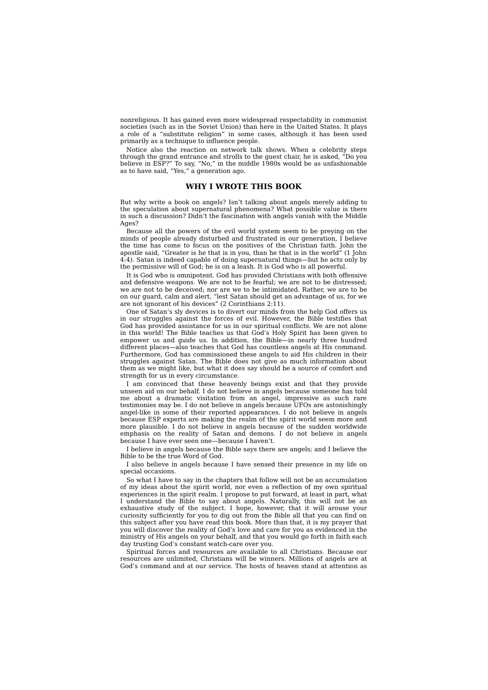nonreligious. It has gained even more widespread respectability in communist societies (such as in the Soviet Union) than here in the United States. It plays a role of a "substitute religion" in some cases, although it has been used primarily as a technique to influence people.

Notice also the reaction on network talk shows. When a celebrity steps through the grand entrance and strolls to the guest chair, he is asked, "Do you believe in ESP?" To say, "No," in the middle 1980s would be as unfashionable as to have said, "Yes," a generation ago.

## **WHY I WROTE THIS BOOK**

But why write a book on angels? Isn't talking about angels merely adding to the speculation about supernatural phenomena? What possible value is there in such a discussion? Didn't the fascination with angels vanish with the Middle Ages?

Because all the powers of the evil world system seem to be preying on the minds of people already disturbed and frustrated in our generation, I believe the time has come to focus on the positives of the Christian faith. John the apostle said, "Greater is he that is in you, than he that is in the world" (1 John 4:4). Satan is indeed capable of doing supernatural things—but he acts only by the permissive will of God; he is on a leash. It is God who is all powerful.

It is God who is omnipotent. God has provided Christians with both offensive and defensive weapons. We are not to be fearful; we are not to be distressed; we are not to be deceived; nor are we to be intimidated. Rather, we are to be on our guard, calm and alert, "lest Satan should get an advantage of us, for we are not ignorant of his devices" (2 Corinthians 2:11).

One of Satan's sly devices is to divert our minds from the help God offers us in our struggles against the forces of evil. However, the Bible testifies that God has provided assistance for us in our spiritual conflicts. We are not alone in this world! The Bible teaches us that God's Holy Spirit has been given to empower us and guide us. In addition, the Bible—in nearly three hundred different places—also teaches that God has countless angels at His command. Furthermore, God has commissioned these angels to aid His children in their struggles against Satan. The Bible does not give as much information about them as we might like, but what it does say should be a source of comfort and strength for us in every circumstance.

I am convinced that these heavenly beings exist and that they provide unseen aid on our behalf. I do not believe in angels because someone has told me about a dramatic visitation from an angel, impressive as such rare testimonies may be. I do not believe in angels because UFOs are astonishingly angel-like in some of their reported appearances. I do not believe in angels because ESP experts are making the realm of the spirit world seem more and more plausible. I do not believe in angels because of the sudden worldwide emphasis on the reality of Satan and demons. I do not believe in angels because I have ever seen one—because I haven't.

I believe in angels because the Bible says there are angels; and I believe the Bible to be the true Word of God.

I also believe in angels because I have sensed their presence in my life on special occasions.

So what I have to say in the chapters that follow will not be an accumulation of my ideas about the spirit world, nor even a reflection of my own spiritual experiences in the spirit realm. I propose to put forward, at least in part, what I understand the Bible to say about angels. Naturally, this will not be an exhaustive study of the subject. I hope, however, that it will arouse your curiosity sufficiently for you to dig out from the Bible all that you can find on this subject after you have read this book. More than that, it is my prayer that you will discover the reality of God's love and care for you as evidenced in the ministry of His angels on your behalf, and that you would go forth in faith each day trusting God's constant watch-care over you.

Spiritual forces and resources are available to all Christians. Because our resources are unlimited, Christians will be winners. Millions of angels are at God's command and at our service. The hosts of heaven stand at attention as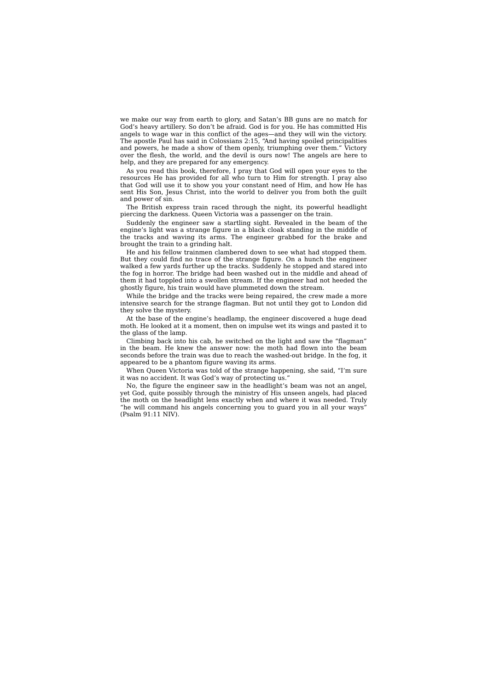we make our way from earth to glory, and Satan's BB guns are no match for God's heavy artillery. So don't be afraid. God is for you. He has committed His angels to wage war in this conflict of the ages—and they will win the victory. The apostle Paul has said in Colossians 2:15, "And having spoiled principalities and powers, he made a show of them openly, triumphing over them." Victory over the flesh, the world, and the devil is ours now! The angels are here to help, and they are prepared for any emergency.

As you read this book, therefore, I pray that God will open your eyes to the resources He has provided for all who turn to Him for strength. I pray also that God will use it to show you your constant need of Him, and how He has sent His Son, Jesus Christ, into the world to deliver you from both the guilt and power of sin.

The British express train raced through the night, its powerful headlight piercing the darkness. Queen Victoria was a passenger on the train.

Suddenly the engineer saw a startling sight. Revealed in the beam of the engine's light was a strange figure in a black cloak standing in the middle of the tracks and waving its arms. The engineer grabbed for the brake and brought the train to a grinding halt.

He and his fellow trainmen clambered down to see what had stopped them. But they could find no trace of the strange figure. On a hunch the engineer walked a few yards further up the tracks. Suddenly he stopped and stared into the fog in horror. The bridge had been washed out in the middle and ahead of them it had toppled into a swollen stream. If the engineer had not heeded the ghostly figure, his train would have plummeted down the stream.

While the bridge and the tracks were being repaired, the crew made a more intensive search for the strange flagman. But not until they got to London did they solve the mystery.

At the base of the engine's headlamp, the engineer discovered a huge dead moth. He looked at it a moment, then on impulse wet its wings and pasted it to the glass of the lamp.

Climbing back into his cab, he switched on the light and saw the "flagman" in the beam. He knew the answer now: the moth had flown into the beam seconds before the train was due to reach the washed-out bridge. In the fog, it appeared to be a phantom figure waving its arms.

When Queen Victoria was told of the strange happening, she said, "I'm sure it was no accident. It was God's way of protecting us.'

No, the figure the engineer saw in the headlight's beam was not an angel, yet God, quite possibly through the ministry of His unseen angels, had placed the moth on the headlight lens exactly when and where it was needed. Truly "he will command his angels concerning you to guard you in all your ways (Psalm 91:11 NIV).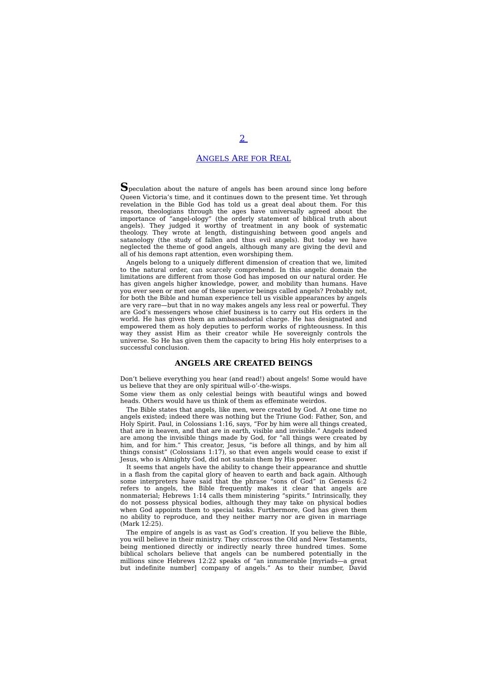## ANGELS ARE FOR REAL

**S**peculation about the nature of angels has been around since long before Queen Victoria's time, and it continues down to the present time. Yet through revelation in the Bible God has told us a great deal about them. For this reason, theologians through the ages have universally agreed about the importance of "angel-ology" (the orderly statement of biblical truth about angels). They judged it worthy of treatment in any book of systematic theology. They wrote at length, distinguishing between good angels and satanology (the study of fallen and thus evil angels). But today we have neglected the theme of good angels, although many are giving the devil and all of his demons rapt attention, even worshiping them.

Angels belong to a uniquely different dimension of creation that we, limited to the natural order, can scarcely comprehend. In this angelic domain the limitations are different from those God has imposed on our natural order. He has given angels higher knowledge, power, and mobility than humans. Have you ever seen or met one of these superior beings called angels? Probably not, for both the Bible and human experience tell us visible appearances by angels are very rare—but that in no way makes angels any less real or powerful. They are God's messengers whose chief business is to carry out His orders in the world. He has given them an ambassadorial charge. He has designated and empowered them as holy deputies to perform works of righteousness. In this way they assist Him as their creator while He sovereignly controls the universe. So He has given them the capacity to bring His holy enterprises to a successful conclusion.

## **ANGELS ARE CREATED BEINGS**

Don't believe everything you hear (and read!) about angels! Some would have us believe that they are only spiritual will-o'-the-wisps.

Some view them as only celestial beings with beautiful wings and bowed heads. Others would have us think of them as effeminate weirdos.

The Bible states that angels, like men, were created by God. At one time no angels existed; indeed there was nothing but the Triune God: Father, Son, and Holy Spirit. Paul, in Colossians 1:16, says, "For by him were all things created, that are in heaven, and that are in earth, visible and invisible." Angels indeed are among the invisible things made by God, for "all things were created by him, and for him." This creator, Jesus, "is before all things, and by him all things consist" (Colossians 1:17), so that even angels would cease to exist if Jesus, who is Almighty God, did not sustain them by His power.

It seems that angels have the ability to change their appearance and shuttle in a flash from the capital glory of heaven to earth and back again. Although some interpreters have said that the phrase "sons of God" in Genesis 6:2 refers to angels, the Bible frequently makes it clear that angels are nonmaterial; Hebrews 1:14 calls them ministering "spirits." Intrinsically, they do not possess physical bodies, although they may take on physical bodies when God appoints them to special tasks. Furthermore, God has given them no ability to reproduce, and they neither marry nor are given in marriage  $(Mark 12:25)$ .

The empire of angels is as vast as God's creation. If you believe the Bible, you will believe in their ministry. They crisscross the Old and New Testaments, being mentioned directly or indirectly nearly three hundred times. Some biblical scholars believe that angels can be numbered potentially in the millions since Hebrews 12:22 speaks of "an innumerable [myriads—a great but indefinite number] company of angels." As to their number, David

2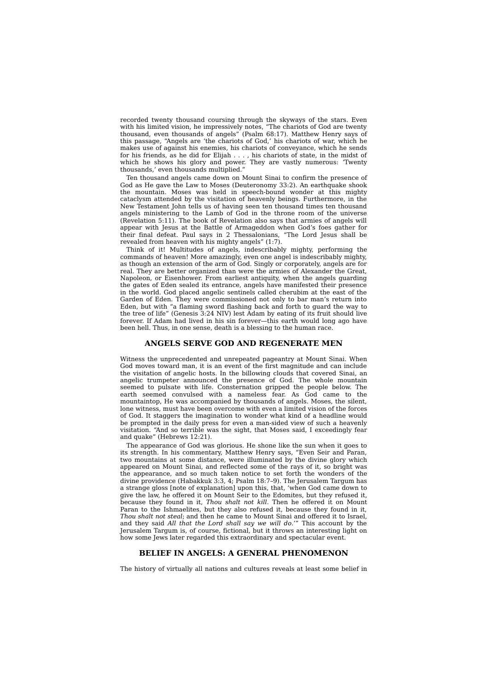recorded twenty thousand coursing through the skyways of the stars. Even with his limited vision, he impressively notes, "The chariots of God are twenty thousand, even thousands of angels" (Psalm 68:17). Matthew Henry says of this passage, "Angels are 'the chariots of God,' his chariots of war, which he makes use of against his enemies, his chariots of conveyance, which he sends for his friends, as he did for Elijah . . . , his chariots of state, in the midst of which he shows his glory and power. They are vastly numerous: 'Twenty thousands,' even thousands multiplied."

Ten thousand angels came down on Mount Sinai to confirm the presence of God as He gave the Law to Moses (Deuteronomy 33:2). An earthquake shook the mountain. Moses was held in speech-bound wonder at this mighty cataclysm attended by the visitation of heavenly beings. Furthermore, in the New Testament John tells us of having seen ten thousand times ten thousand angels ministering to the Lamb of God in the throne room of the universe (Revelation 5:11). The book of Revelation also says that armies of angels will appear with Jesus at the Battle of Armageddon when God's foes gather for their final defeat. Paul says in 2 Thessalonians, "The Lord Jesus shall be revealed from heaven with his mighty angels" (1:7).

Think of it! Multitudes of angels, indescribably mighty, performing the commands of heaven! More amazingly, even one angel is indescribably mighty, as though an extension of the arm of God. Singly or corporately, angels are for real. They are better organized than were the armies of Alexander the Great, Napoleon, or Eisenhower. From earliest antiquity, when the angels guarding the gates of Eden sealed its entrance, angels have manifested their presence in the world. God placed angelic sentinels called cherubim at the east of the Garden of Eden. They were commissioned not only to bar man's return into Eden, but with "a flaming sword flashing back and forth to guard the way to the tree of life" (Genesis 3:24 NIV) lest Adam by eating of its fruit should live forever. If Adam had lived in his sin forever—this earth would long ago have been hell. Thus, in one sense, death is a blessing to the human race.

#### **ANGELS SERVE GOD AND REGENERATE MEN**

Witness the unprecedented and unrepeated pageantry at Mount Sinai. When God moves toward man, it is an event of the first magnitude and can include the visitation of angelic hosts. In the billowing clouds that covered Sinai, an angelic trumpeter announced the presence of God. The whole mountain seemed to pulsate with life. Consternation gripped the people below. The earth seemed convulsed with a nameless fear. As God came to the mountaintop, He was accompanied by thousands of angels. Moses, the silent, lone witness, must have been overcome with even a limited vision of the forces of God. It staggers the imagination to wonder what kind of a headline would be prompted in the daily press for even a man-sided view of such a heavenly visitation. "And so terrible was the sight, that Moses said, I exceedingly fear and quake" (Hebrews 12:21).

The appearance of God was glorious. He shone like the sun when it goes to its strength. In his commentary, Matthew Henry says, "Even Seir and Paran, two mountains at some distance, were illuminated by the divine glory which appeared on Mount Sinai, and reflected some of the rays of it, so bright was the appearance, and so much taken notice to set forth the wonders of the divine providence (Habakkuk 3:3, 4; Psalm 18:7–9). The Jerusalem Targum has a strange gloss [note of explanation] upon this, that, 'when God came down to give the law, he offered it on Mount Seir to the Edomites, but they refused it, because they found in it, *Thou shalt not kill*. Then he offered it on Mount Paran to the Ishmaelites, but they also refused it, because they found in it, *Thou shalt not steal*; and then he came to Mount Sinai and offered it to Israel, and they said *All that the Lord shall say we will do*.'" This account by the Jerusalem Targum is, of course, fictional, but it throws an interesting light on how some Jews later regarded this extraordinary and spectacular event.

#### **BELIEF IN ANGELS: A GENERAL PHENOMENON**

The history of virtually all nations and cultures reveals at least some belief in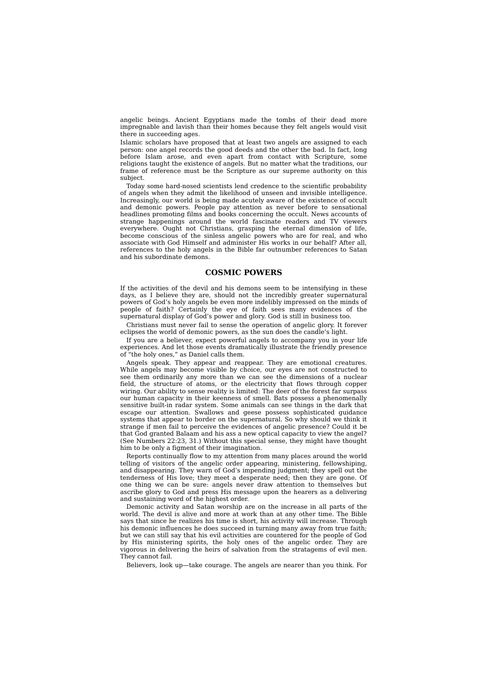angelic beings. Ancient Egyptians made the tombs of their dead more impregnable and lavish than their homes because they felt angels would visit there in succeeding ages.

Islamic scholars have proposed that at least two angels are assigned to each person: one angel records the good deeds and the other the bad. In fact, long before Islam arose, and even apart from contact with Scripture, some religions taught the existence of angels. But no matter what the traditions, our frame of reference must be the Scripture as our supreme authority on this subject.

Today some hard-nosed scientists lend credence to the scientific probability of angels when they admit the likelihood of unseen and invisible intelligence. Increasingly, our world is being made acutely aware of the existence of occult and demonic powers. People pay attention as never before to sensational headlines promoting films and books concerning the occult. News accounts of strange happenings around the world fascinate readers and TV viewers everywhere. Ought not Christians, grasping the eternal dimension of life, become conscious of the sinless angelic powers who are for real, and who associate with God Himself and administer His works in our behalf? After all, references to the holy angels in the Bible far outnumber references to Satan and his subordinate demons.

#### **COSMIC POWERS**

If the activities of the devil and his demons seem to be intensifying in these days, as I believe they are, should not the incredibly greater supernatural powers of God's holy angels be even more indelibly impressed on the minds of people of faith? Certainly the eye of faith sees many evidences of the supernatural display of God's power and glory. God is still in business too.

Christians must never fail to sense the operation of angelic glory. It forever eclipses the world of demonic powers, as the sun does the candle's light.

If you are a believer, expect powerful angels to accompany you in your life experiences. And let those events dramatically illustrate the friendly presence of "the holy ones," as Daniel calls them.

Angels speak. They appear and reappear. They are emotional creatures. While angels may become visible by choice, our eyes are not constructed to see them ordinarily any more than we can see the dimensions of a nuclear field, the structure of atoms, or the electricity that flows through copper wiring. Our ability to sense reality is limited: The deer of the forest far surpass our human capacity in their keenness of smell. Bats possess a phenomenally sensitive built-in radar system. Some animals can see things in the dark that escape our attention. Swallows and geese possess sophisticated guidance systems that appear to border on the supernatural. So why should we think it strange if men fail to perceive the evidences of angelic presence? Could it be that God granted Balaam and his ass a new optical capacity to view the angel? (See Numbers 22:23, 31.) Without this special sense, they might have thought him to be only a figment of their imagination.

Reports continually flow to my attention from many places around the world telling of visitors of the angelic order appearing, ministering, fellowshiping, and disappearing. They warn of God's impending judgment; they spell out the tenderness of His love; they meet a desperate need; then they are gone. Of one thing we can be sure: angels never draw attention to themselves but ascribe glory to God and press His message upon the hearers as a delivering and sustaining word of the highest order.

Demonic activity and Satan worship are on the increase in all parts of the world. The devil is alive and more at work than at any other time. The Bible says that since he realizes his time is short, his activity will increase. Through his demonic influences he does succeed in turning many away from true faith; but we can still say that his evil activities are countered for the people of God by His ministering spirits, the holy ones of the angelic order. They are vigorous in delivering the heirs of salvation from the stratagems of evil men. They cannot fail.

Believers, look up—take courage. The angels are nearer than you think. For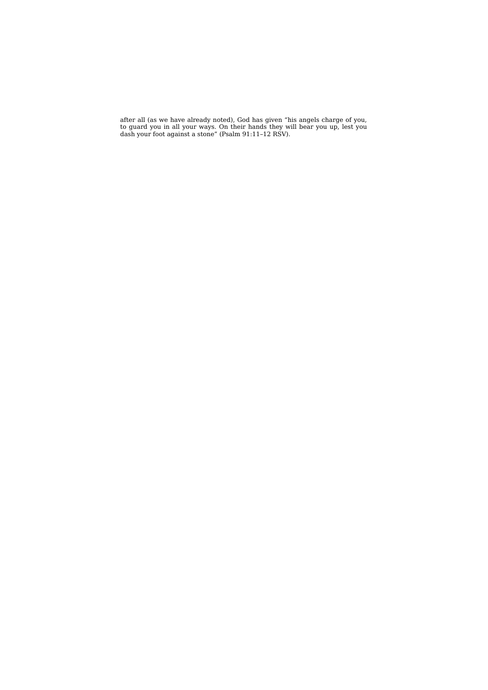after all (as we have already noted), God has given "his angels charge of you, to guard you in all your ways. On their hands they will bear you up, lest you dash your foot against a stone" (Psalm 91:11–12 RSV).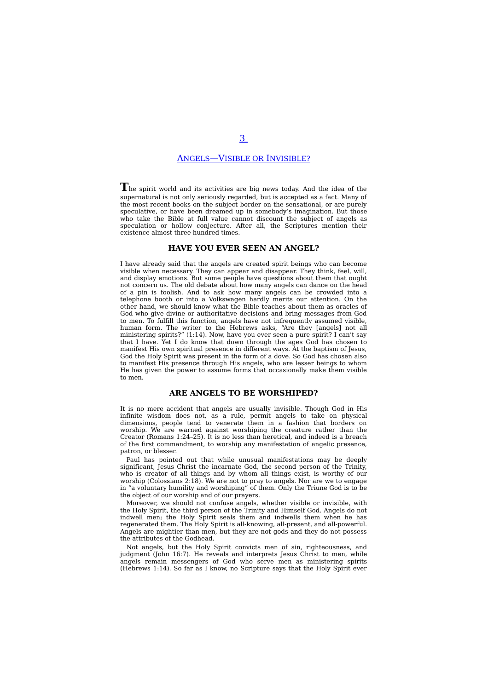## ANGELS—VISIBLE OR INVISIBLE?

**T**he spirit world and its activities are big news today. And the idea of the supernatural is not only seriously regarded, but is accepted as a fact. Many of the most recent books on the subject border on the sensational, or are purely speculative, or have been dreamed up in somebody's imagination. But those who take the Bible at full value cannot discount the subject of angels as speculation or hollow conjecture. After all, the Scriptures mention their existence almost three hundred times.

#### **HAVE YOU EVER SEEN AN ANGEL?**

I have already said that the angels are created spirit beings who can become visible when necessary. They can appear and disappear. They think, feel, will, and display emotions. But some people have questions about them that ought not concern us. The old debate about how many angels can dance on the head of a pin is foolish. And to ask how many angels can be crowded into a telephone booth or into a Volkswagen hardly merits our attention. On the other hand, we should know what the Bible teaches about them as oracles of God who give divine or authoritative decisions and bring messages from God to men. To fulfill this function, angels have not infrequently assumed visible, human form. The writer to the Hebrews asks, "Are they [angels] not all ministering spirits?" (1:14). Now, have you ever seen a pure spirit? I can't say that I have. Yet I do know that down through the ages God has chosen to manifest His own spiritual presence in different ways. At the baptism of Jesus, God the Holy Spirit was present in the form of a dove. So God has chosen also to manifest His presence through His angels, who are lesser beings to whom He has given the power to assume forms that occasionally make them visible to men.

#### **ARE ANGELS TO BE WORSHIPED?**

It is no mere accident that angels are usually invisible. Though God in His infinite wisdom does not, as a rule, permit angels to take on physical dimensions, people tend to venerate them in a fashion that borders on worship. We are warned against worshiping the creature rather than the Creator (Romans 1:24–25). It is no less than heretical, and indeed is a breach of the first commandment, to worship any manifestation of angelic presence, patron, or blesser.

Paul has pointed out that while unusual manifestations may be deeply significant, Jesus Christ the incarnate God, the second person of the Trinity, who is creator of all things and by whom all things exist, is worthy of our worship (Colossians 2:18). We are not to pray to angels. Nor are we to engage in "a voluntary humility and worshiping" of them. Only the Triune God is to be the object of our worship and of our prayers.

Moreover, we should not confuse angels, whether visible or invisible, with the Holy Spirit, the third person of the Trinity and Himself God. Angels do not indwell men; the Holy Spirit seals them and indwells them when he has regenerated them. The Holy Spirit is all-knowing, all-present, and all-powerful. Angels are mightier than men, but they are not gods and they do not possess the attributes of the Godhead.

Not angels, but the Holy Spirit convicts men of sin, righteousness, and judgment (John 16:7). He reveals and interprets Jesus Christ to men, while angels remain messengers of God who serve men as ministering spirits (Hebrews 1:14). So far as I know, no Scripture says that the Holy Spirit ever

3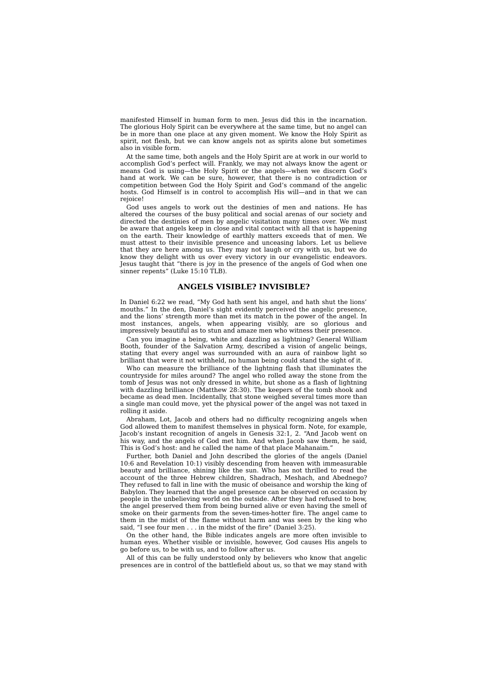manifested Himself in human form to men. Jesus did this in the incarnation. The glorious Holy Spirit can be everywhere at the same time, but no angel can be in more than one place at any given moment. We know the Holy Spirit as spirit, not flesh, but we can know angels not as spirits alone but sometimes also in visible form.

At the same time, both angels and the Holy Spirit are at work in our world to accomplish God's perfect will. Frankly, we may not always know the agent or means God is using—the Holy Spirit or the angels—when we discern God's hand at work. We can be sure, however, that there is no contradiction or competition between God the Holy Spirit and God's command of the angelic hosts. God Himself is in control to accomplish His will—and in that we can rejoice!

God uses angels to work out the destinies of men and nations. He has altered the courses of the busy political and social arenas of our society and directed the destinies of men by angelic visitation many times over. We must be aware that angels keep in close and vital contact with all that is happening on the earth. Their knowledge of earthly matters exceeds that of men. We must attest to their invisible presence and unceasing labors. Let us believe that they are here among us. They may not laugh or cry with us, but we do know they delight with us over every victory in our evangelistic endeavors. Jesus taught that "there is joy in the presence of the angels of God when one sinner repents" (Luke 15:10 TLB).

#### **ANGELS VISIBLE? INVISIBLE?**

In Daniel 6:22 we read, "My God hath sent his angel, and hath shut the lions' mouths." In the den, Daniel's sight evidently perceived the angelic presence, and the lions' strength more than met its match in the power of the angel. In most instances, angels, when appearing visibly, are so glorious and impressively beautiful as to stun and amaze men who witness their presence.

Can you imagine a being, white and dazzling as lightning? General William Booth, founder of the Salvation Army, described a vision of angelic beings, stating that every angel was surrounded with an aura of rainbow light so brilliant that were it not withheld, no human being could stand the sight of it.

Who can measure the brilliance of the lightning flash that illuminates the countryside for miles around? The angel who rolled away the stone from the tomb of Jesus was not only dressed in white, but shone as a flash of lightning with dazzling brilliance (Matthew 28:30). The keepers of the tomb shook and became as dead men. Incidentally, that stone weighed several times more than a single man could move, yet the physical power of the angel was not taxed in rolling it aside.

Abraham, Lot, Jacob and others had no difficulty recognizing angels when God allowed them to manifest themselves in physical form. Note, for example, Jacob's instant recognition of angels in Genesis 32:1, 2. "And Jacob went on his way, and the angels of God met him. And when Jacob saw them, he said, This is God's host: and he called the name of that place Mahanaim."

Further, both Daniel and John described the glories of the angels (Daniel 10:6 and Revelation 10:1) visibly descending from heaven with immeasurable beauty and brilliance, shining like the sun. Who has not thrilled to read the account of the three Hebrew children, Shadrach, Meshach, and Abednego? They refused to fall in line with the music of obeisance and worship the king of Babylon. They learned that the angel presence can be observed on occasion by people in the unbelieving world on the outside. After they had refused to bow, the angel preserved them from being burned alive or even having the smell of smoke on their garments from the seven-times-hotter fire. The angel came to them in the midst of the flame without harm and was seen by the king who said, "I see four men . . . in the midst of the fire" (Daniel 3:25).

On the other hand, the Bible indicates angels are more often invisible to human eyes. Whether visible or invisible, however, God causes His angels to go before us, to be with us, and to follow after us.

All of this can be fully understood only by believers who know that angelic presences are in control of the battlefield about us, so that we may stand with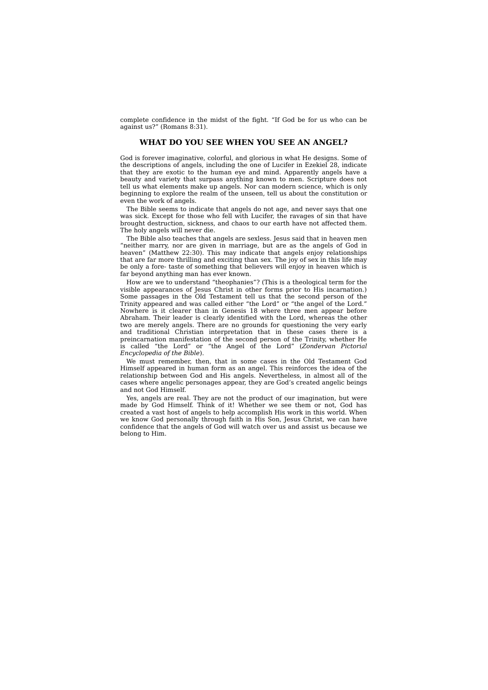complete confidence in the midst of the fight. "If God be for us who can be against us?" (Romans 8:31).

#### **WHAT DO YOU SEE WHEN YOU SEE AN ANGEL?**

God is forever imaginative, colorful, and glorious in what He designs. Some of the descriptions of angels, including the one of Lucifer in Ezekiel 28, indicate that they are exotic to the human eye and mind. Apparently angels have a beauty and variety that surpass anything known to men. Scripture does not tell us what elements make up angels. Nor can modern science, which is only beginning to explore the realm of the unseen, tell us about the constitution or even the work of angels.

The Bible seems to indicate that angels do not age, and never says that one was sick. Except for those who fell with Lucifer, the ravages of sin that have brought destruction, sickness, and chaos to our earth have not affected them. The holy angels will never die.

The Bible also teaches that angels are sexless. Jesus said that in heaven men "neither marry, nor are given in marriage, but are as the angels of God in heaven" (Matthew 22:30). This may indicate that angels enjoy relationships that are far more thrilling and exciting than sex. The joy of sex in this life may be only a fore- taste of something that believers will enjoy in heaven which is far beyond anything man has ever known.

How are we to understand "theophanies"? (This is a theological term for the visible appearances of Jesus Christ in other forms prior to His incarnation.) Some passages in the Old Testament tell us that the second person of the Trinity appeared and was called either "the Lord" or "the angel of the Lord." Nowhere is it clearer than in Genesis 18 where three men appear before Abraham. Their leader is clearly identified with the Lord, whereas the other two are merely angels. There are no grounds for questioning the very early and traditional Christian interpretation that in these cases there is a preincarnation manifestation of the second person of the Trinity, whether He is called "the Lord" or "the Angel of the Lord" (*Zondervan Pictorial Encyclopedia of the Bible*).

We must remember, then, that in some cases in the Old Testament God Himself appeared in human form as an angel. This reinforces the idea of the relationship between God and His angels. Nevertheless, in almost all of the cases where angelic personages appear, they are God's created angelic beings and not God Himself.

Yes, angels are real. They are not the product of our imagination, but were made by God Himself. Think of it! Whether we see them or not, God has created a vast host of angels to help accomplish His work in this world. When we know God personally through faith in His Son, Jesus Christ, we can have confidence that the angels of God will watch over us and assist us because we belong to Him.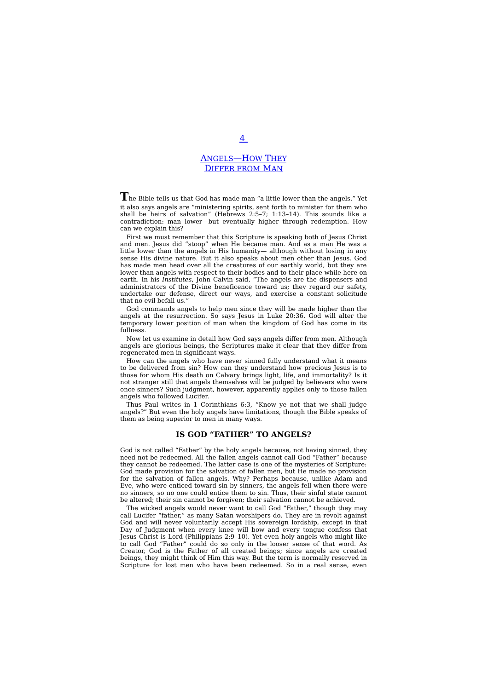## ANGELS—HOW THEY DIFFER FROM MAN

**T**he Bible tells us that God has made man "a little lower than the angels." Yet it also says angels are "ministering spirits, sent forth to minister for them who shall be heirs of salvation" (Hebrews 2:5–7; 1:13–14). This sounds like a contradiction: man lower—but eventually higher through redemption. How can we explain this?

First we must remember that this Scripture is speaking both of Jesus Christ and men. Jesus did "stoop" when He became man. And as a man He was a little lower than the angels in His humanity— although without losing in any sense His divine nature. But it also speaks about men other than Jesus. God has made men head over all the creatures of our earthly world, but they are lower than angels with respect to their bodies and to their place while here on earth. In his *Institutes*, John Calvin said, "The angels are the dispensers and administrators of the Divine beneficence toward us; they regard our safety, undertake our defense, direct our ways, and exercise a constant solicitude that no evil befall us."

God commands angels to help men since they will be made higher than the angels at the resurrection. So says Jesus in Luke 20:36. God will alter the temporary lower position of man when the kingdom of God has come in its fullness.

Now let us examine in detail how God says angels differ from men. Although angels are glorious beings, the Scriptures make it clear that they differ from regenerated men in significant ways.

How can the angels who have never sinned fully understand what it means to be delivered from sin? How can they understand how precious Jesus is to those for whom His death on Calvary brings light, life, and immortality? Is it not stranger still that angels themselves will be judged by believers who were once sinners? Such judgment, however, apparently applies only to those fallen angels who followed Lucifer.

Thus Paul writes in 1 Corinthians 6:3, "Know ye not that we shall judge angels?" But even the holy angels have limitations, though the Bible speaks of them as being superior to men in many ways.

## **IS GOD "FATHER" TO ANGELS?**

God is not called "Father" by the holy angels because, not having sinned, they need not be redeemed. All the fallen angels cannot call God "Father" because they cannot be redeemed. The latter case is one of the mysteries of Scripture: God made provision for the salvation of fallen men, but He made no provision for the salvation of fallen angels. Why? Perhaps because, unlike Adam and Eve, who were enticed toward sin by sinners, the angels fell when there were no sinners, so no one could entice them to sin. Thus, their sinful state cannot be altered; their sin cannot be forgiven; their salvation cannot be achieved.

The wicked angels would never want to call God "Father," though they may call Lucifer "father," as many Satan worshipers do. They are in revolt against God and will never voluntarily accept His sovereign lordship, except in that Day of Judgment when every knee will bow and every tongue confess that Jesus Christ is Lord (Philippians 2:9–10). Yet even holy angels who might like to call God "Father" could do so only in the looser sense of that word. As Creator, God is the Father of all created beings; since angels are created beings, they might think of Him this way. But the term is normally reserved in Scripture for lost men who have been redeemed. So in a real sense, even

4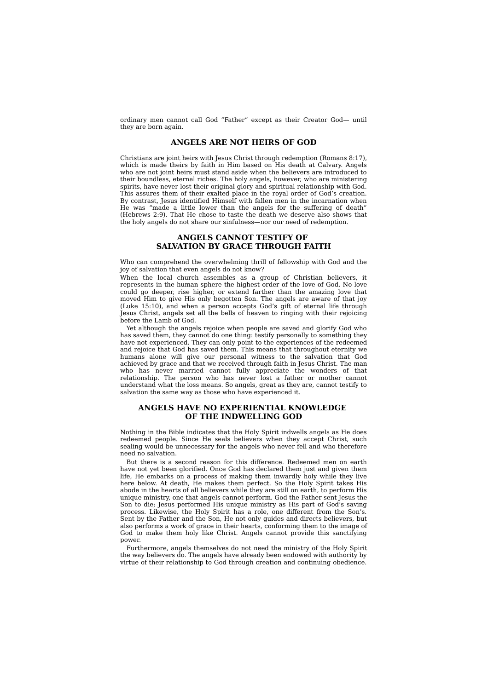ordinary men cannot call God "Father" except as their Creator God— until they are born again.

#### **ANGELS ARE NOT HEIRS OF GOD**

Christians are joint heirs with Jesus Christ through redemption (Romans 8:17), which is made theirs by faith in Him based on His death at Calvary. Angels who are not joint heirs must stand aside when the believers are introduced to their boundless, eternal riches. The holy angels, however, who are ministering spirits, have never lost their original glory and spiritual relationship with God. This assures them of their exalted place in the royal order of God's creation. By contrast, Jesus identified Himself with fallen men in the incarnation when He was "made a little lower than the angels for the suffering of death" (Hebrews 2:9). That He chose to taste the death we deserve also shows that the holy angels do not share our sinfulness—nor our need of redemption.

## **ANGELS CANNOT TESTIFY OF SALVATION BY GRACE THROUGH FAITH**

Who can comprehend the overwhelming thrill of fellowship with God and the joy of salvation that even angels do not know?

When the local church assembles as a group of Christian believers, it represents in the human sphere the highest order of the love of God. No love could go deeper, rise higher, or extend farther than the amazing love that moved Him to give His only begotten Son. The angels are aware of that joy (Luke 15:10), and when a person accepts God's gift of eternal life through Jesus Christ, angels set all the bells of heaven to ringing with their rejoicing before the Lamb of God.

Yet although the angels rejoice when people are saved and glorify God who has saved them, they cannot do one thing: testify personally to something they have not experienced. They can only point to the experiences of the redeemed and rejoice that God has saved them. This means that throughout eternity we humans alone will give our personal witness to the salvation that God achieved by grace and that we received through faith in Jesus Christ. The man who has never married cannot fully appreciate the wonders of that relationship. The person who has never lost a father or mother cannot understand what the loss means. So angels, great as they are, cannot testify to salvation the same way as those who have experienced it.

## **ANGELS HAVE NO EXPERIENTIAL KNOWLEDGE OF THE INDWELLING GOD**

Nothing in the Bible indicates that the Holy Spirit indwells angels as He does redeemed people. Since He seals believers when they accept Christ, such sealing would be unnecessary for the angels who never fell and who therefore need no salvation.

But there is a second reason for this difference. Redeemed men on earth have not yet been glorified. Once God has declared them just and given them life, He embarks on a process of making them inwardly holy while they live here below. At death, He makes them perfect. So the Holy Spirit takes His abode in the hearts of all believers while they are still on earth, to perform His unique ministry, one that angels cannot perform. God the Father sent Jesus the Son to die; Jesus performed His unique ministry as His part of God's saving process. Likewise, the Holy Spirit has a role, one different from the Son's. Sent by the Father and the Son, He not only guides and directs believers, but also performs a work of grace in their hearts, conforming them to the image of God to make them holy like Christ. Angels cannot provide this sanctifying power.

Furthermore, angels themselves do not need the ministry of the Holy Spirit the way believers do. The angels have already been endowed with authority by virtue of their relationship to God through creation and continuing obedience.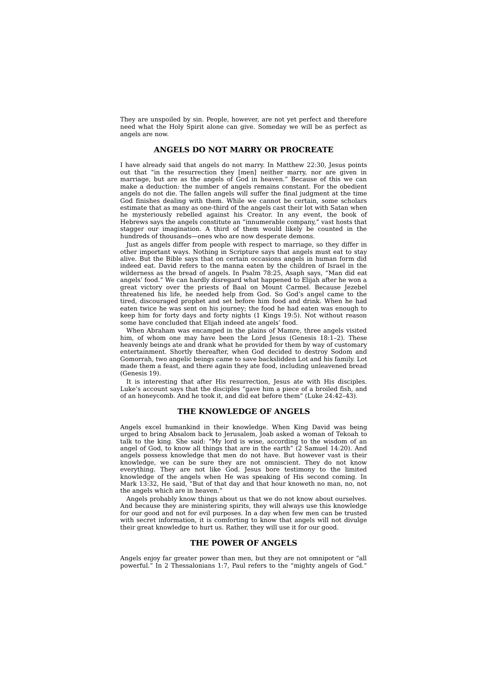They are unspoiled by sin. People, however, are not yet perfect and therefore need what the Holy Spirit alone can give. Someday we will be as perfect as angels are now.

## **ANGELS DO NOT MARRY OR PROCREATE**

I have already said that angels do not marry. In Matthew 22:30, Jesus points out that "in the resurrection they [men] neither marry, nor are given in marriage, but are as the angels of God in heaven." Because of this we can make a deduction: the number of angels remains constant. For the obedient angels do not die. The fallen angels will suffer the final judgment at the time God finishes dealing with them. While we cannot be certain, some scholars estimate that as many as one-third of the angels cast their lot with Satan when he mysteriously rebelled against his Creator. In any event, the book of Hebrews says the angels constitute an "innumerable company," vast hosts that stagger our imagination. A third of them would likely be counted in the hundreds of thousands—ones who are now desperate demons.

Just as angels differ from people with respect to marriage, so they differ in other important ways. Nothing in Scripture says that angels must eat to stay alive. But the Bible says that on certain occasions angels in human form did indeed eat. David refers to the manna eaten by the children of Israel in the wilderness as the bread of angels. In Psalm 78:25, Asaph says, "Man did eat angels' food." We can hardly disregard what happened to Elijah after he won a great victory over the priests of Baal on Mount Carmel. Because Jezebel threatened his life, he needed help from God. So God's angel came to the tired, discouraged prophet and set before him food and drink. When he had eaten twice he was sent on his journey; the food he had eaten was enough to keep him for forty days and forty nights (1 Kings 19:5). Not without reason some have concluded that Elijah indeed ate angels' food.

When Abraham was encamped in the plains of Mamre, three angels visited him, of whom one may have been the Lord Jesus (Genesis 18:1-2). These heavenly beings ate and drank what he provided for them by way of customary entertainment. Shortly thereafter, when God decided to destroy Sodom and Gomorrah, two angelic beings came to save backslidden Lot and his family. Lot made them a feast, and there again they ate food, including unleavened bread (Genesis 19).

It is interesting that after His resurrection, Jesus ate with His disciples. Luke's account says that the disciples "gave him a piece of a broiled fish, and of an honeycomb. And he took it, and did eat before them" (Luke 24:42–43).

#### **THE KNOWLEDGE OF ANGELS**

Angels excel humankind in their knowledge. When King David was being urged to bring Absalom back to Jerusalem, Joab asked a woman of Tekoah to talk to the king. She said: "My lord is wise, according to the wisdom of an angel of God, to know all things that are in the earth" (2 Samuel 14:20). And angels possess knowledge that men do not have. But however vast is their knowledge, we can be sure they are not omniscient. They do not know everything. They are not like God. Jesus bore testimony to the limited knowledge of the angels when He was speaking of His second coming. In Mark 13:32, He said, "But of that day and that hour knoweth no man, no, not the angels which are in heaven."

Angels probably know things about us that we do not know about ourselves. And because they are ministering spirits, they will always use this knowledge for our good and not for evil purposes. In a day when few men can be trusted with secret information, it is comforting to know that angels will not divulge their great knowledge to hurt us. Rather, they will use it for our good.

#### **THE POWER OF ANGELS**

Angels enjoy far greater power than men, but they are not omnipotent or "all powerful." In 2 Thessalonians 1:7, Paul refers to the "mighty angels of God."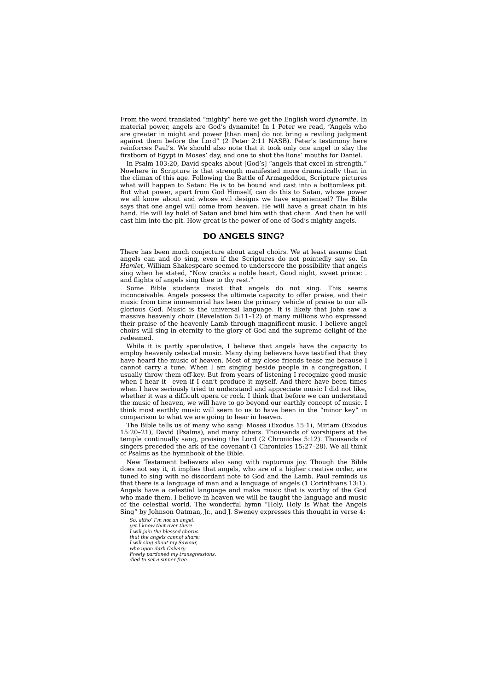From the word translated "mighty" here we get the English word *dynamite*. In material power, angels are God's dynamite! In 1 Peter we read, "Angels who are greater in might and power [than men] do not bring a reviling judgment against them before the Lord" (2 Peter 2:11 NASB). Peter's testimony here reinforces Paul's. We should also note that it took only one angel to slay the firstborn of Egypt in Moses' day, and one to shut the lions' mouths for Daniel.

In Psalm 103:20, David speaks about [God's] "angels that excel in strength." Nowhere in Scripture is that strength manifested more dramatically than in the climax of this age. Following the Battle of Armageddon, Scripture pictures what will happen to Satan: He is to be bound and cast into a bottomless pit. But what power, apart from God Himself, can do this to Satan, whose power we all know about and whose evil designs we have experienced? The Bible says that one angel will come from heaven. He will have a great chain in his hand. He will lay hold of Satan and bind him with that chain. And then he will cast him into the pit. How great is the power of one of God's mighty angels.

#### **DO ANGELS SING?**

There has been much conjecture about angel choirs. We at least assume that angels can and do sing, even if the Scriptures do not pointedly say so. In *Hamlet*, William Shakespeare seemed to underscore the possibility that angels sing when he stated, "Now cracks a noble heart, Good night, sweet prince: . and flights of angels sing thee to thy rest."

Some Bible students insist that angels do not sing. This seems inconceivable. Angels possess the ultimate capacity to offer praise, and their music from time immemorial has been the primary vehicle of praise to our allglorious God. Music is the universal language. It is likely that John saw a massive heavenly choir (Revelation 5:11–12) of many millions who expressed their praise of the heavenly Lamb through magnificent music. I believe angel choirs will sing in eternity to the glory of God and the supreme delight of the redeemed.

While it is partly speculative, I believe that angels have the capacity to employ heavenly celestial music. Many dying believers have testified that they have heard the music of heaven. Most of my close friends tease me because I cannot carry a tune. When I am singing beside people in a congregation, I usually throw them off-key. But from years of listening I recognize good music when I hear it—even if I can't produce it myself. And there have been times when I have seriously tried to understand and appreciate music I did not like, whether it was a difficult opera or rock. I think that before we can understand the music of heaven, we will have to go beyond our earthly concept of music. I think most earthly music will seem to us to have been in the "minor key" in comparison to what we are going to hear in heaven.

The Bible tells us of many who sang: Moses (Exodus 15:1), Miriam (Exodus 15:20–21), David (Psalms), and many others. Thousands of worshipers at the temple continually sang, praising the Lord (2 Chronicles 5:12). Thousands of singers preceded the ark of the covenant (1 Chronicles 15:27–28). We all think of Psalms as the hymnbook of the Bible.

New Testament believers also sang with rapturous joy. Though the Bible does not say it, it implies that angels, who are of a higher creative order, are tuned to sing with no discordant note to God and the Lamb. Paul reminds us that there is a language of man and a language of angels (1 Corinthians 13:1). Angels have a celestial language and make music that is worthy of the God who made them. I believe in heaven we will be taught the language and music of the celestial world. The wonderful hymn "Holy, Holy Is What the Angels Sing" by Johnson Oatman, Jr., and J. Sweney expresses this thought in verse 4:

*So, altho' I'm not an angel, yet I know that over there I will join the blessed chorus that the angels cannot share; I will sing about my Saviour, who upon dark Calvary Freely pardoned my transgressions, died to set a sinner free.*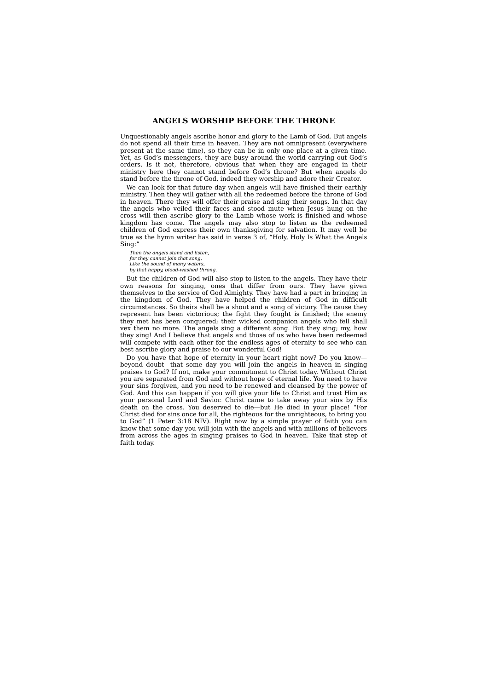## **ANGELS WORSHIP BEFORE THE THRONE**

Unquestionably angels ascribe honor and glory to the Lamb of God. But angels do not spend all their time in heaven. They are not omnipresent (everywhere present at the same time), so they can be in only one place at a given time. Yet, as God's messengers, they are busy around the world carrying out God's orders. Is it not, therefore, obvious that when they are engaged in their ministry here they cannot stand before God's throne? But when angels do stand before the throne of God, indeed they worship and adore their Creator.

We can look for that future day when angels will have finished their earthly ministry. Then they will gather with all the redeemed before the throne of God in heaven. There they will offer their praise and sing their songs. In that day the angels who veiled their faces and stood mute when Jesus hung on the cross will then ascribe glory to the Lamb whose work is finished and whose kingdom has come. The angels may also stop to listen as the redeemed children of God express their own thanksgiving for salvation. It may well be true as the hymn writer has said in verse 3 of, "Holy, Holy Is What the Angels Sing:'

*Then the angels stand and listen,*

*for they cannot join that song,*

*Like the sound of many waters, by that happy, blood-washed throng.*

But the children of God will also stop to listen to the angels. They have their own reasons for singing, ones that differ from ours. They have given themselves to the service of God Almighty. They have had a part in bringing in the kingdom of God. They have helped the children of God in difficult circumstances. So theirs shall be a shout and a song of victory. The cause they represent has been victorious; the fight they fought is finished; the enemy they met has been conquered; their wicked companion angels who fell shall vex them no more. The angels sing a different song. But they sing; my, how they sing! And I believe that angels and those of us who have been redeemed will compete with each other for the endless ages of eternity to see who can best ascribe glory and praise to our wonderful God!

Do you have that hope of eternity in your heart right now? Do you know beyond doubt—that some day you will join the angels in heaven in singing praises to God? If not, make your commitment to Christ today. Without Christ you are separated from God and without hope of eternal life. You need to have your sins forgiven, and you need to be renewed and cleansed by the power of God. And this can happen if you will give your life to Christ and trust Him as your personal Lord and Savior. Christ came to take away your sins by His death on the cross. You deserved to die—but He died in your place! "For Christ died for sins once for all, the righteous for the unrighteous, to bring you to God" (1 Peter 3:18 NIV). Right now by a simple prayer of faith you can know that some day you will join with the angels and with millions of believers from across the ages in singing praises to God in heaven. Take that step of faith today.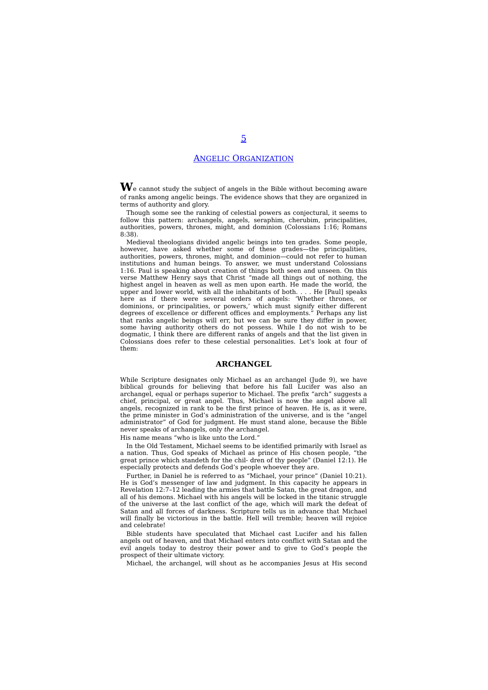## ANGELIC ORGANIZATION

5

**W**<sup>e</sup> cannot study the subject of angels in the Bible without becoming aware of ranks among angelic beings. The evidence shows that they are organized in terms of authority and glory.

Though some see the ranking of celestial powers as conjectural, it seems to follow this pattern: archangels, angels, seraphim, cherubim, principalities, authorities, powers, thrones, might, and dominion (Colossians 1:16; Romans 8:38).

Medieval theologians divided angelic beings into ten grades. Some people, however, have asked whether some of these grades—the principalities, authorities, powers, thrones, might, and dominion—could not refer to human institutions and human beings. To answer, we must understand Colossians 1:16. Paul is speaking about creation of things both seen and unseen. On this verse Matthew Henry says that Christ "made all things out of nothing, the highest angel in heaven as well as men upon earth. He made the world, the upper and lower world, with all the inhabitants of both. . . . He [Paul] speaks here as if there were several orders of angels: 'Whether thrones, or dominions, or principalities, or powers,' which must signify either different degrees of excellence or different offices and employments." Perhaps any list that ranks angelic beings will err, but we can be sure they differ in power, some having authority others do not possess. While I do not wish to be dogmatic, I think there are different ranks of angels and that the list given in Colossians does refer to these celestial personalities. Let's look at four of them:

### **ARCHANGEL**

While Scripture designates only Michael as an archangel (Jude 9), we have biblical grounds for believing that before his fall Lucifer was also an archangel, equal or perhaps superior to Michael. The prefix "arch" suggests a chief, principal, or great angel. Thus, Michael is now the angel above all angels, recognized in rank to be the first prince of heaven. He is, as it were, the prime minister in God's administration of the universe, and is the "angel administrator" of God for judgment. He must stand alone, because the Bible never speaks of archangels, only *the* archangel.

His name means "who is like unto the Lord."

In the Old Testament, Michael seems to be identified primarily with Israel as a nation. Thus, God speaks of Michael as prince of His chosen people, "the great prince which standeth for the chil- dren of thy people" (Daniel 12:1). He especially protects and defends God's people whoever they are.

Further, in Daniel he is referred to as "Michael, your prince" (Daniel 10:21). He is God's messenger of law and judgment. In this capacity he appears in Revelation 12:7–12 leading the armies that battle Satan, the great dragon, and all of his demons. Michael with his angels will be locked in the titanic struggle of the universe at the last conflict of the age, which will mark the defeat of Satan and all forces of darkness. Scripture tells us in advance that Michael will finally be victorious in the battle. Hell will tremble; heaven will rejoice and celebrate!

Bible students have speculated that Michael cast Lucifer and his fallen angels out of heaven, and that Michael enters into conflict with Satan and the evil angels today to destroy their power and to give to God's people the prospect of their ultimate victory.

Michael, the archangel, will shout as he accompanies Jesus at His second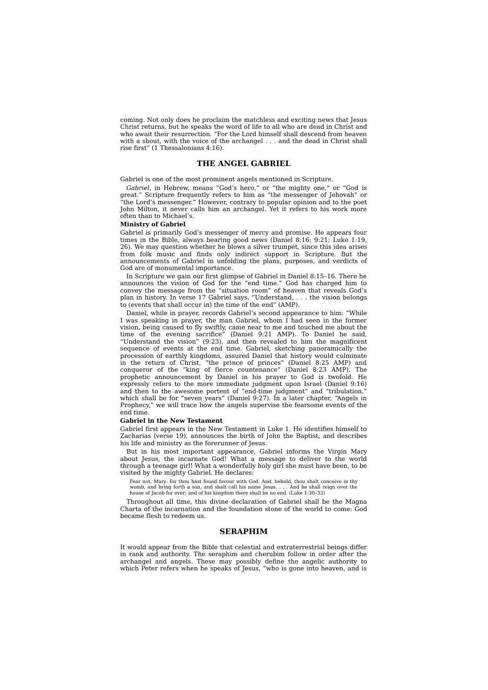coming. Not only does he proclaim the matchless and exciting news that Jesus Christ returns, but he speaks the word of life to all who are dead in Christ and who await their resurrection. "For the Lord himself shall descend from heaven with a shout, with the voice of the archangel . . . and the dead in Christ shall rise first" (1 Thessalonians 4:16).

#### **THE ANGEL GABRIEL**

Gabriel is one of the most prominent angels mentioned in Scripture.

*Gabriel*, in Hebrew, means "God's hero," or "the mighty one," or "God is great." Scripture frequently refers to him as "the messenger of Jehovah" or "the Lord's messenger." However, contrary to popular opinion and to the poet John Milton, it never calls him an archangel. Yet it refers to his work more often than to Michael's.

#### **Ministry of Gabriel**

Gabriel is primarily God's messenger of mercy and promise. He appears four times in the Bible, always bearing good news (Daniel 8:16; 9:21; Luke 1:19, 26). We may question whether he blows a silver trumpet, since this idea arises from folk music and finds only indirect support in Scripture. But the announcements of Gabriel in unfolding the plans, purposes, and verdicts of God are of monumental importance.

In Scripture we gain our first glimpse of Gabriel in Daniel 8:15–16. There he announces the vision of God for the "end time." God has charged him to convey the message from the "situation room" of heaven that reveals God's plan in history. In verse 17 Gabriel says, "Understand, . . . the vision belongs to (events that shall occur in) the time of the end" (AMP).

Daniel, while in prayer, records Gabriel's second appearance to him: "While I was speaking in prayer, the man Gabriel, whom I had seen in the former vision, being caused to fly swiftly, came near to me and touched me about the time of the evening sacrifice" (Daniel 9:21 AMP). To Daniel he said, "Understand the vision" (9:23), and then revealed to him the magnificent sequence of events at the end time. Gabriel, sketching panoramically the procession of earthly kingdoms, assured Daniel that history would culminate in the return of Christ, "the prince of princes" (Daniel 8:25 AMP) and conqueror of the "king of fierce countenance" (Daniel 8:23 AMP). The prophetic announcement by Daniel in his prayer to God is twofold. He expressly refers to the more immediate judgment upon Israel (Daniel 9:16) and then to the awesome portent of "end-time judgment" and "tribulation," which shall be for "seven years" (Daniel 9:27). In a later chapter, "Angels in Prophecy," we will trace how the angels supervise the fearsome events of the end time.

#### **Gabriel in the New Testament**

Gabriel first appears in the New Testament in Luke 1. He identifies himself to Zacharias (verse 19), announces the birth of John the Baptist, and describes his life and ministry as the forerunner of Jesus.

But in his most important appearance, Gabriel informs the Virgin Mary about Jesus, the incarnate God! What a message to deliver to the world through a teenage girl! What a wonderfully holy girl she must have been, to be visited by the mighty Gabriel. He declares:

Fear not, Mary: for thou hast found favour with God. And, behold, thou shalt conceive in thy womb, and bring forth a son, and shalt call his name Jesus. . . . And he shall reign over the house of Jacob for ever; and of his kingdom there shall be no end. (Luke 1:30–33)

Throughout all time, this divine declaration of Gabriel shall be the Magna Charta of the incarnation and the foundation stone of the world to come: God became flesh to redeem us.

#### **SERAPHIM**

It would appear from the Bible that celestial and extraterrestrial beings differ in rank and authority. The seraphim and cherubim follow in order after the archangel and angels. These may possibly define the angelic authority to which Peter refers when he speaks of Jesus, "who is gone into heaven, and is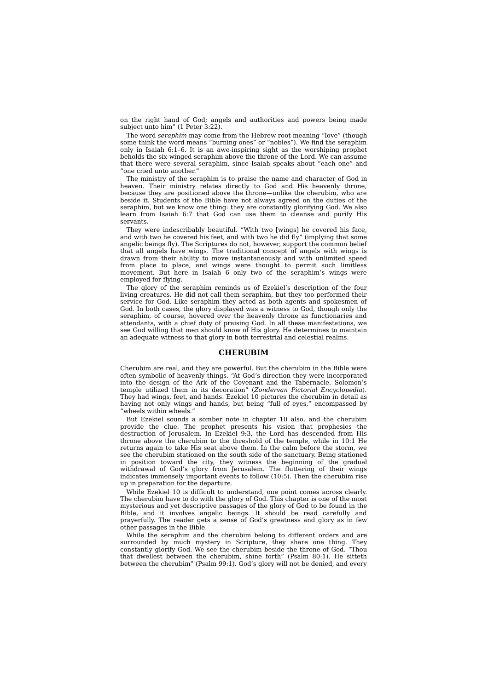on the right hand of God; angels and authorities and powers being made subject unto him" (1 Peter 3:22).

The word *seraphim* may come from the Hebrew root meaning "love" (though some think the word means "burning ones" or "nobles"). We find the seraphim only in Isaiah 6:1–6. It is an awe-inspiring sight as the worshiping prophet beholds the six-winged seraphim above the throne of the Lord. We can assume that there were several seraphim, since Isaiah speaks about "each one" and "one cried unto another."

The ministry of the seraphim is to praise the name and character of God in heaven. Their ministry relates directly to God and His heavenly throne, because they are positioned above the throne—unlike the cherubim, who are beside it. Students of the Bible have not always agreed on the duties of the seraphim, but we know one thing: they are constantly glorifying God. We also learn from Isaiah 6:7 that God can use them to cleanse and purify His servants.

They were indescribably beautiful. "With two [wings] he covered his face, and with two he covered his feet, and with two he did fly" (implying that some angelic beings fly). The Scriptures do not, however, support the common belief that all angels have wings. The traditional concept of angels with wings is drawn from their ability to move instantaneously and with unlimited speed from place to place, and wings were thought to permit such limitless movement. But here in Isaiah 6 only two of the seraphim's wings were employed for flying.

The glory of the seraphim reminds us of Ezekiel's description of the four living creatures. He did not call them seraphim, but they too performed their service for God. Like seraphim they acted as both agents and spokesmen of God. In both cases, the glory displayed was a witness to God, though only the seraphim, of course, hovered over the heavenly throne as functionaries and attendants, with a chief duty of praising God. In all these manifestations, we see God willing that men should know of His glory. He determines to maintain an adequate witness to that glory in both terrestrial and celestial realms.

#### **CHERUBIM**

Cherubim are real, and they are powerful. But the cherubim in the Bible were often symbolic of heavenly things. "At God's direction they were incorporated into the design of the Ark of the Covenant and the Tabernacle. Solomon's temple utilized them in its decoration" (*Zondervan Pictorial Encyclopedia*). They had wings, feet, and hands. Ezekiel 10 pictures the cherubim in detail as having not only wings and hands, but being "full of eyes," encompassed by "wheels within wheels."

But Ezekiel sounds a somber note in chapter 10 also, and the cherubim provide the clue. The prophet presents his vision that prophesies the destruction of Jerusalem. In Ezekiel 9:3, the Lord has descended from His throne above the cherubim to the threshold of the temple, while in 10:1 He returns again to take His seat above them. In the calm before the storm, we see the cherubim stationed on the south side of the sanctuary. Being stationed in position toward the city, they witness the beginning of the gradual withdrawal of God's glory from Jerusalem. The fluttering of their wings indicates immensely important events to follow (10:5). Then the cherubim rise up in preparation for the departure.

While Ezekiel 10 is difficult to understand, one point comes across clearly. The cherubim have to do with the glory of God. This chapter is one of the most mysterious and yet descriptive passages of the glory of God to be found in the Bible, and it involves angelic beings. It should be read carefully and prayerfully. The reader gets a sense of God's greatness and glory as in few other passages in the Bible.

While the seraphim and the cherubim belong to different orders and are surrounded by much mystery in Scripture, they share one thing. They constantly glorify God. We see the cherubim beside the throne of God. "Thou that dwellest between the cherubim, shine forth" (Psalm 80:1). He sitteth between the cherubim" (Psalm 99:1). God's glory will not be denied, and every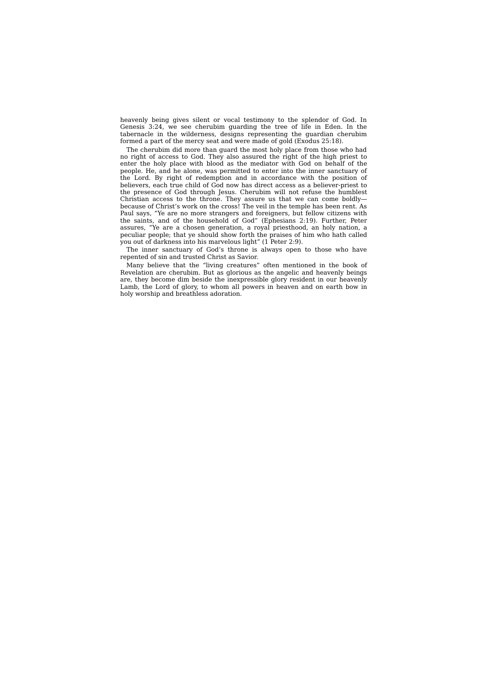heavenly being gives silent or vocal testimony to the splendor of God. In Genesis 3:24, we see cherubim guarding the tree of life in Eden. In the tabernacle in the wilderness, designs representing the guardian cherubim formed a part of the mercy seat and were made of gold (Exodus 25:18).

The cherubim did more than guard the most holy place from those who had no right of access to God. They also assured the right of the high priest to enter the holy place with blood as the mediator with God on behalf of the people. He, and he alone, was permitted to enter into the inner sanctuary of the Lord. By right of redemption and in accordance with the position of believers, each true child of God now has direct access as a believer-priest to the presence of God through Jesus. Cherubim will not refuse the humblest Christian access to the throne. They assure us that we can come boldly because of Christ's work on the cross! The veil in the temple has been rent. As Paul says, "Ye are no more strangers and foreigners, but fellow citizens with the saints, and of the household of God" (Ephesians 2:19). Further, Peter assures, "Ye are a chosen generation, a royal priesthood, an holy nation, a peculiar people; that ye should show forth the praises of him who hath called you out of darkness into his marvelous light" (1 Peter 2:9).

The inner sanctuary of God's throne is always open to those who have repented of sin and trusted Christ as Savior.

Many believe that the "living creatures" often mentioned in the book of Revelation are cherubim. But as glorious as the angelic and heavenly beings are, they become dim beside the inexpressible glory resident in our heavenly Lamb, the Lord of glory, to whom all powers in heaven and on earth bow in holy worship and breathless adoration.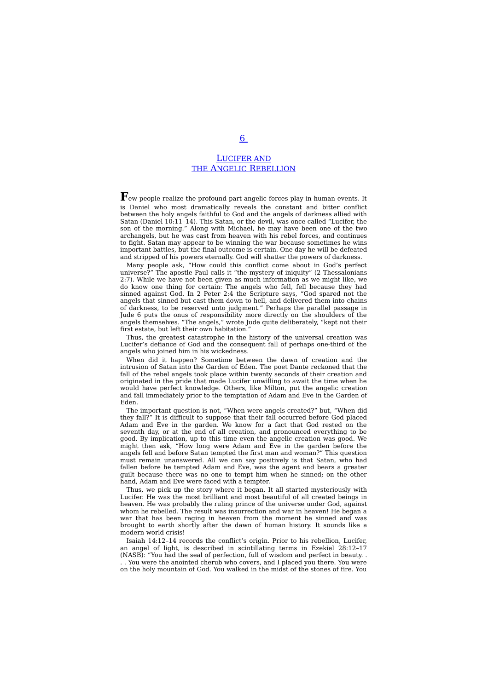## LUCIFER AND THE ANGELIC REBELLION

 $\mathbf{F}_{\text{ew}}$  people realize the profound part angelic forces play in human events. It is Daniel who most dramatically reveals the constant and bitter conflict between the holy angels faithful to God and the angels of darkness allied with Satan (Daniel 10:11–14). This Satan, or the devil, was once called "Lucifer, the son of the morning." Along with Michael, he may have been one of the two archangels, but he was cast from heaven with his rebel forces, and continues to fight. Satan may appear to be winning the war because sometimes he wins important battles, but the final outcome is certain. One day he will be defeated and stripped of his powers eternally. God will shatter the powers of darkness.

Many people ask, "How could this conflict come about in God's perfect universe?" The apostle Paul calls it "the mystery of iniquity" (2 Thessalonians 2:7). While we have not been given as much information as we might like, we do know one thing for certain: The angels who fell, fell because they had sinned against God. In 2 Peter 2:4 the Scripture says, "God spared not the angels that sinned but cast them down to hell, and delivered them into chains of darkness, to be reserved unto judgment." Perhaps the parallel passage in Jude 6 puts the onus of responsibility more directly on the shoulders of the angels themselves. "The angels," wrote Jude quite deliberately, "kept not their first estate, but left their own habitation."

Thus, the greatest catastrophe in the history of the universal creation was Lucifer's defiance of God and the consequent fall of perhaps one-third of the angels who joined him in his wickedness.

When did it happen? Sometime between the dawn of creation and the intrusion of Satan into the Garden of Eden. The poet Dante reckoned that the fall of the rebel angels took place within twenty seconds of their creation and originated in the pride that made Lucifer unwilling to await the time when he would have perfect knowledge. Others, like Milton, put the angelic creation and fall immediately prior to the temptation of Adam and Eve in the Garden of Eden.

The important question is not, "When were angels created?" but, "When did they fall?" It is difficult to suppose that their fall occurred before God placed Adam and Eve in the garden. We know for a fact that God rested on the seventh day, or at the end of all creation, and pronounced everything to be good. By implication, up to this time even the angelic creation was good. We might then ask, "How long were Adam and Eve in the garden before the angels fell and before Satan tempted the first man and woman?" This question must remain unanswered. All we can say positively is that Satan, who had fallen before he tempted Adam and Eve, was the agent and bears a greater guilt because there was no one to tempt him when he sinned; on the other hand, Adam and Eve were faced with a tempter.

Thus, we pick up the story where it began. It all started mysteriously with Lucifer. He was the most brilliant and most beautiful of all created beings in heaven. He was probably the ruling prince of the universe under God, against whom he rebelled. The result was insurrection and war in heaven! He began a war that has been raging in heaven from the moment he sinned and was brought to earth shortly after the dawn of human history. It sounds like a modern world crisis!

Isaiah 14:12–14 records the conflict's origin. Prior to his rebellion, Lucifer, an angel of light, is described in scintillating terms in Ezekiel 28:12–17 (NASB): "You had the seal of perfection, full of wisdom and perfect in beauty. .

. . You were the anointed cherub who covers, and I placed you there. You were on the holy mountain of God. You walked in the midst of the stones of fire. You

6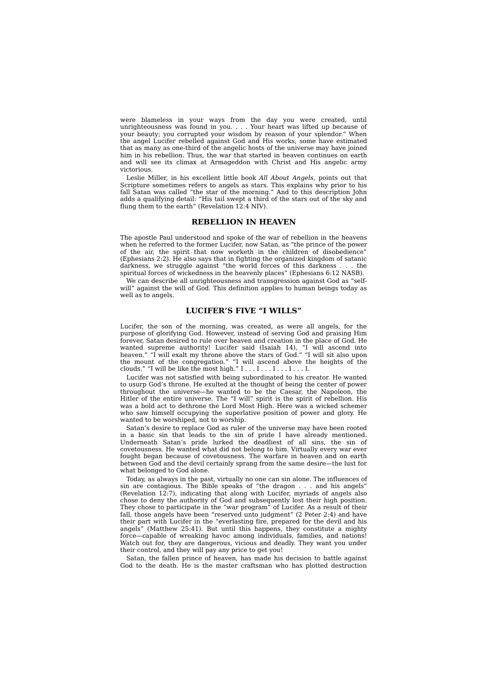were blameless in your ways from the day you were created, until unrighteousness was found in you. . . . Your heart was lifted up because of your beauty; you corrupted your wisdom by reason of your splendor." When the angel Lucifer rebelled against God and His works, some have estimated that as many as one-third of the angelic hosts of the universe may have joined him in his rebellion. Thus, the war that started in heaven continues on earth and will see its climax at Armageddon with Christ and His angelic army victorious.

Leslie Miller, in his excellent little book *All About Angels*, points out that Scripture sometimes refers to angels as stars. This explains why prior to his fall Satan was called "the star of the morning." And to this description John adds a qualifying detail: "His tail swept a third of the stars out of the sky and flung them to the earth" (Revelation 12:4 NIV).

#### **REBELLION IN HEAVEN**

The apostle Paul understood and spoke of the war of rebellion in the heavens when he referred to the former Lucifer, now Satan, as "the prince of the power of the air, the spirit that now worketh in the children of disobedience" (Ephesians 2:2). He also says that in fighting the organized kingdom of satanic darkness, we struggle against "the world forces of this darkness . . . the spiritual forces of wickedness in the heavenly places" (Ephesians 6:12 NASB).

We can describe all unrighteousness and transgression against God as "selfwill" against the will of God. This definition applies to human beings today as well as to angels.

## **LUCIFER'S FIVE "I WILLS"**

Lucifer, the son of the morning, was created, as were all angels, for the purpose of glorifying God. However, instead of serving God and praising Him forever, Satan desired to rule over heaven and creation in the place of God. He wanted supreme authority! Lucifer said (Isaiah 14), "I will ascend into heaven." "I will exalt my throne above the stars of God." "I will sit also upon the mount of the congregation." "I will ascend above the heights of the clouds." "I will be like the most high." I . . . I . . . I . . . I . . . I.

Lucifer was not satisfied with being subordinated to his creator. He wanted to usurp God's throne. He exulted at the thought of being the center of power throughout the universe—he wanted to be the Caesar, the Napoleon, the Hitler of the entire universe. The "I will" spirit is the spirit of rebellion. His was a bold act to dethrone the Lord Most High. Here was a wicked schemer who saw himself occupying the superlative position of power and glory. He wanted to be worshiped, not to worship.

Satan's desire to replace God as ruler of the universe may have been rooted in a basic sin that leads to the sin of pride I have already mentioned. Underneath Satan's pride lurked the deadliest of all sins, the sin of covetousness. He wanted what did not belong to him. Virtually every war ever fought began because of covetousness. The warfare in heaven and on earth between God and the devil certainly sprang from the same desire—the lust for what belonged to God alone.

Today, as always in the past, virtually no one can sin alone. The influences of sin are contagious. The Bible speaks of "the dragon . . . and his angels" (Revelation 12:7), indicating that along with Lucifer, myriads of angels also chose to deny the authority of God and subsequently lost their high position. They chose to participate in the "war program" of Lucifer. As a result of their fall, those angels have been "reserved unto judgment" (2 Peter 2:4) and have their part with Lucifer in the "everlasting fire, prepared for the devil and his angels" (Matthew 25:41). But until this happens, they constitute a mighty force—capable of wreaking havoc among individuals, families, and nations! Watch out for, they are dangerous, vicious and deadly. They want you under their control, and they will pay any price to get you!

Satan, the fallen prince of heaven, has made his decision to battle against God to the death. He is the master craftsman who has plotted destruction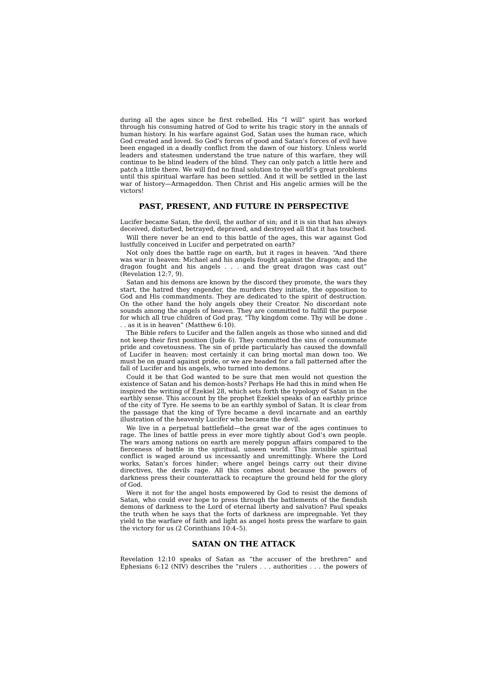during all the ages since he first rebelled. His "I will" spirit has worked through his consuming hatred of God to write his tragic story in the annals of human history. In his warfare against God, Satan uses the human race, which God created and loved. So God's forces of good and Satan's forces of evil have been engaged in a deadly conflict from the dawn of our history. Unless world leaders and statesmen understand the true nature of this warfare, they will continue to be blind leaders of the blind. They can only patch a little here and patch a little there. We will find no final solution to the world's great problems until this spiritual warfare has been settled. And it will be settled in the last war of history—Armageddon. Then Christ and His angelic armies will be the victors!

#### **PAST, PRESENT, AND FUTURE IN PERSPECTIVE**

Lucifer became Satan, the devil, the author of sin; and it is sin that has always deceived, disturbed, betrayed, depraved, and destroyed all that it has touched.

Will there never be an end to this battle of the ages, this war against God lustfully conceived in Lucifer and perpetrated on earth?

Not only does the battle rage on earth, but it rages in heaven. "And there was war in heaven: Michael and his angels fought against the dragon; and the dragon fought and his angels . . . and the great dragon was cast out" (Revelation 12:7, 9).

Satan and his demons are known by the discord they promote, the wars they start, the hatred they engender, the murders they initiate, the opposition to God and His commandments. They are dedicated to the spirit of destruction. On the other hand the holy angels obey their Creator. No discordant note sounds among the angels of heaven. They are committed to fulfill the purpose for which all true children of God pray, "Thy kingdom come. Thy will be done . . . as it is in heaven" (Matthew 6:10).

The Bible refers to Lucifer and the fallen angels as those who sinned and did not keep their first position (Jude 6). They committed the sins of consummate pride and covetousness. The sin of pride particularly has caused the downfall of Lucifer in heaven; most certainly it can bring mortal man down too. We must be on guard against pride, or we are headed for a fall patterned after the fall of Lucifer and his angels, who turned into demons.

Could it be that God wanted to be sure that men would not question the existence of Satan and his demon-hosts? Perhaps He had this in mind when He inspired the writing of Ezekiel 28, which sets forth the typology of Satan in the earthly sense. This account by the prophet Ezekiel speaks of an earthly prince of the city of Tyre. He seems to be an earthly symbol of Satan. It is clear from the passage that the king of Tyre became a devil incarnate and an earthly illustration of the heavenly Lucifer who became the devil.

We live in a perpetual battlefield—the great war of the ages continues to rage. The lines of battle press in ever more tightly about God's own people. The wars among nations on earth are merely popgun affairs compared to the fierceness of battle in the spiritual, unseen world. This invisible spiritual conflict is waged around us incessantly and unremittingly. Where the Lord works, Satan's forces hinder; where angel beings carry out their divine directives, the devils rage. All this comes about because the powers of darkness press their counterattack to recapture the ground held for the glory of God.

Were it not for the angel hosts empowered by God to resist the demons of Satan, who could ever hope to press through the battlements of the fiendish demons of darkness to the Lord of eternal liberty and salvation? Paul speaks the truth when he says that the forts of darkness are impregnable. Yet they yield to the warfare of faith and light as angel hosts press the warfare to gain the victory for us  $(2$  Corinthians  $10:4-5$ ).

## **SATAN ON THE ATTACK**

Revelation 12:10 speaks of Satan as "the accuser of the brethren" and Ephesians 6:12 (NIV) describes the "rulers . . . authorities . . . the powers of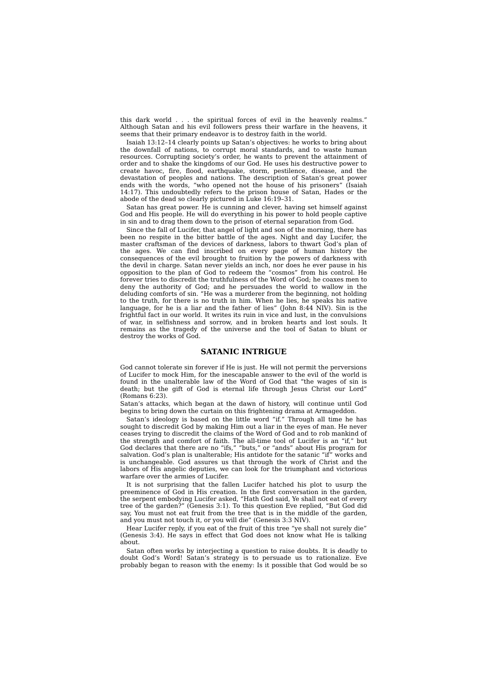this dark world . . . the spiritual forces of evil in the heavenly realms." Although Satan and his evil followers press their warfare in the heavens, it seems that their primary endeavor is to destroy faith in the world.

Isaiah 13:12–14 clearly points up Satan's objectives: he works to bring about the downfall of nations, to corrupt moral standards, and to waste human resources. Corrupting society's order, he wants to prevent the attainment of order and to shake the kingdoms of our God. He uses his destructive power to create havoc, fire, flood, earthquake, storm, pestilence, disease, and the devastation of peoples and nations. The description of Satan's great power ends with the words, "who opened not the house of his prisoners" (Isaiah 14:17). This undoubtedly refers to the prison house of Satan, Hades or the abode of the dead so clearly pictured in Luke 16:19–31.

Satan has great power. He is cunning and clever, having set himself against God and His people. He will do everything in his power to hold people captive in sin and to drag them down to the prison of eternal separation from God.

Since the fall of Lucifer, that angel of light and son of the morning, there has been no respite in the bitter battle of the ages. Night and day Lucifer, the master craftsman of the devices of darkness, labors to thwart God's plan of the ages. We can find inscribed on every page of human history the consequences of the evil brought to fruition by the powers of darkness with the devil in charge. Satan never yields an inch, nor does he ever pause in his opposition to the plan of God to redeem the "cosmos" from his control. He forever tries to discredit the truthfulness of the Word of God; he coaxes men to deny the authority of God; and he persuades the world to wallow in the deluding comforts of sin. "He was a murderer from the beginning, not holding to the truth, for there is no truth in him. When he lies, he speaks his native language, for he is a liar and the father of lies" (John 8:44 NIV). Sin is the frightful fact in our world. It writes its ruin in vice and lust, in the convulsions of war, in selfishness and sorrow, and in broken hearts and lost souls. It remains as the tragedy of the universe and the tool of Satan to blunt or destroy the works of God.

#### **SATANIC INTRIGUE**

God cannot tolerate sin forever if He is just. He will not permit the perversions of Lucifer to mock Him, for the inescapable answer to the evil of the world is found in the unalterable law of the Word of God that "the wages of sin is death; but the gift of God is eternal life through Jesus Christ our Lord" (Romans 6:23).

Satan's attacks, which began at the dawn of history, will continue until God begins to bring down the curtain on this frightening drama at Armageddon.

Satan's ideology is based on the little word "if." Through all time he has sought to discredit God by making Him out a liar in the eyes of man. He never ceases trying to discredit the claims of the Word of God and to rob mankind of the strength and comfort of faith. The all-time tool of Lucifer is an "if," but God declares that there are no "ifs," "buts," or "ands" about His program for salvation. God's plan is unalterable; His antidote for the satanic "if" works and is unchangeable. God assures us that through the work of Christ and the labors of His angelic deputies, we can look for the triumphant and victorious warfare over the armies of Lucifer.

It is not surprising that the fallen Lucifer hatched his plot to usurp the preeminence of God in His creation. In the first conversation in the garden, the serpent embodying Lucifer asked, "Hath God said, Ye shall not eat of every tree of the garden?" (Genesis 3:1). To this question Eve replied, "But God did say, You must not eat fruit from the tree that is in the middle of the garden, and you must not touch it, or you will die" (Genesis 3:3 NIV).

Hear Lucifer reply, if you eat of the fruit of this tree "ye shall not surely die" (Genesis 3:4). He says in effect that God does not know what He is talking about.

Satan often works by interjecting a question to raise doubts. It is deadly to doubt God's Word! Satan's strategy is to persuade us to rationalize. Eve probably began to reason with the enemy: Is it possible that God would be so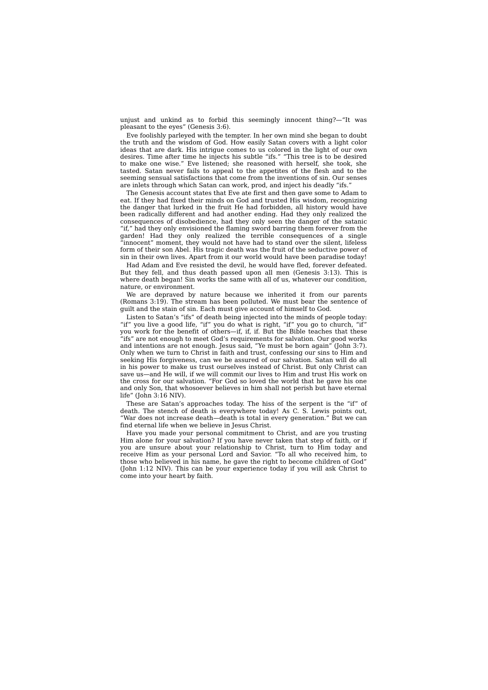unjust and unkind as to forbid this seemingly innocent thing?—"It was pleasant to the eyes" (Genesis 3:6).

Eve foolishly parleyed with the tempter. In her own mind she began to doubt the truth and the wisdom of God. How easily Satan covers with a light color ideas that are dark. His intrigue comes to us colored in the light of our own desires. Time after time he injects his subtle "ifs." "This tree is to be desired to make one wise." Eve listened; she reasoned with herself, she took, she tasted. Satan never fails to appeal to the appetites of the flesh and to the seeming sensual satisfactions that come from the inventions of sin. Our senses are inlets through which Satan can work, prod, and inject his deadly "ifs."

The Genesis account states that Eve ate first and then gave some to Adam to eat. If they had fixed their minds on God and trusted His wisdom, recognizing the danger that lurked in the fruit He had forbidden, all history would have been radically different and had another ending. Had they only realized the consequences of disobedience, had they only seen the danger of the satanic "if," had they only envisioned the flaming sword barring them forever from the garden! Had they only realized the terrible consequences of a single "innocent" moment, they would not have had to stand over the silent, lifeless form of their son Abel. His tragic death was the fruit of the seductive power of sin in their own lives. Apart from it our world would have been paradise today!

Had Adam and Eve resisted the devil, he would have fled, forever defeated. But they fell, and thus death passed upon all men (Genesis 3:13). This is where death began! Sin works the same with all of us, whatever our condition, nature, or environment.

We are depraved by nature because we inherited it from our parents (Romans 3:19). The stream has been polluted. We must bear the sentence of guilt and the stain of sin. Each must give account of himself to God.

Listen to Satan's "ifs" of death being injected into the minds of people today: "if" you live a good life, "if" you do what is right, "if" you go to church, "if" you work for the benefit of others—if, if, if. But the Bible teaches that these "ifs" are not enough to meet God's requirements for salvation. Our good works and intentions are not enough. Jesus said, "Ye must be born again" (John 3:7). Only when we turn to Christ in faith and trust, confessing our sins to Him and seeking His forgiveness, can we be assured of our salvation. Satan will do all in his power to make us trust ourselves instead of Christ. But only Christ can save us—and He will, if we will commit our lives to Him and trust His work on the cross for our salvation. "For God so loved the world that he gave his one and only Son, that whosoever believes in him shall not perish but have eternal life" (John 3:16 NIV).

These are Satan's approaches today. The hiss of the serpent is the "if" of death. The stench of death is everywhere today! As C. S. Lewis points out, "War does not increase death—death is total in every generation." But we can find eternal life when we believe in Jesus Christ.

Have you made your personal commitment to Christ, and are you trusting Him alone for your salvation? If you have never taken that step of faith, or if you are unsure about your relationship to Christ, turn to Him today and receive Him as your personal Lord and Savior. "To all who received him, to those who believed in his name, he gave the right to become children of God" (John 1:12 NIV). This can be your experience today if you will ask Christ to come into your heart by faith.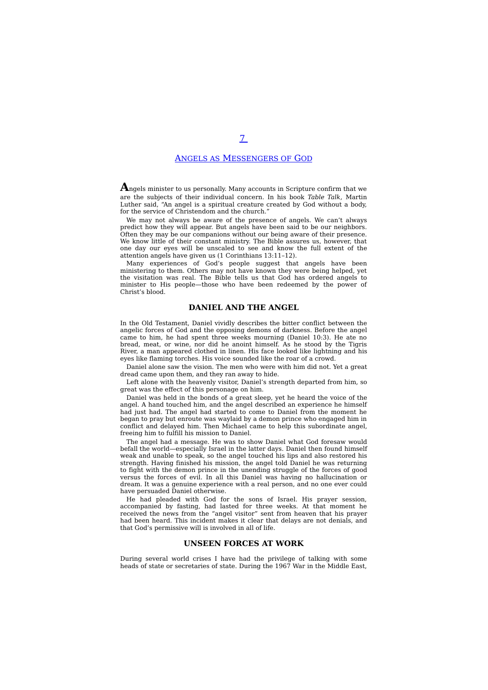# ANGELS AS MESSENGERS OF GOD

**A**ngels minister to us personally. Many accounts in Scripture confirm that we are the subjects of their individual concern. In his book *Table Talk*, Martin Luther said, "An angel is a spiritual creature created by God without a body, for the service of Christendom and the church."

We may not always be aware of the presence of angels. We can't always predict how they will appear. But angels have been said to be our neighbors. Often they may be our companions without our being aware of their presence. We know little of their constant ministry. The Bible assures us, however, that one day our eyes will be unscaled to see and know the full extent of the attention angels have given us (1 Corinthians 13:11–12).

Many experiences of God's people suggest that angels have been ministering to them. Others may not have known they were being helped, yet the visitation was real. The Bible tells us that God has ordered angels to minister to His people—those who have been redeemed by the power of Christ's blood.

#### **DANIEL AND THE ANGEL**

In the Old Testament, Daniel vividly describes the bitter conflict between the angelic forces of God and the opposing demons of darkness. Before the angel came to him, he had spent three weeks mourning (Daniel 10:3). He ate no bread, meat, or wine, nor did he anoint himself. As he stood by the Tigris River, a man appeared clothed in linen. His face looked like lightning and his eyes like flaming torches. His voice sounded like the roar of a crowd.

Daniel alone saw the vision. The men who were with him did not. Yet a great dread came upon them, and they ran away to hide.

Left alone with the heavenly visitor, Daniel's strength departed from him, so great was the effect of this personage on him.

Daniel was held in the bonds of a great sleep, yet he heard the voice of the angel. A hand touched him, and the angel described an experience he himself had just had. The angel had started to come to Daniel from the moment he began to pray but enroute was waylaid by a demon prince who engaged him in conflict and delayed him. Then Michael came to help this subordinate angel, freeing him to fulfill his mission to Daniel.

The angel had a message. He was to show Daniel what God foresaw would befall the world—especially Israel in the latter days. Daniel then found himself weak and unable to speak, so the angel touched his lips and also restored his strength. Having finished his mission, the angel told Daniel he was returning to fight with the demon prince in the unending struggle of the forces of good versus the forces of evil. In all this Daniel was having no hallucination or dream. It was a genuine experience with a real person, and no one ever could have persuaded Daniel otherwise.

He had pleaded with God for the sons of Israel. His prayer session, accompanied by fasting, had lasted for three weeks. At that moment he received the news from the "angel visitor" sent from heaven that his prayer had been heard. This incident makes it clear that delays are not denials, and that God's permissive will is involved in all of life.

## **UNSEEN FORCES AT WORK**

During several world crises I have had the privilege of talking with some heads of state or secretaries of state. During the 1967 War in the Middle East,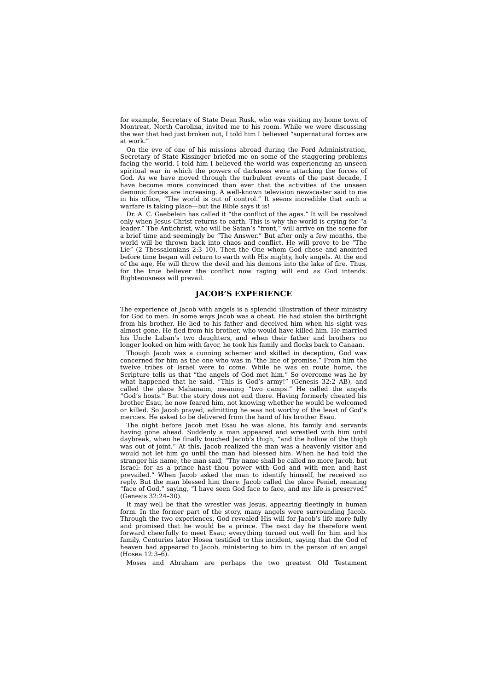for example, Secretary of State Dean Rusk, who was visiting my home town of Montreat, North Carolina, invited me to his room. While we were discussing the war that had just broken out, I told him I believed "supernatural forces are at work."

On the eve of one of his missions abroad during the Ford Administration, Secretary of State Kissinger briefed me on some of the staggering problems facing the world. I told him I believed the world was experiencing an unseen spiritual war in which the powers of darkness were attacking the forces of God. As we have moved through the turbulent events of the past decade, I have become more convinced than ever that the activities of the unseen demonic forces are increasing. A well-known television newscaster said to me in his office, "The world is out of control." It seems incredible that such a warfare is taking place—but the Bible says it is!

Dr. A. C. Gaebelein has called it "the conflict of the ages." It will be resolved only when Jesus Christ returns to earth. This is why the world is crying for "a leader." The Antichrist, who will be Satan's "front," will arrive on the scene for a brief time and seemingly be "The Answer." But after only a few months, the world will be thrown back into chaos and conflict. He will prove to be "The Lie" (2 Thessalonians 2:3–10). Then the One whom God chose and anointed before time began will return to earth with His mighty, holy angels. At the end of the age, He will throw the devil and his demons into the lake of fire. Thus, for the true believer the conflict now raging will end as God intends. Righteousness will prevail.

#### **JACOB'S EXPERIENCE**

The experience of Jacob with angels is a splendid illustration of their ministry for God to men. In some ways Jacob was a cheat. He had stolen the birthright from his brother. He lied to his father and deceived him when his sight was almost gone. He fled from his brother, who would have killed him. He married his Uncle Laban's two daughters, and when their father and brothers no longer looked on him with favor, he took his family and flocks back to Canaan.

Though Jacob was a cunning schemer and skilled in deception, God was concerned for him as the one who was in "the line of promise." From him the twelve tribes of Israel were to come. While he was en route home, the Scripture tells us that "the angels of God met him." So overcome was he by what happened that he said, "This is God's army!" (Genesis 32:2 AB), and called the place Mahanaim, meaning "two camps." He called the angels "God's hosts." But the story does not end there. Having formerly cheated his brother Esau, he now feared him, not knowing whether he would be welcomed or killed. So Jacob prayed, admitting he was not worthy of the least of God's mercies. He asked to be delivered from the hand of his brother Esau.

The night before Jacob met Esau he was alone, his family and servants having gone ahead. Suddenly a man appeared and wrestled with him until daybreak, when he finally touched Jacob's thigh, "and the hollow of the thigh was out of joint." At this, Jacob realized the man was a heavenly visitor and would not let him go until the man had blessed him. When he had told the stranger his name, the man said, "Thy name shall be called no more Jacob, but Israel: for as a prince hast thou power with God and with men and hast prevailed." When Jacob asked the man to identify himself, he received no reply. But the man blessed him there. Jacob called the place Peniel, meaning "face of God," saying, "I have seen God face to face, and my life is preserved (Genesis 32:24–30).

It may well be that the wrestler was Jesus, appearing fleetingly in human form. In the former part of the story, many angels were surrounding Jacob. Through the two experiences, God revealed His will for Jacob's life more fully and promised that he would be a prince. The next day he therefore went forward cheerfully to meet Esau; everything turned out well for him and his family. Centuries later Hosea testified to this incident, saying that the God of heaven had appeared to Jacob, ministering to him in the person of an angel (Hosea 12:3–6).

Moses and Abraham are perhaps the two greatest Old Testament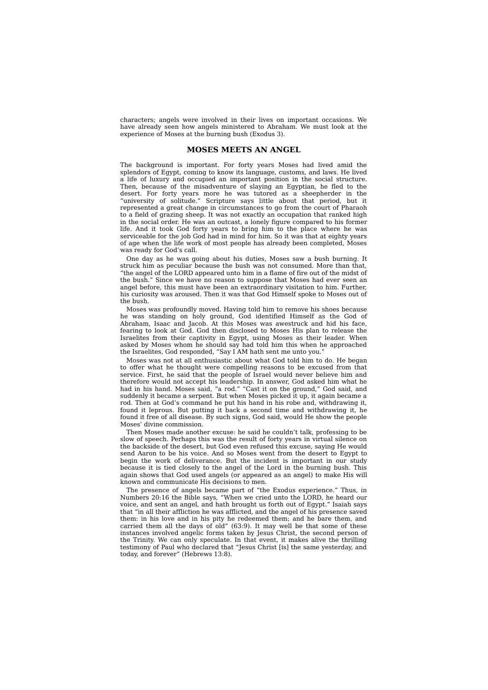characters; angels were involved in their lives on important occasions. We have already seen how angels ministered to Abraham. We must look at the experience of Moses at the burning bush (Exodus 3).

### **MOSES MEETS AN ANGEL**

The background is important. For forty years Moses had lived amid the splendors of Egypt, coming to know its language, customs, and laws. He lived a life of luxury and occupied an important position in the social structure. Then, because of the misadventure of slaying an Egyptian, he fled to the desert. For forty years more he was tutored as a sheepherder in the "university of solitude." Scripture says little about that period, but it represented a great change in circumstances to go from the court of Pharaoh to a field of grazing sheep. It was not exactly an occupation that ranked high in the social order. He was an outcast, a lonely figure compared to his former life. And it took God forty years to bring him to the place where he was serviceable for the job God had in mind for him. So it was that at eighty years of age when the life work of most people has already been completed, Moses was ready for God's call.

One day as he was going about his duties, Moses saw a bush burning. It struck him as peculiar because the bush was not consumed. More than that, "the angel of the LORD appeared unto him in a flame of fire out of the midst of the bush." Since we have no reason to suppose that Moses had ever seen an angel before, this must have been an extraordinary visitation to him. Further, his curiosity was aroused. Then it was that God Himself spoke to Moses out of the bush.

Moses was profoundly moved. Having told him to remove his shoes because he was standing on holy ground, God identified Himself as the God of Abraham, Isaac and Jacob. At this Moses was awestruck and hid his face, fearing to look at God. God then disclosed to Moses His plan to release the Israelites from their captivity in Egypt, using Moses as their leader. When asked by Moses whom he should say had told him this when he approached the Israelites, God responded, "Say I AM hath sent me unto you."

Moses was not at all enthusiastic about what God told him to do. He began to offer what he thought were compelling reasons to be excused from that service. First, he said that the people of Israel would never believe him and therefore would not accept his leadership. In answer, God asked him what he had in his hand. Moses said, "a rod." "Cast it on the ground," God said, and suddenly it became a serpent. But when Moses picked it up, it again became a rod. Then at God's command he put his hand in his robe and, withdrawing it, found it leprous. But putting it back a second time and withdrawing it, he found it free of all disease. By such signs, God said, would He show the people Moses' divine commission.

Then Moses made another excuse: he said he couldn't talk, professing to be slow of speech. Perhaps this was the result of forty years in virtual silence on the backside of the desert, but God even refused this excuse, saying He would send Aaron to be his voice. And so Moses went from the desert to Egypt to begin the work of deliverance. But the incident is important in our study because it is tied closely to the angel of the Lord in the burning bush. This again shows that God used angels (or appeared as an angel) to make His will known and communicate His decisions to men.

The presence of angels became part of "the Exodus experience." Thus, in Numbers 20:16 the Bible says, "When we cried unto the LORD, he heard our voice, and sent an angel, and hath brought us forth out of Egypt." Isaiah says that "in all their affliction he was afflicted, and the angel of his presence saved them: in his love and in his pity he redeemed them; and he bare them, and carried them all the days of old" (63:9). It may well be that some of these instances involved angelic forms taken by Jesus Christ, the second person of the Trinity. We can only speculate. In that event, it makes alive the thrilling testimony of Paul who declared that "Jesus Christ [is] the same yesterday, and today, and forever" (Hebrews 13:8).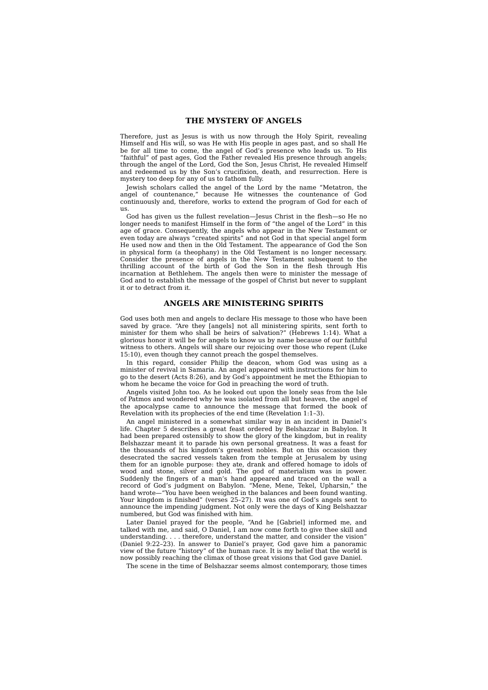## **THE MYSTERY OF ANGELS**

Therefore, just as Jesus is with us now through the Holy Spirit, revealing Himself and His will, so was He with His people in ages past, and so shall He be for all time to come, the angel of God's presence who leads us. To His "faithful" of past ages, God the Father revealed His presence through angels; through the angel of the Lord, God the Son, Jesus Christ, He revealed Himself and redeemed us by the Son's crucifixion, death, and resurrection. Here is mystery too deep for any of us to fathom fully.

Jewish scholars called the angel of the Lord by the name "Metatron, the angel of countenance," because He witnesses the countenance of God continuously and, therefore, works to extend the program of God for each of us.

God has given us the fullest revelation—Jesus Christ in the flesh—so He no longer needs to manifest Himself in the form of "the angel of the Lord" in this age of grace. Consequently, the angels who appear in the New Testament or even today are always "created spirits" and not God in that special angel form He used now and then in the Old Testament. The appearance of God the Son in physical form (a theophany) in the Old Testament is no longer necessary. Consider the presence of angels in the New Testament subsequent to the thrilling account of the birth of God the Son in the flesh through His incarnation at Bethlehem. The angels then were to minister the message of God and to establish the message of the gospel of Christ but never to supplant it or to detract from it.

### **ANGELS ARE MINISTERING SPIRITS**

God uses both men and angels to declare His message to those who have been saved by grace. "Are they [angels] not all ministering spirits, sent forth to minister for them who shall be heirs of salvation?" (Hebrews 1:14). What a glorious honor it will be for angels to know us by name because of our faithful witness to others. Angels will share our rejoicing over those who repent (Luke 15:10), even though they cannot preach the gospel themselves.

In this regard, consider Philip the deacon, whom God was using as a minister of revival in Samaria. An angel appeared with instructions for him to go to the desert (Acts 8:26), and by God's appointment he met the Ethiopian to whom he became the voice for God in preaching the word of truth.

Angels visited John too. As he looked out upon the lonely seas from the Isle of Patmos and wondered why he was isolated from all but heaven, the angel of the apocalypse came to announce the message that formed the book of Revelation with its prophecies of the end time (Revelation 1:1–3).

An angel ministered in a somewhat similar way in an incident in Daniel's life. Chapter 5 describes a great feast ordered by Belshazzar in Babylon. It had been prepared ostensibly to show the glory of the kingdom, but in reality Belshazzar meant it to parade his own personal greatness. It was a feast for the thousands of his kingdom's greatest nobles. But on this occasion they desecrated the sacred vessels taken from the temple at Jerusalem by using them for an ignoble purpose: they ate, drank and offered homage to idols of wood and stone, silver and gold. The god of materialism was in power. Suddenly the fingers of a man's hand appeared and traced on the wall a record of God's judgment on Babylon. "Mene, Mene, Tekel, Upharsin," the hand wrote—"You have been weighed in the balances and been found wanting. Your kingdom is finished" (verses 25–27). It was one of God's angels sent to announce the impending judgment. Not only were the days of King Belshazzar numbered, but God was finished with him.

Later Daniel prayed for the people, "And he [Gabriel] informed me, and talked with me, and said, O Daniel, I am now come forth to give thee skill and understanding. . . . therefore, understand the matter, and consider the vision" (Daniel 9:22–23). In answer to Daniel's prayer, God gave him a panoramic view of the future "history" of the human race. It is my belief that the world is now possibly reaching the climax of those great visions that God gave Daniel.

The scene in the time of Belshazzar seems almost contemporary, those times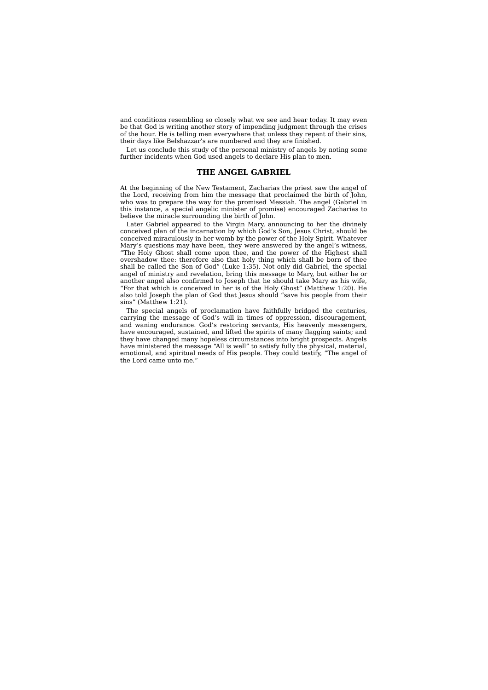and conditions resembling so closely what we see and hear today. It may even be that God is writing another story of impending judgment through the crises of the hour. He is telling men everywhere that unless they repent of their sins, their days like Belshazzar's are numbered and they are finished.

Let us conclude this study of the personal ministry of angels by noting some further incidents when God used angels to declare His plan to men.

#### **THE ANGEL GABRIEL**

At the beginning of the New Testament, Zacharias the priest saw the angel of the Lord, receiving from him the message that proclaimed the birth of John, who was to prepare the way for the promised Messiah. The angel (Gabriel in this instance, a special angelic minister of promise) encouraged Zacharias to believe the miracle surrounding the birth of John.

Later Gabriel appeared to the Virgin Mary, announcing to her the divinely conceived plan of the incarnation by which God's Son, Jesus Christ, should be conceived miraculously in her womb by the power of the Holy Spirit. Whatever Mary's questions may have been, they were answered by the angel's witness, "The Holy Ghost shall come upon thee, and the power of the Highest shall overshadow thee: therefore also that holy thing which shall be born of thee shall be called the Son of God" (Luke 1:35). Not only did Gabriel, the special angel of ministry and revelation, bring this message to Mary, but either he or another angel also confirmed to Joseph that he should take Mary as his wife, "For that which is conceived in her is of the Holy Ghost" (Matthew 1:20). He also told Joseph the plan of God that Jesus should "save his people from their sins" (Matthew 1:21).

The special angels of proclamation have faithfully bridged the centuries, carrying the message of God's will in times of oppression, discouragement, and waning endurance. God's restoring servants, His heavenly messengers, have encouraged, sustained, and lifted the spirits of many flagging saints; and they have changed many hopeless circumstances into bright prospects. Angels have ministered the message "All is well" to satisfy fully the physical, material, emotional, and spiritual needs of His people. They could testify, "The angel of the Lord came unto me."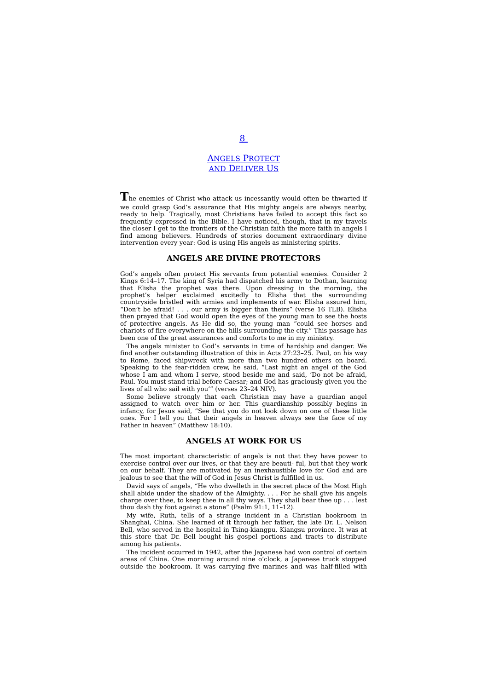# ANGELS PROTECT AND DELIVER US

**T**he enemies of Christ who attack us incessantly would often be thwarted if we could grasp God's assurance that His mighty angels are always nearby, ready to help. Tragically, most Christians have failed to accept this fact so frequently expressed in the Bible. I have noticed, though, that in my travels the closer I get to the frontiers of the Christian faith the more faith in angels I find among believers. Hundreds of stories document extraordinary divine intervention every year: God is using His angels as ministering spirits.

### **ANGELS ARE DIVINE PROTECTORS**

God's angels often protect His servants from potential enemies. Consider 2 Kings  $6:14-17$ . The king of Syria had dispatched his army to Dothan, learning that Elisha the prophet was there. Upon dressing in the morning, the prophet's helper exclaimed excitedly to Elisha that the surrounding countryside bristled with armies and implements of war. Elisha assured him, "Don't be afraid! . . . our army is bigger than theirs" (verse 16 TLB). Elisha then prayed that God would open the eyes of the young man to see the hosts of protective angels. As He did so, the young man "could see horses and chariots of fire everywhere on the hills surrounding the city." This passage has been one of the great assurances and comforts to me in my ministry.

The angels minister to God's servants in time of hardship and danger. We find another outstanding illustration of this in Acts 27:23–25. Paul, on his way to Rome, faced shipwreck with more than two hundred others on board. Speaking to the fear-ridden crew, he said, "Last night an angel of the God whose I am and whom I serve, stood beside me and said, 'Do not be afraid, Paul. You must stand trial before Caesar; and God has graciously given you the lives of all who sail with you'" (verses 23–24 NIV).

Some believe strongly that each Christian may have a guardian angel assigned to watch over him or her. This guardianship possibly begins in infancy, for Jesus said, "See that you do not look down on one of these little ones. For I tell you that their angels in heaven always see the face of my Father in heaven<sup>"</sup> (Matthew 18:10).

## **ANGELS AT WORK FOR US**

The most important characteristic of angels is not that they have power to exercise control over our lives, or that they are beauti- ful, but that they work on our behalf. They are motivated by an inexhaustible love for God and are jealous to see that the will of God in Jesus Christ is fulfilled in us.

David says of angels, "He who dwelleth in the secret place of the Most High shall abide under the shadow of the Almighty. . . . For he shall give his angels charge over thee, to keep thee in all thy ways. They shall bear thee up  $\ldots$  lest thou dash thy foot against a stone" (Psalm 91:1, 11–12).

My wife, Ruth, tells of a strange incident in a Christian bookroom in Shanghai, China. She learned of it through her father, the late Dr. L. Nelson Bell, who served in the hospital in Tsing-kiangpu, Kiangsu province. It was at this store that Dr. Bell bought his gospel portions and tracts to distribute among his patients.

The incident occurred in 1942, after the Japanese had won control of certain areas of China. One morning around nine o'clock, a Japanese truck stopped outside the bookroom. It was carrying five marines and was half-filled with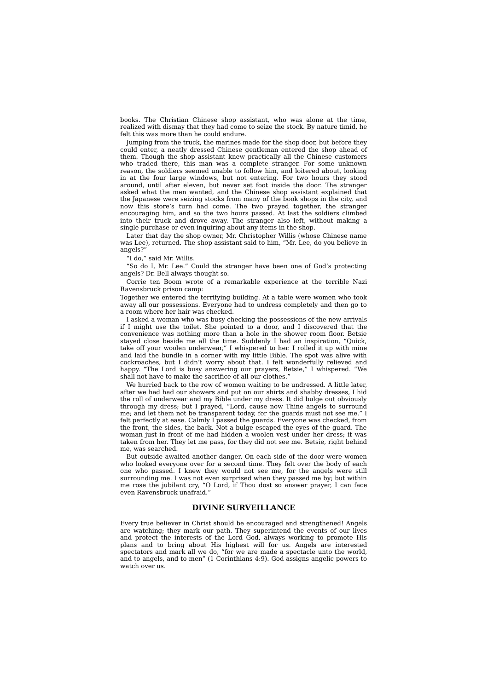books. The Christian Chinese shop assistant, who was alone at the time, realized with dismay that they had come to seize the stock. By nature timid, he felt this was more than he could endure.

Jumping from the truck, the marines made for the shop door, but before they could enter, a neatly dressed Chinese gentleman entered the shop ahead of them. Though the shop assistant knew practically all the Chinese customers who traded there, this man was a complete stranger. For some unknown reason, the soldiers seemed unable to follow him, and loitered about, looking in at the four large windows, but not entering. For two hours they stood around, until after eleven, but never set foot inside the door. The stranger asked what the men wanted, and the Chinese shop assistant explained that the Japanese were seizing stocks from many of the book shops in the city, and now this store's turn had come. The two prayed together, the stranger encouraging him, and so the two hours passed. At last the soldiers climbed into their truck and drove away. The stranger also left, without making a single purchase or even inquiring about any items in the shop.

Later that day the shop owner, Mr. Christopher Willis (whose Chinese name was Lee), returned. The shop assistant said to him, "Mr. Lee, do you believe in angels?

"I do," said Mr. Willis.

"So do I, Mr. Lee." Could the stranger have been one of God's protecting angels? Dr. Bell always thought so.

Corrie ten Boom wrote of a remarkable experience at the terrible Nazi Ravensbruck prison camp:

Together we entered the terrifying building. At a table were women who took away all our possessions. Everyone had to undress completely and then go to a room where her hair was checked.

I asked a woman who was busy checking the possessions of the new arrivals if I might use the toilet. She pointed to a door, and I discovered that the convenience was nothing more than a hole in the shower room floor. Betsie stayed close beside me all the time. Suddenly I had an inspiration, "Quick, take off your woolen underwear," I whispered to her. I rolled it up with mine and laid the bundle in a corner with my little Bible. The spot was alive with cockroaches, but I didn't worry about that. I felt wonderfully relieved and happy. "The Lord is busy answering our prayers, Betsie," I whispered. "We shall not have to make the sacrifice of all our clothes."

We hurried back to the row of women waiting to be undressed. A little later, after we had had our showers and put on our shirts and shabby dresses, I hid the roll of underwear and my Bible under my dress. It did bulge out obviously through my dress; but I prayed, "Lord, cause now Thine angels to surround me; and let them not be transparent today, for the guards must not see me." I felt perfectly at ease. Calmly I passed the guards. Everyone was checked, from the front, the sides, the back. Not a bulge escaped the eyes of the guard. The woman just in front of me had hidden a woolen vest under her dress; it was taken from her. They let me pass, for they did not see me. Betsie, right behind me, was searched.

But outside awaited another danger. On each side of the door were women who looked everyone over for a second time. They felt over the body of each one who passed. I knew they would not see me, for the angels were still surrounding me. I was not even surprised when they passed me by; but within me rose the jubilant cry, "O Lord, if Thou dost so answer prayer, I can face even Ravensbruck unafraid."

#### **DIVINE SURVEILLANCE**

Every true believer in Christ should be encouraged and strengthened! Angels are watching; they mark our path. They superintend the events of our lives and protect the interests of the Lord God, always working to promote His plans and to bring about His highest will for us. Angels are interested spectators and mark all we do, "for we are made a spectacle unto the world, and to angels, and to men" (1 Corinthians 4:9). God assigns angelic powers to watch over us.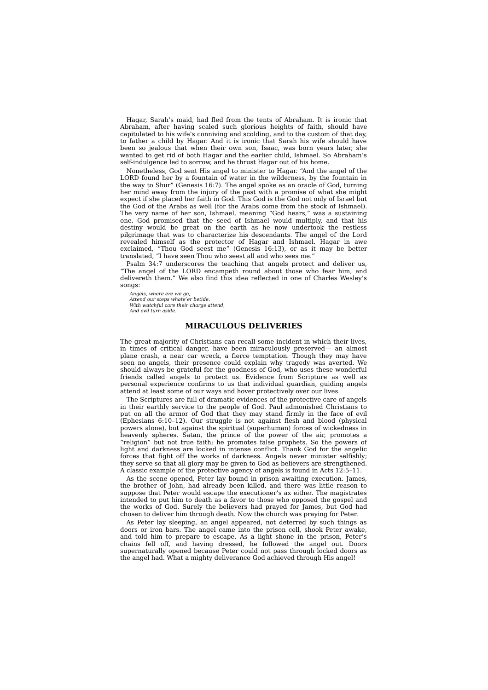Hagar, Sarah's maid, had fled from the tents of Abraham. It is ironic that Abraham, after having scaled such glorious heights of faith, should have capitulated to his wife's conniving and scolding, and to the custom of that day, to father a child by Hagar. And it is ironic that Sarah his wife should have been so jealous that when their own son, Isaac, was born years later, she wanted to get rid of both Hagar and the earlier child, Ishmael. So Abraham's self-indulgence led to sorrow, and he thrust Hagar out of his home.

Nonetheless, God sent His angel to minister to Hagar. "And the angel of the LORD found her by a fountain of water in the wilderness, by the fountain in the way to Shur" (Genesis 16:7). The angel spoke as an oracle of God, turning her mind away from the injury of the past with a promise of what she might expect if she placed her faith in God. This God is the God not only of Israel but the God of the Arabs as well (for the Arabs come from the stock of Ishmael). The very name of her son, Ishmael, meaning "God hears," was a sustaining one. God promised that the seed of Ishmael would multiply, and that his destiny would be great on the earth as he now undertook the restless pilgrimage that was to characterize his descendants. The angel of the Lord revealed himself as the protector of Hagar and Ishmael. Hagar in awe exclaimed, "Thou God seest me" (Genesis 16:13), or as it may be better translated, "I have seen Thou who seest all and who sees me."

Psalm 34:7 underscores the teaching that angels protect and deliver us, "The angel of the LORD encampeth round about those who fear him, and delivereth them." We also find this idea reflected in one of Charles Wesley's songs:

*Angels, where ere we go, Attend our steps whate'er betide. With watchful care their charge attend, And evil turn aside.*

#### **MIRACULOUS DELIVERIES**

The great majority of Christians can recall some incident in which their lives, in times of critical danger, have been miraculously preserved— an almost plane crash, a near car wreck, a fierce temptation. Though they may have seen no angels, their presence could explain why tragedy was averted. We should always be grateful for the goodness of God, who uses these wonderful friends called angels to protect us. Evidence from Scripture as well as personal experience confirms to us that individual guardian, guiding angels attend at least some of our ways and hover protectively over our lives.

The Scriptures are full of dramatic evidences of the protective care of angels in their earthly service to the people of God. Paul admonished Christians to put on all the armor of God that they may stand firmly in the face of evil (Ephesians 6:10–12). Our struggle is not against flesh and blood (physical powers alone), but against the spiritual (superhuman) forces of wickedness in heavenly spheres. Satan, the prince of the power of the air, promotes a "religion" but not true faith; he promotes false prophets. So the powers of light and darkness are locked in intense conflict. Thank God for the angelic forces that fight off the works of darkness. Angels never minister selfishly; they serve so that all glory may be given to God as believers are strengthened. A classic example of the protective agency of angels is found in Acts 12:5–11.

As the scene opened, Peter lay bound in prison awaiting execution. James, the brother of John, had already been killed, and there was little reason to suppose that Peter would escape the executioner's ax either. The magistrates intended to put him to death as a favor to those who opposed the gospel and the works of God. Surely the believers had prayed for James, but God had chosen to deliver him through death. Now the church was praying for Peter.

As Peter lay sleeping, an angel appeared, not deterred by such things as doors or iron bars. The angel came into the prison cell, shook Peter awake, and told him to prepare to escape. As a light shone in the prison, Peter's chains fell off, and having dressed, he followed the angel out. Doors supernaturally opened because Peter could not pass through locked doors as the angel had. What a mighty deliverance God achieved through His angel!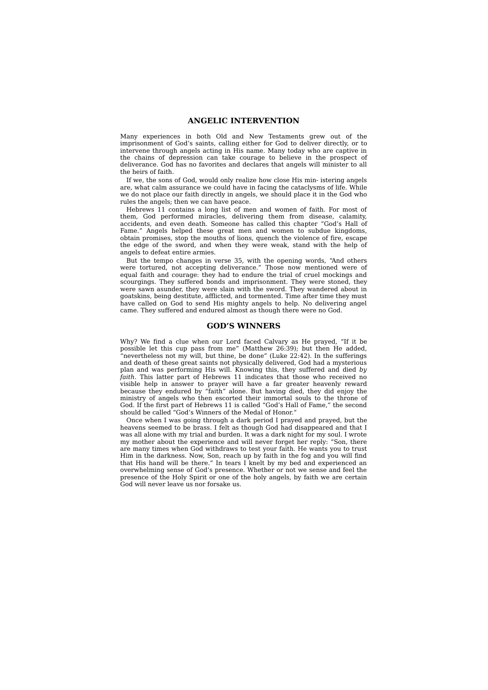## **ANGELIC INTERVENTION**

Many experiences in both Old and New Testaments grew out of the imprisonment of God's saints, calling either for God to deliver directly, or to intervene through angels acting in His name. Many today who are captive in the chains of depression can take courage to believe in the prospect of deliverance. God has no favorites and declares that angels will minister to all the heirs of faith.

If we, the sons of God, would only realize how close His min- istering angels are, what calm assurance we could have in facing the cataclysms of life. While we do not place our faith directly in angels, we should place it in the God who rules the angels; then we can have peace.

Hebrews 11 contains a long list of men and women of faith. For most of them, God performed miracles, delivering them from disease, calamity, accidents, and even death. Someone has called this chapter "God's Hall of Fame." Angels helped these great men and women to subdue kingdoms. obtain promises, stop the mouths of lions, quench the violence of fire, escape the edge of the sword, and when they were weak, stand with the help of angels to defeat entire armies.

But the tempo changes in verse 35, with the opening words, "And others were tortured, not accepting deliverance." Those now mentioned were of equal faith and courage: they had to endure the trial of cruel mockings and scourgings. They suffered bonds and imprisonment. They were stoned, they were sawn asunder, they were slain with the sword. They wandered about in goatskins, being destitute, afflicted, and tormented. Time after time they must have called on God to send His mighty angels to help. No delivering angel came. They suffered and endured almost as though there were no God.

#### **GOD'S WINNERS**

Why? We find a clue when our Lord faced Calvary as He prayed, "If it be possible let this cup pass from me" (Matthew 26:39); but then He added, "nevertheless not my will, but thine, be done" (Luke 22:42). In the sufferings and death of these great saints not physically delivered, God had a mysterious plan and was performing His will. Knowing this, they suffered and died *by faith*. This latter part of Hebrews 11 indicates that those who received no visible help in answer to prayer will have a far greater heavenly reward because they endured by "faith" alone. But having died, they did enjoy the ministry of angels who then escorted their immortal souls to the throne of God. If the first part of Hebrews 11 is called "God's Hall of Fame," the second should be called "God's Winners of the Medal of Honor."

Once when I was going through a dark period I prayed and prayed, but the heavens seemed to be brass. I felt as though God had disappeared and that I was all alone with my trial and burden. It was a dark night for my soul. I wrote my mother about the experience and will never forget her reply: "Son, there are many times when God withdraws to test your faith. He wants you to trust Him in the darkness. Now, Son, reach up by faith in the fog and you will find that His hand will be there." In tears I knelt by my bed and experienced an overwhelming sense of God's presence. Whether or not we sense and feel the presence of the Holy Spirit or one of the holy angels, by faith we are certain God will never leave us nor forsake us.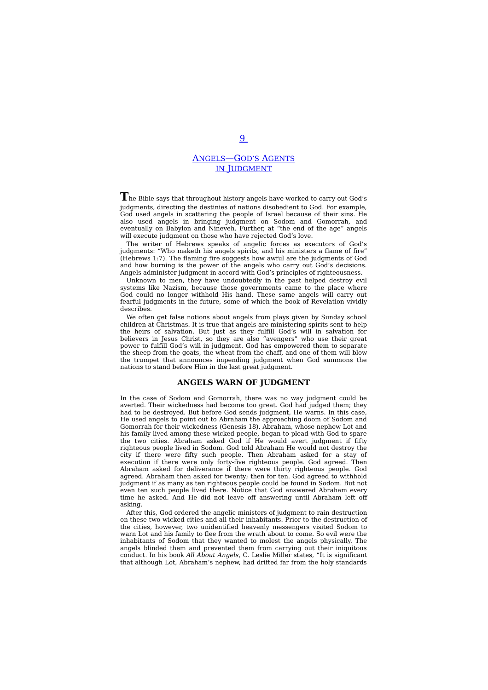# ANGELS—GOD'S AGENTS IN JUDGMENT

**T**he Bible says that throughout history angels have worked to carry out God's judgments, directing the destinies of nations disobedient to God. For example, God used angels in scattering the people of Israel because of their sins. He also used angels in bringing judgment on Sodom and Gomorrah, and eventually on Babylon and Nineveh. Further, at "the end of the age" angels will execute judgment on those who have rejected God's love.

The writer of Hebrews speaks of angelic forces as executors of God's judgments: "Who maketh his angels spirits, and his ministers a flame of fire" (Hebrews 1:7). The flaming fire suggests how awful are the judgments of God and how burning is the power of the angels who carry out God's decisions. Angels administer judgment in accord with God's principles of righteousness.

Unknown to men, they have undoubtedly in the past helped destroy evil systems like Nazism, because those governments came to the place where God could no longer withhold His hand. These same angels will carry out fearful judgments in the future, some of which the book of Revelation vividly describes.

We often get false notions about angels from plays given by Sunday school children at Christmas. It is true that angels are ministering spirits sent to help the heirs of salvation. But just as they fulfill God's will in salvation for believers in Jesus Christ, so they are also "avengers" who use their great power to fulfill God's will in judgment. God has empowered them to separate the sheep from the goats, the wheat from the chaff, and one of them will blow the trumpet that announces impending judgment when God summons the nations to stand before Him in the last great judgment.

## **ANGELS WARN OF JUDGMENT**

In the case of Sodom and Gomorrah, there was no way judgment could be averted. Their wickedness had become too great. God had judged them; they had to be destroyed. But before God sends judgment, He warns. In this case, He used angels to point out to Abraham the approaching doom of Sodom and Gomorrah for their wickedness (Genesis 18). Abraham, whose nephew Lot and his family lived among these wicked people, began to plead with God to spare the two cities. Abraham asked God if He would avert judgment if fifty righteous people lived in Sodom. God told Abraham He would not destroy the city if there were fifty such people. Then Abraham asked for a stay of execution if there were only forty-five righteous people. God agreed. Then Abraham asked for deliverance if there were thirty righteous people. God agreed. Abraham then asked for twenty; then for ten. God agreed to withhold judgment if as many as ten righteous people could be found in Sodom. But not even ten such people lived there. Notice that God answered Abraham every time he asked. And He did not leave off answering until Abraham left off asking.

After this, God ordered the angelic ministers of judgment to rain destruction on these two wicked cities and all their inhabitants. Prior to the destruction of the cities, however, two unidentified heavenly messengers visited Sodom to warn Lot and his family to flee from the wrath about to come. So evil were the inhabitants of Sodom that they wanted to molest the angels physically. The angels blinded them and prevented them from carrying out their iniquitous conduct. In his book *All About Angels*, C. Leslie Miller states, "It is significant that although Lot, Abraham's nephew, had drifted far from the holy standards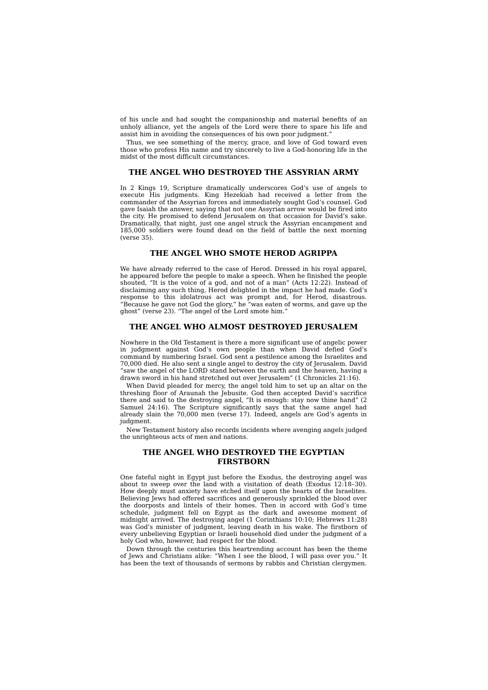of his uncle and had sought the companionship and material benefits of an unholy alliance, yet the angels of the Lord were there to spare his life and assist him in avoiding the consequences of his own poor judgment.

Thus, we see something of the mercy, grace, and love of God toward even those who profess His name and try sincerely to live a God-honoring life in the midst of the most difficult circumstances.

#### **THE ANGEL WHO DESTROYED THE ASSYRIAN ARMY**

In 2 Kings 19, Scripture dramatically underscores God's use of angels to execute His judgments. King Hezekiah had received a letter from the commander of the Assyrian forces and immediately sought God's counsel. God gave Isaiah the answer, saying that not one Assyrian arrow would be fired into the city. He promised to defend Jerusalem on that occasion for David's sake. Dramatically, that night, just one angel struck the Assyrian encampment and 185,000 soldiers were found dead on the field of battle the next morning (verse 35).

### **THE ANGEL WHO SMOTE HEROD AGRIPPA**

We have already referred to the case of Herod. Dressed in his royal apparel, he appeared before the people to make a speech. When he finished the people shouted, "It is the voice of a god, and not of a man" (Acts 12:22). Instead of disclaiming any such thing, Herod delighted in the impact he had made. God's response to this idolatrous act was prompt and, for Herod, disastrous. "Because he gave not God the glory," he "was eaten of worms, and gave up the ghost" (verse 23). "The angel of the Lord smote him."

## **THE ANGEL WHO ALMOST DESTROYED JERUSALEM**

Nowhere in the Old Testament is there a more significant use of angelic power in judgment against God's own people than when David defied God's command by numbering Israel. God sent a pestilence among the Israelites and 70,000 died. He also sent a single angel to destroy the city of Jerusalem. David "saw the angel of the LORD stand between the earth and the heaven, having a drawn sword in his hand stretched out over Jerusalem" (1 Chronicles 21:16).

When David pleaded for mercy, the angel told him to set up an altar on the threshing floor of Araunah the Jebusite. God then accepted David's sacrifice there and said to the destroying angel, "It is enough: stay now thine hand" (2 Samuel 24:16). The Scripture significantly says that the same angel had already slain the 70,000 men (verse 17). Indeed, angels are God's agents in judgment.

New Testament history also records incidents where avenging angels judged the unrighteous acts of men and nations.

## **THE ANGEL WHO DESTROYED THE EGYPTIAN FIRSTBORN**

One fateful night in Egypt just before the Exodus, the destroying angel was about to sweep over the land with a visitation of death (Exodus 12:18–30). How deeply must anxiety have etched itself upon the hearts of the Israelites. Believing Jews had offered sacrifices and generously sprinkled the blood over the doorposts and lintels of their homes. Then in accord with God's time schedule, judgment fell on Egypt as the dark and awesome moment of midnight arrived. The destroying angel (1 Corinthians 10:10; Hebrews 11:28) was God's minister of judgment, leaving death in his wake. The firstborn of every unbelieving Egyptian or Israeli household died under the judgment of a holy God who, however, had respect for the blood.

Down through the centuries this heartrending account has been the theme of Jews and Christians alike: "When I see the blood, I will pass over you." It has been the text of thousands of sermons by rabbis and Christian clergymen.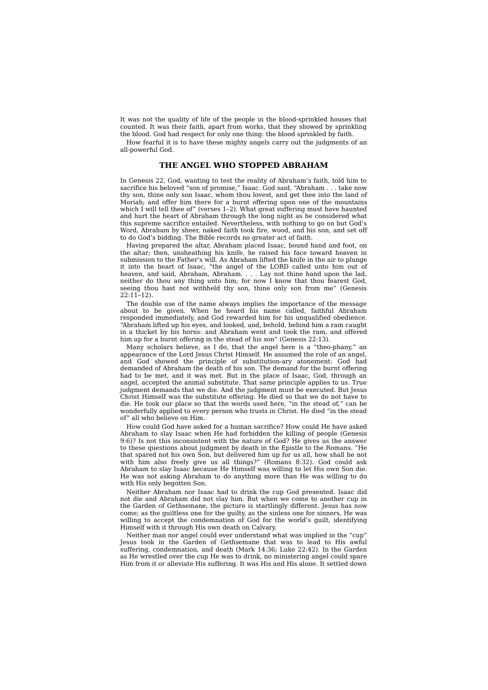It was not the quality of life of the people in the blood-sprinkled houses that counted. It was their faith, apart from works, that they showed by sprinkling the blood. God had respect for only one thing: the blood sprinkled by faith.

How fearful it is to have these mighty angels carry out the judgments of an all-powerful God.

## **THE ANGEL WHO STOPPED ABRAHAM**

In Genesis 22, God, wanting to test the reality of Abraham's faith, told him to sacrifice his beloved "son of promise," Isaac. God said, "Abraham . . . take now thy son, thine only son Isaac, whom thou lovest, and get thee into the land of Moriah; and offer him there for a burnt offering upon one of the mountains which I will tell thee of" (verses 1–2). What great suffering must have haunted and hurt the heart of Abraham through the long night as he considered what this supreme sacrifice entailed. Nevertheless, with nothing to go on but God's Word, Abraham by sheer, naked faith took fire, wood, and his son, and set off to do God's bidding. The Bible records no greater act of faith.

Having prepared the altar, Abraham placed Isaac, bound hand and foot, on the altar; then, unsheathing his knife, he raised his face toward heaven in submission to the Father's will. As Abraham lifted the knife in the air to plunge it into the heart of Isaac, "the angel of the LORD called unto him out of heaven, and said, Abraham, Abraham. . . . Lay not thine hand upon the lad, neither do thou any thing unto him; for now I know that thou fearest God, seeing thou hast not withheld thy son, thine only son from me" (Genesis  $22.11 - 12$ 

The double use of the name always implies the importance of the message about to be given. When he heard his name called, faithful Abraham responded immediately, and God rewarded him for his unqualified obedience. "Abraham lifted up his eyes, and looked, and, behold, behind him a ram caught in a thicket by his horns: and Abraham went and took the ram, and offered him up for a burnt offering in the stead of his son" (Genesis 22:13).

Many scholars believe, as I do, that the angel here is a "theo-phany," an appearance of the Lord Jesus Christ Himself. He assumed the role of an angel, and God showed the principle of substitution-ary atonement: God had demanded of Abraham the death of his son. The demand for the burnt offering had to be met, and it was met. But in the place of Isaac, God, through an angel, accepted the animal substitute. That same principle applies to us. True judgment demands that we die. And the judgment must be executed. But Jesus Christ Himself was the substitute offering. He died so that we do not have to die. He took our place so that the words used here, "in the stead of," can be wonderfully applied to every person who trusts in Christ. He died "in the stead of" all who believe on Him.

How could God have asked for a human sacrifice? How could He have asked Abraham to slay Isaac when He had forbidden the killing of people (Genesis 9:6)? Is not this inconsistent with the nature of God? He gives us the answer to these questions about judgment by death in the Epistle to the Romans. "He that spared not his own Son, but delivered him up for us all, how shall he not with him also freely give us all things?" (Romans 8:32). God could ask Abraham to slay Isaac because He Himself was willing to let His own Son die. He was not asking Abraham to do anything more than He was willing to do with His only begotten Son.

Neither Abraham nor Isaac had to drink the cup God presented. Isaac did not die and Abraham did not slay him. But when we come to another cup in the Garden of Gethsemane, the picture is startlingly different. Jesus has now come; as the guiltless one for the guilty, as the sinless one for sinners, He was willing to accept the condemnation of God for the world's guilt, identifying Himself with it through His own death on Calvary.

Neither man nor angel could ever understand what was implied in the "cup" Jesus took in the Garden of Gethsemane that was to lead to His awful suffering, condemnation, and death (Mark 14:36; Luke 22:42). In the Garden as He wrestled over the cup He was to drink, no ministering angel could spare Him from it or alleviate His suffering. It was His and His alone. It settled down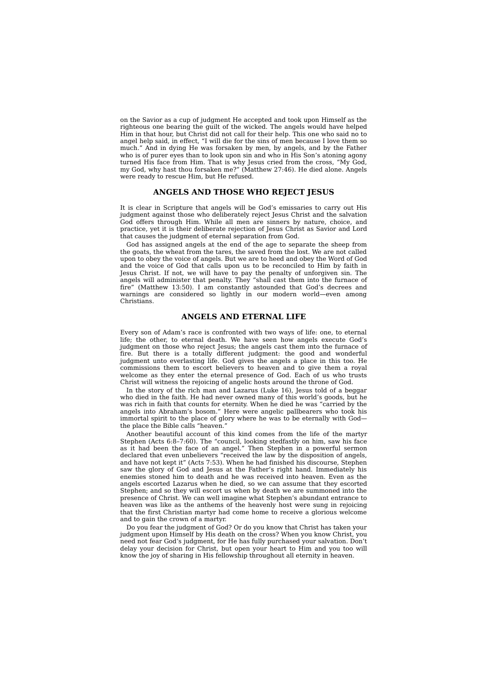on the Savior as a cup of judgment He accepted and took upon Himself as the righteous one bearing the guilt of the wicked. The angels would have helped Him in that hour, but Christ did not call for their help. This one who said no to angel help said, in effect, "I will die for the sins of men because I love them so much." And in dying He was forsaken by men, by angels, and by the Father who is of purer eyes than to look upon sin and who in His Son's atoning agony turned His face from Him. That is why Jesus cried from the cross, "My God, my God, why hast thou forsaken me?" (Matthew 27:46). He died alone. Angels were ready to rescue Him, but He refused.

## **ANGELS AND THOSE WHO REJECT JESUS**

It is clear in Scripture that angels will be God's emissaries to carry out His judgment against those who deliberately reject Jesus Christ and the salvation God offers through Him. While all men are sinners by nature, choice, and practice, yet it is their deliberate rejection of Jesus Christ as Savior and Lord that causes the judgment of eternal separation from God.

God has assigned angels at the end of the age to separate the sheep from the goats, the wheat from the tares, the saved from the lost. We are not called upon to obey the voice of angels. But we are to heed and obey the Word of God and the voice of God that calls upon us to be reconciled to Him by faith in Jesus Christ. If not, we will have to pay the penalty of unforgiven sin. The angels will administer that penalty. They "shall cast them into the furnace of fire" (Matthew 13:50). I am constantly astounded that God's decrees and warnings are considered so lightly in our modern world—even among Christians.

#### **ANGELS AND ETERNAL LIFE**

Every son of Adam's race is confronted with two ways of life: one, to eternal life; the other, to eternal death. We have seen how angels execute God's judgment on those who reject Jesus; the angels cast them into the furnace of fire. But there is a totally different judgment: the good and wonderful judgment unto everlasting life. God gives the angels a place in this too. He commissions them to escort believers to heaven and to give them a royal welcome as they enter the eternal presence of God. Each of us who trusts Christ will witness the rejoicing of angelic hosts around the throne of God.

In the story of the rich man and Lazarus (Luke 16), Jesus told of a beggar who died in the faith. He had never owned many of this world's goods, but he was rich in faith that counts for eternity. When he died he was "carried by the angels into Abraham's bosom." Here were angelic pallbearers who took his immortal spirit to the place of glory where he was to be eternally with God the place the Bible calls "heaven."

Another beautiful account of this kind comes from the life of the martyr Stephen (Acts 6:8–7:60). The "council, looking stedfastly on him, saw his face as it had been the face of an angel." Then Stephen in a powerful sermon declared that even unbelievers "received the law by the disposition of angels, and have not kept it" (Acts 7:53). When he had finished his discourse, Stephen saw the glory of God and Jesus at the Father's right hand. Immediately his enemies stoned him to death and he was received into heaven. Even as the angels escorted Lazarus when he died, so we can assume that they escorted Stephen; and so they will escort us when by death we are summoned into the presence of Christ. We can well imagine what Stephen's abundant entrance to heaven was like as the anthems of the heavenly host were sung in rejoicing that the first Christian martyr had come home to receive a glorious welcome and to gain the crown of a martyr.

Do you fear the judgment of God? Or do you know that Christ has taken your judgment upon Himself by His death on the cross? When you know Christ, you need not fear God's judgment, for He has fully purchased your salvation. Don't delay your decision for Christ, but open your heart to Him and you too will know the joy of sharing in His fellowship throughout all eternity in heaven.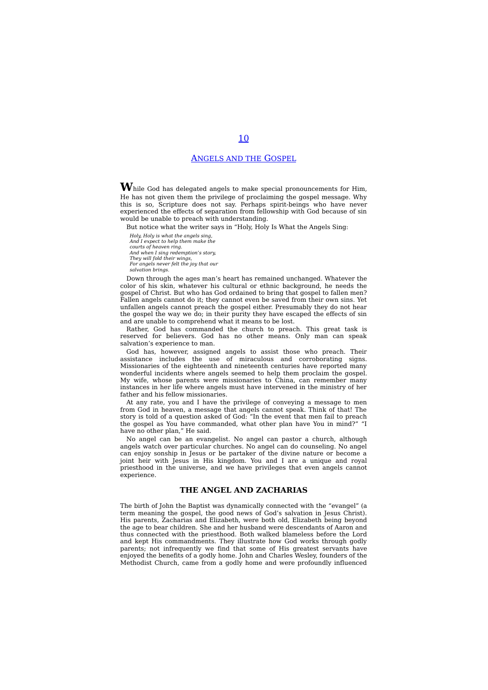## ANGELS AND THE GOSPEL

 $\mathbf{W}_{\text{hile}}$  God has delegated angels to make special pronouncements for Him, He has not given them the privilege of proclaiming the gospel message. Why this is so, Scripture does not say. Perhaps spirit-beings who have never experienced the effects of separation from fellowship with God because of sin would be unable to preach with understanding.

But notice what the writer says in "Holy, Holy Is What the Angels Sing:

*Holy, Holy is what the angels sing, And I expect to help them make the courts of heaven ring. And when I sing redemption's story, They will fold their wings, For angels never felt the joy that our salvation brings.*

Down through the ages man's heart has remained unchanged. Whatever the color of his skin, whatever his cultural or ethnic background, he needs the gospel of Christ. But who has God ordained to bring that gospel to fallen men? Fallen angels cannot do it; they cannot even be saved from their own sins. Yet unfallen angels cannot preach the gospel either. Presumably they do not hear the gospel the way we do; in their purity they have escaped the effects of sin and are unable to comprehend what it means to be lost.

Rather, God has commanded the church to preach. This great task is reserved for believers. God has no other means. Only man can speak salvation's experience to man.

God has, however, assigned angels to assist those who preach. Their assistance includes the use of miraculous and corroborating signs. Missionaries of the eighteenth and nineteenth centuries have reported many wonderful incidents where angels seemed to help them proclaim the gospel. My wife, whose parents were missionaries to China, can remember many instances in her life where angels must have intervened in the ministry of her father and his fellow missionaries.

At any rate, you and I have the privilege of conveying a message to men from God in heaven, a message that angels cannot speak. Think of that! The story is told of a question asked of God: "In the event that men fail to preach the gospel as You have commanded, what other plan have You in  $mind$ ? have no other plan," He said.

No angel can be an evangelist. No angel can pastor a church, although angels watch over particular churches. No angel can do counseling. No angel can enjoy sonship in Jesus or be partaker of the divine nature or become a joint heir with Jesus in His kingdom. You and I are a unique and royal priesthood in the universe, and we have privileges that even angels cannot experience.

## **THE ANGEL AND ZACHARIAS**

The birth of John the Baptist was dynamically connected with the "evangel" (a term meaning the gospel, the good news of God's salvation in Jesus Christ). His parents, Zacharias and Elizabeth, were both old, Elizabeth being beyond the age to bear children. She and her husband were descendants of Aaron and thus connected with the priesthood. Both walked blameless before the Lord and kept His commandments. They illustrate how God works through godly parents; not infrequently we find that some of His greatest servants have enjoyed the benefits of a godly home. John and Charles Wesley, founders of the Methodist Church, came from a godly home and were profoundly influenced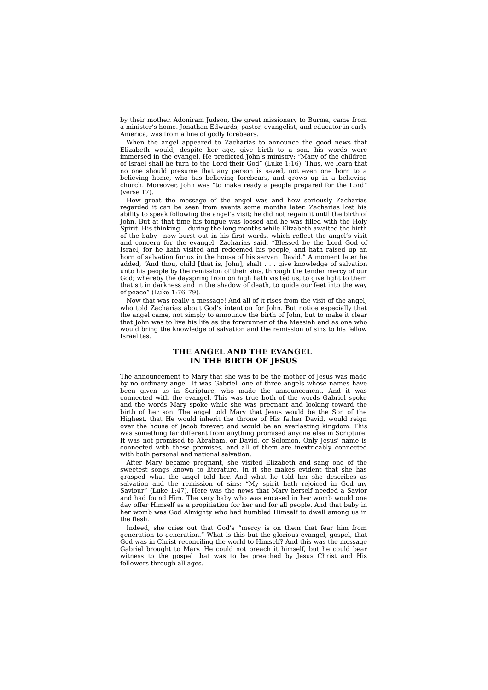by their mother. Adoniram Judson, the great missionary to Burma, came from a minister's home. Jonathan Edwards, pastor, evangelist, and educator in early America, was from a line of godly forebears.

When the angel appeared to Zacharias to announce the good news that Elizabeth would, despite her age, give birth to a son, his words were immersed in the evangel. He predicted John's ministry: "Many of the children of Israel shall he turn to the Lord their God" (Luke 1:16). Thus, we learn that no one should presume that any person is saved, not even one born to a believing home, who has believing forebears, and grows up in a believing church. Moreover, John was "to make ready a people prepared for the Lord" (verse 17).

How great the message of the angel was and how seriously Zacharias regarded it can be seen from events some months later. Zacharias lost his ability to speak following the angel's visit; he did not regain it until the birth of John. But at that time his tongue was loosed and he was filled with the Holy Spirit. His thinking— during the long months while Elizabeth awaited the birth of the baby—now burst out in his first words, which reflect the angel's visit and concern for the evangel. Zacharias said, "Blessed be the Lord God of Israel; for he hath visited and redeemed his people, and hath raised up an horn of salvation for us in the house of his servant David." A moment later he added, "And thou, child [that is, John], shalt . . . give knowledge of salvation unto his people by the remission of their sins, through the tender mercy of our God; whereby the dayspring from on high hath visited us, to give light to them that sit in darkness and in the shadow of death, to guide our feet into the way of peace" (Luke 1:76–79).

Now that was really a message! And all of it rises from the visit of the angel, who told Zacharias about God's intention for John. But notice especially that the angel came, not simply to announce the birth of John, but to make it clear that John was to live his life as the forerunner of the Messiah and as one who would bring the knowledge of salvation and the remission of sins to his fellow Israelites.

## **THE ANGEL AND THE EVANGEL IN THE BIRTH OF JESUS**

The announcement to Mary that she was to be the mother of Jesus was made by no ordinary angel. It was Gabriel, one of three angels whose names have been given us in Scripture, who made the announcement. And it was connected with the evangel. This was true both of the words Gabriel spoke and the words Mary spoke while she was pregnant and looking toward the birth of her son. The angel told Mary that Jesus would be the Son of the Highest, that He would inherit the throne of His father David, would reign over the house of Jacob forever, and would be an everlasting kingdom. This was something far different from anything promised anyone else in Scripture. It was not promised to Abraham, or David, or Solomon. Only Jesus' name is connected with these promises, and all of them are inextricably connected with both personal and national salvation.

After Mary became pregnant, she visited Elizabeth and sang one of the sweetest songs known to literature. In it she makes evident that she has grasped what the angel told her. And what he told her she describes as salvation and the remission of sins: "My spirit hath rejoiced in God my Saviour" (Luke 1:47). Here was the news that Mary herself needed a Savior and had found Him. The very baby who was encased in her womb would one day offer Himself as a propitiation for her and for all people. And that baby in her womb was God Almighty who had humbled Himself to dwell among us in the flesh.

Indeed, she cries out that God's "mercy is on them that fear him from generation to generation." What is this but the glorious evangel, gospel, that God was in Christ reconciling the world to Himself? And this was the message Gabriel brought to Mary. He could not preach it himself, but he could bear witness to the gospel that was to be preached by Jesus Christ and His followers through all ages.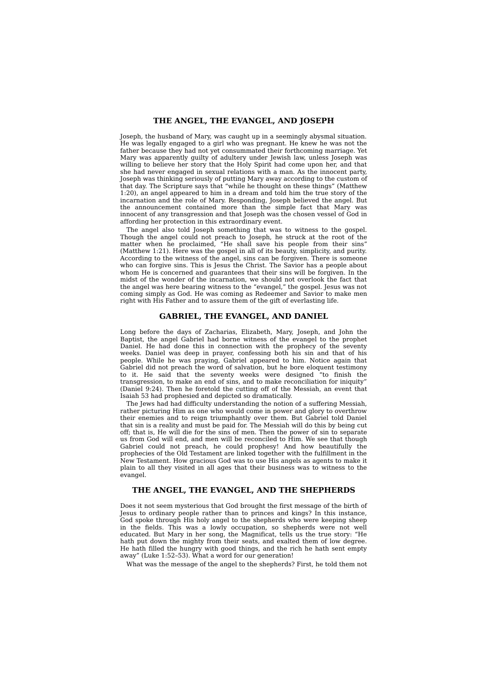## **THE ANGEL, THE EVANGEL, AND JOSEPH**

Joseph, the husband of Mary, was caught up in a seemingly abysmal situation. He was legally engaged to a girl who was pregnant. He knew he was not the father because they had not yet consummated their forthcoming marriage. Yet Mary was apparently guilty of adultery under Jewish law, unless Joseph was willing to believe her story that the Holy Spirit had come upon her, and that she had never engaged in sexual relations with a man. As the innocent party, Joseph was thinking seriously of putting Mary away according to the custom of that day. The Scripture says that "while he thought on these things" (Matthew 1:20), an angel appeared to him in a dream and told him the true story of the incarnation and the role of Mary. Responding, Joseph believed the angel. But the announcement contained more than the simple fact that Mary was innocent of any transgression and that Joseph was the chosen vessel of God in affording her protection in this extraordinary event.

The angel also told Joseph something that was to witness to the gospel. Though the angel could not preach to Joseph, he struck at the root of the matter when he proclaimed, "He shall save his people from their sins" (Matthew 1:21). Here was the gospel in all of its beauty, simplicity, and purity. According to the witness of the angel, sins can be forgiven. There is someone who can forgive sins. This is Jesus the Christ. The Savior has a people about whom He is concerned and guarantees that their sins will be forgiven. In the midst of the wonder of the incarnation, we should not overlook the fact that the angel was here bearing witness to the "evangel," the gospel. Jesus was not coming simply as God. He was coming as Redeemer and Savior to make men right with His Father and to assure them of the gift of everlasting life.

#### **GABRIEL, THE EVANGEL, AND DANIEL**

Long before the days of Zacharias, Elizabeth, Mary, Joseph, and John the Baptist, the angel Gabriel had borne witness of the evangel to the prophet Daniel. He had done this in connection with the prophecy of the seventy weeks. Daniel was deep in prayer, confessing both his sin and that of his people. While he was praying, Gabriel appeared to him. Notice again that Gabriel did not preach the word of salvation, but he bore eloquent testimony to it. He said that the seventy weeks were designed "to finish the transgression, to make an end of sins, and to make reconciliation for iniquity" (Daniel 9:24). Then he foretold the cutting off of the Messiah, an event that Isaiah 53 had prophesied and depicted so dramatically.

The Jews had had difficulty understanding the notion of a suffering Messiah, rather picturing Him as one who would come in power and glory to overthrow their enemies and to reign triumphantly over them. But Gabriel told Daniel that sin is a reality and must be paid for. The Messiah will do this by being cut off; that is, He will die for the sins of men. Then the power of sin to separate us from God will end, and men will be reconciled to Him. We see that though Gabriel could not preach, he could prophesy! And how beautifully the prophecies of the Old Testament are linked together with the fulfillment in the New Testament. How gracious God was to use His angels as agents to make it plain to all they visited in all ages that their business was to witness to the evangel.

## **THE ANGEL, THE EVANGEL, AND THE SHEPHERDS**

Does it not seem mysterious that God brought the first message of the birth of Jesus to ordinary people rather than to princes and kings? In this instance, God spoke through His holy angel to the shepherds who were keeping sheep in the fields. This was a lowly occupation, so shepherds were not well educated. But Mary in her song, the Magnificat, tells us the true story: "He hath put down the mighty from their seats, and exalted them of low degree. He hath filled the hungry with good things, and the rich he hath sent empty away" (Luke 1:52–53). What a word for our generation!

What was the message of the angel to the shepherds? First, he told them not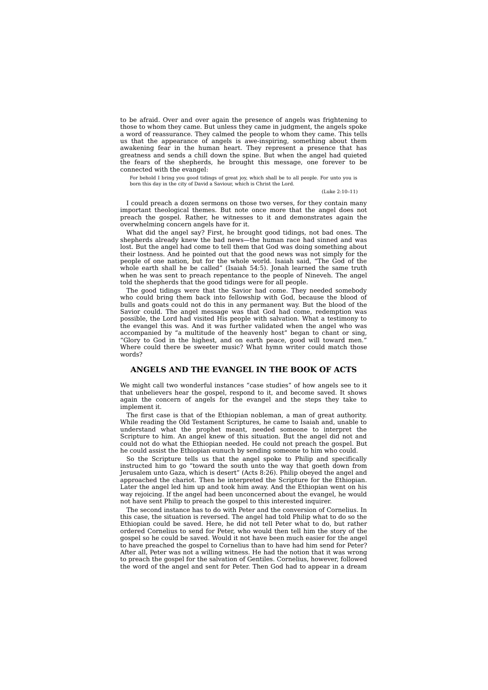to be afraid. Over and over again the presence of angels was frightening to those to whom they came. But unless they came in judgment, the angels spoke a word of reassurance. They calmed the people to whom they came. This tells us that the appearance of angels is awe-inspiring, something about them awakening fear in the human heart. They represent a presence that has greatness and sends a chill down the spine. But when the angel had quieted the fears of the shepherds, he brought this message, one forever to be connected with the evangel:

For behold I bring you good tidings of great joy, which shall be to all people. For unto you is born this day in the city of David a Saviour, which is Christ the Lord.

(Luke 2:10–11)

I could preach a dozen sermons on those two verses, for they contain many important theological themes. But note once more that the angel does not preach the gospel. Rather, he witnesses to it and demonstrates again the overwhelming concern angels have for it.

What did the angel say? First, he brought good tidings, not bad ones. The shepherds already knew the bad news—the human race had sinned and was lost. But the angel had come to tell them that God was doing something about their lostness. And he pointed out that the good news was not simply for the people of one nation, but for the whole world. Isaiah said, "The God of the whole earth shall he be called" (Isaiah 54:5). Jonah learned the same truth when he was sent to preach repentance to the people of Nineveh. The angel told the shepherds that the good tidings were for all people.

The good tidings were that the Savior had come. They needed somebody who could bring them back into fellowship with God, because the blood of bulls and goats could not do this in any permanent way. But the blood of the Savior could. The angel message was that God had come, redemption was possible, the Lord had visited His people with salvation. What a testimony to the evangel this was. And it was further validated when the angel who was accompanied by "a multitude of the heavenly host" began to chant or sing, Glory to God in the highest, and on earth peace, good will toward men. Where could there be sweeter music? What hymn writer could match those words?

#### **ANGELS AND THE EVANGEL IN THE BOOK OF ACTS**

We might call two wonderful instances "case studies" of how angels see to it that unbelievers hear the gospel, respond to it, and become saved. It shows again the concern of angels for the evangel and the steps they take to implement it.

The first case is that of the Ethiopian nobleman, a man of great authority. While reading the Old Testament Scriptures, he came to Isaiah and, unable to understand what the prophet meant, needed someone to interpret the Scripture to him. An angel knew of this situation. But the angel did not and could not do what the Ethiopian needed. He could not preach the gospel. But he could assist the Ethiopian eunuch by sending someone to him who could.

So the Scripture tells us that the angel spoke to Philip and specifically instructed him to go "toward the south unto the way that goeth down from Jerusalem unto Gaza, which is desert" (Acts 8:26). Philip obeyed the angel and approached the chariot. Then he interpreted the Scripture for the Ethiopian. Later the angel led him up and took him away. And the Ethiopian went on his way rejoicing. If the angel had been unconcerned about the evangel, he would not have sent Philip to preach the gospel to this interested inquirer.

The second instance has to do with Peter and the conversion of Cornelius. In this case, the situation is reversed. The angel had told Philip what to do so the Ethiopian could be saved. Here, he did not tell Peter what to do, but rather ordered Cornelius to send for Peter, who would then tell him the story of the gospel so he could be saved. Would it not have been much easier for the angel to have preached the gospel to Cornelius than to have had him send for Peter? After all, Peter was not a willing witness. He had the notion that it was wrong to preach the gospel for the salvation of Gentiles. Cornelius, however, followed the word of the angel and sent for Peter. Then God had to appear in a dream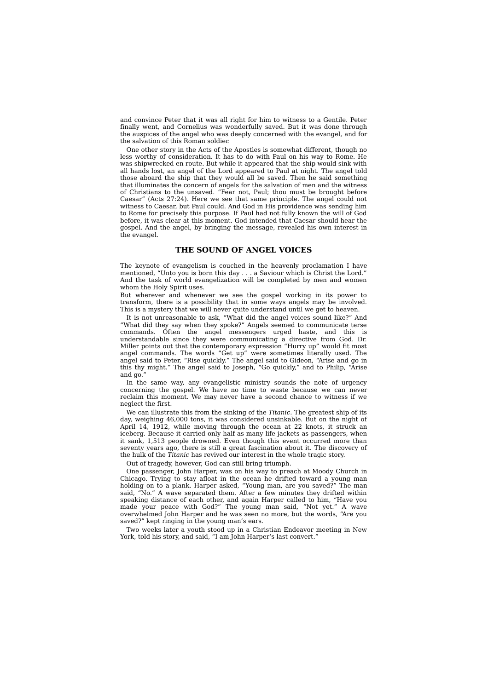and convince Peter that it was all right for him to witness to a Gentile. Peter finally went, and Cornelius was wonderfully saved. But it was done through the auspices of the angel who was deeply concerned with the evangel, and for the salvation of this Roman soldier.

One other story in the Acts of the Apostles is somewhat different, though no less worthy of consideration. It has to do with Paul on his way to Rome. He was shipwrecked en route. But while it appeared that the ship would sink with all hands lost, an angel of the Lord appeared to Paul at night. The angel told those aboard the ship that they would all be saved. Then he said something that illuminates the concern of angels for the salvation of men and the witness of Christians to the unsaved. "Fear not, Paul; thou must be brought before Caesar" (Acts 27:24). Here we see that same principle. The angel could not witness to Caesar, but Paul could. And God in His providence was sending him to Rome for precisely this purpose. If Paul had not fully known the will of God before, it was clear at this moment. God intended that Caesar should hear the gospel. And the angel, by bringing the message, revealed his own interest in the evangel.

#### **THE SOUND OF ANGEL VOICES**

The keynote of evangelism is couched in the heavenly proclamation I have mentioned, "Unto you is born this day . . . a Saviour which is Christ the Lord." And the task of world evangelization will be completed by men and women whom the Holy Spirit uses.

But wherever and whenever we see the gospel working in its power to transform, there is a possibility that in some ways angels may be involved. This is a mystery that we will never quite understand until we get to heaven.

It is not unreasonable to ask, "What did the angel voices sound like?" And "What did they say when they spoke?" Angels seemed to communicate terse commands. Often the angel messengers urged haste, and this is understandable since they were communicating a directive from God. Dr. Miller points out that the contemporary expression "Hurry up" would fit most angel commands. The words "Get up" were sometimes literally used. The angel said to Peter, "Rise quickly." The angel said to Gideon, "Arise and go in this thy might." The angel said to Joseph, "Go quickly," and to Philip, "Arise and  $\alpha$ .

In the same way, any evangelistic ministry sounds the note of urgency concerning the gospel. We have no time to waste because we can never reclaim this moment. We may never have a second chance to witness if we neglect the first.

We can illustrate this from the sinking of the *Titanic*. The greatest ship of its day, weighing 46,000 tons, it was considered unsinkable. But on the night of April 14, 1912, while moving through the ocean at 22 knots, it struck an iceberg. Because it carried only half as many life jackets as passengers, when it sank, 1,513 people drowned. Even though this event occurred more than seventy years ago, there is still a great fascination about it. The discovery of the hulk of the *Titanic* has revived our interest in the whole tragic story.

Out of tragedy, however, God can still bring triumph.

One passenger, John Harper, was on his way to preach at Moody Church in Chicago. Trying to stay afloat in the ocean he drifted toward a young man holding on to a plank. Harper asked, "Young man, are you saved?" The man said, "No." A wave separated them. After a few minutes they drifted within speaking distance of each other, and again Harper called to him, "Have you made your peace with God?" The young man said, "Not yet." A wave overwhelmed John Harper and he was seen no more, but the words, "Are you saved?" kept ringing in the young man's ears.

Two weeks later a youth stood up in a Christian Endeavor meeting in New York, told his story, and said, "I am John Harper's last convert.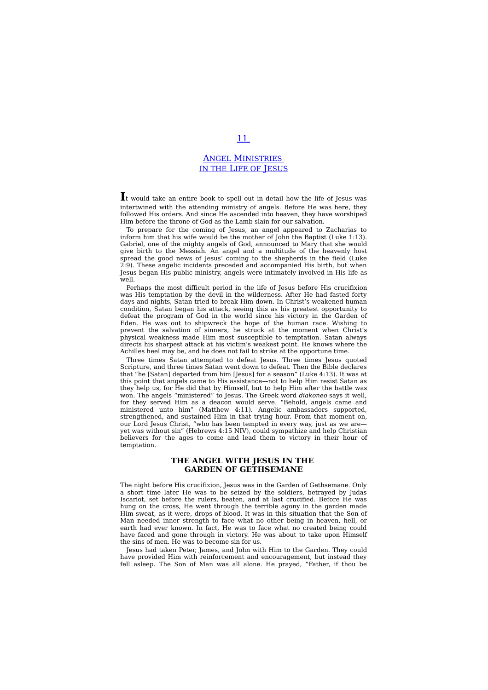# ANGEL MINISTRIES IN THE LIFE OF JESUS

**I**<sup>t</sup> would take an entire book to spell out in detail how the life of Jesus was intertwined with the attending ministry of angels. Before He was here, they followed His orders. And since He ascended into heaven, they have worshiped Him before the throne of God as the Lamb slain for our salvation.

To prepare for the coming of Jesus, an angel appeared to Zacharias to inform him that his wife would be the mother of John the Baptist (Luke 1:13). Gabriel, one of the mighty angels of God, announced to Mary that she would give birth to the Messiah. An angel and a multitude of the heavenly host spread the good news of Jesus' coming to the shepherds in the field (Luke 2:9). These angelic incidents preceded and accompanied His birth, but when Jesus began His public ministry, angels were intimately involved in His life as well.

Perhaps the most difficult period in the life of Jesus before His crucifixion was His temptation by the devil in the wilderness. After He had fasted forty days and nights, Satan tried to break Him down. In Christ's weakened human condition, Satan began his attack, seeing this as his greatest opportunity to defeat the program of God in the world since his victory in the Garden of Eden. He was out to shipwreck the hope of the human race. Wishing to prevent the salvation of sinners, he struck at the moment when Christ's physical weakness made Him most susceptible to temptation. Satan always directs his sharpest attack at his victim's weakest point. He knows where the Achilles heel may be, and he does not fail to strike at the opportune time.

Three times Satan attempted to defeat Jesus. Three times Jesus quoted Scripture, and three times Satan went down to defeat. Then the Bible declares that "he [Satan] departed from him [Jesus] for a season" (Luke 4:13). It was at this point that angels came to His assistance—not to help Him resist Satan as they help us, for He did that by Himself, but to help Him after the battle was won. The angels "ministered" to Jesus. The Greek word *diakoneo* says it well, for they served Him as a deacon would serve. "Behold, angels came and ministered unto him" (Matthew 4:11). Angelic ambassadors supported, strengthened, and sustained Him in that trying hour. From that moment on, our Lord Jesus Christ, "who has been tempted in every way, just as we are yet was without sin" (Hebrews 4:15 NIV), could sympathize and help Christian believers for the ages to come and lead them to victory in their hour of temptation.

## **THE ANGEL WITH JESUS IN THE GARDEN OF GETHSEMANE**

The night before His crucifixion, Jesus was in the Garden of Gethsemane. Only a short time later He was to be seized by the soldiers, betrayed by Judas Iscariot, set before the rulers, beaten, and at last crucified. Before He was hung on the cross, He went through the terrible agony in the garden made Him sweat, as it were, drops of blood. It was in this situation that the Son of Man needed inner strength to face what no other being in heaven, hell, or earth had ever known. In fact, He was to face what no created being could have faced and gone through in victory. He was about to take upon Himself the sins of men. He was to become sin for us.

Jesus had taken Peter, James, and John with Him to the Garden. They could have provided Him with reinforcement and encouragement, but instead they fell asleep. The Son of Man was all alone. He prayed, "Father, if thou be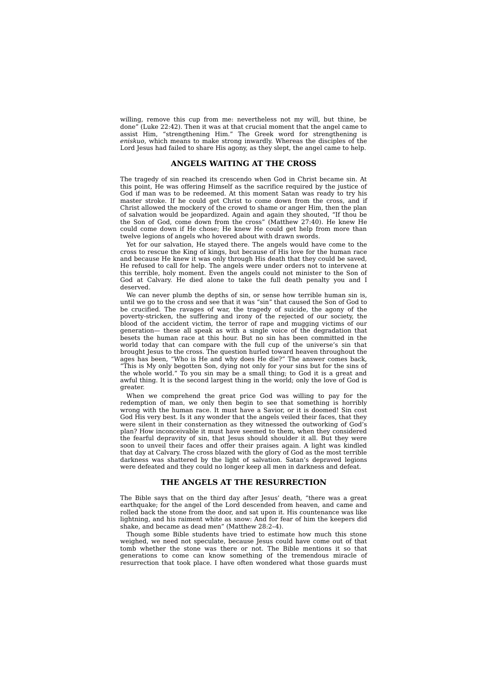willing, remove this cup from me: nevertheless not my will, but thine, be done" (Luke 22:42). Then it was at that crucial moment that the angel came to assist Him, "strengthening Him." The Greek word for strengthening is *eniskuo*, which means to make strong inwardly. Whereas the disciples of the Lord Jesus had failed to share His agony, as they slept, the angel came to help.

#### **ANGELS WAITING AT THE CROSS**

The tragedy of sin reached its crescendo when God in Christ became sin. At this point, He was offering Himself as the sacrifice required by the justice of God if man was to be redeemed. At this moment Satan was ready to try his master stroke. If he could get Christ to come down from the cross, and if Christ allowed the mockery of the crowd to shame or anger Him, then the plan of salvation would be jeopardized. Again and again they shouted, "If thou be the Son of God, come down from the cross" (Matthew 27:40). He knew He could come down if He chose; He knew He could get help from more than twelve legions of angels who hovered about with drawn swords.

Yet for our salvation, He stayed there. The angels would have come to the cross to rescue the King of kings, but because of His love for the human race and because He knew it was only through His death that they could be saved, He refused to call for help. The angels were under orders not to intervene at this terrible, holy moment. Even the angels could not minister to the Son of God at Calvary. He died alone to take the full death penalty you and I deserved.

We can never plumb the depths of sin, or sense how terrible human sin is, until we go to the cross and see that it was "sin" that caused the Son of God to be crucified. The ravages of war, the tragedy of suicide, the agony of the poverty-stricken, the suffering and irony of the rejected of our society, the blood of the accident victim, the terror of rape and mugging victims of our generation— these all speak as with a single voice of the degradation that besets the human race at this hour. But no sin has been committed in the world today that can compare with the full cup of the universe's sin that brought Jesus to the cross. The question hurled toward heaven throughout the ages has been, "Who is He and why does He die?" The answer comes back, This is My only begotten Son, dying not only for your sins but for the sins of the whole world." To you sin may be a small thing; to God it is a great and awful thing. It is the second largest thing in the world; only the love of God is greater.

When we comprehend the great price God was willing to pay for the redemption of man, we only then begin to see that something is horribly wrong with the human race. It must have a Savior, or it is doomed! Sin cost God His very best. Is it any wonder that the angels veiled their faces, that they were silent in their consternation as they witnessed the outworking of God's plan? How inconceivable it must have seemed to them, when they considered the fearful depravity of sin, that Jesus should shoulder it all. But they were soon to unveil their faces and offer their praises again. A light was kindled that day at Calvary. The cross blazed with the glory of God as the most terrible darkness was shattered by the light of salvation. Satan's depraved legions were defeated and they could no longer keep all men in darkness and defeat.

### **THE ANGELS AT THE RESURRECTION**

The Bible says that on the third day after Jesus' death, "there was a great earthquake; for the angel of the Lord descended from heaven, and came and rolled back the stone from the door, and sat upon it. His countenance was like lightning, and his raiment white as snow: And for fear of him the keepers did shake, and became as dead men" (Matthew 28:2–4).

Though some Bible students have tried to estimate how much this stone weighed, we need not speculate, because Jesus could have come out of that tomb whether the stone was there or not. The Bible mentions it so that generations to come can know something of the tremendous miracle of resurrection that took place. I have often wondered what those guards must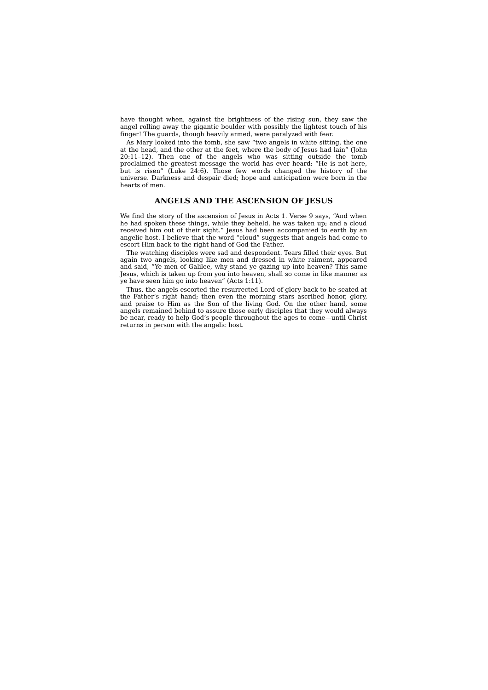have thought when, against the brightness of the rising sun, they saw the angel rolling away the gigantic boulder with possibly the lightest touch of his finger! The guards, though heavily armed, were paralyzed with fear.

As Mary looked into the tomb, she saw "two angels in white sitting, the one at the head, and the other at the feet, where the body of Jesus had lain" (John 20:11–12). Then one of the angels who was sitting outside the tomb proclaimed the greatest message the world has ever heard: "He is not here, but is risen" (Luke 24:6). Those few words changed the history of the universe. Darkness and despair died; hope and anticipation were born in the hearts of men.

## **ANGELS AND THE ASCENSION OF JESUS**

We find the story of the ascension of Jesus in Acts 1. Verse 9 says, "And when he had spoken these things, while they beheld, he was taken up; and a cloud received him out of their sight." Jesus had been accompanied to earth by an angelic host. I believe that the word "cloud" suggests that angels had come to escort Him back to the right hand of God the Father.

The watching disciples were sad and despondent. Tears filled their eyes. But again two angels, looking like men and dressed in white raiment, appeared and said, "Ye men of Galilee, why stand ye gazing up into heaven? This same Jesus, which is taken up from you into heaven, shall so come in like manner as ye have seen him go into heaven" (Acts 1:11).

Thus, the angels escorted the resurrected Lord of glory back to be seated at the Father's right hand; then even the morning stars ascribed honor, glory, and praise to Him as the Son of the living God. On the other hand, some angels remained behind to assure those early disciples that they would always be near, ready to help God's people throughout the ages to come—until Christ returns in person with the angelic host.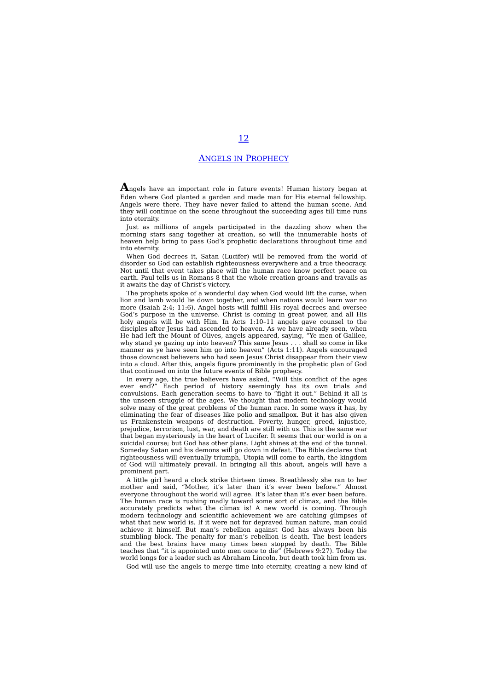## ANGELS IN PROPHECY

12

**A**ngels have an important role in future events! Human history began at Eden where God planted a garden and made man for His eternal fellowship. Angels were there. They have never failed to attend the human scene. And they will continue on the scene throughout the succeeding ages till time runs into eternity.

Just as millions of angels participated in the dazzling show when the morning stars sang together at creation, so will the innumerable hosts of heaven help bring to pass God's prophetic declarations throughout time and into eternity.

When God decrees it, Satan (Lucifer) will be removed from the world of disorder so God can establish righteousness everywhere and a true theocracy. Not until that event takes place will the human race know perfect peace on earth. Paul tells us in Romans 8 that the whole creation groans and travails as it awaits the day of Christ's victory.

The prophets spoke of a wonderful day when God would lift the curse, when lion and lamb would lie down together, and when nations would learn war no more (Isaiah 2:4; 11:6). Angel hosts will fulfill His royal decrees and oversee God's purpose in the universe. Christ is coming in great power, and all His holy angels will be with Him. In Acts 1:10–11 angels gave counsel to the disciples after Jesus had ascended to heaven. As we have already seen, when He had left the Mount of Olives, angels appeared, saying, "Ye men of Galilee, why stand ye gazing up into heaven? This same Jesus . . . shall so come in like manner as ye have seen him go into heaven" (Acts 1:11). Angels encouraged those downcast believers who had seen Jesus Christ disappear from their view into a cloud. After this, angels figure prominently in the prophetic plan of God that continued on into the future events of Bible prophecy.

In every age, the true believers have asked, "Will this conflict of the ages ever end?" Each period of history seemingly has its own trials and convulsions. Each generation seems to have to "fight it out." Behind it all is the unseen struggle of the ages. We thought that modern technology would solve many of the great problems of the human race. In some ways it has, by eliminating the fear of diseases like polio and smallpox. But it has also given us Frankenstein weapons of destruction. Poverty, hunger, greed, injustice, prejudice, terrorism, lust, war, and death are still with us. This is the same war that began mysteriously in the heart of Lucifer. It seems that our world is on a suicidal course; but God has other plans. Light shines at the end of the tunnel. Someday Satan and his demons will go down in defeat. The Bible declares that righteousness will eventually triumph, Utopia will come to earth, the kingdom of God will ultimately prevail. In bringing all this about, angels will have a prominent part.

A little girl heard a clock strike thirteen times. Breathlessly she ran to her mother and said, "Mother, it's later than it's ever been before." Almost everyone throughout the world will agree. It's later than it's ever been before. The human race is rushing madly toward some sort of climax, and the Bible accurately predicts what the climax is! A new world is coming. Through modern technology and scientific achievement we are catching glimpses of what that new world is. If it were not for depraved human nature, man could achieve it himself. But man's rebellion against God has always been his stumbling block. The penalty for man's rebellion is death. The best leaders and the best brains have many times been stopped by death. The Bible teaches that "it is appointed unto men once to die" (Hebrews 9:27). Today the world longs for a leader such as Abraham Lincoln, but death took him from us.

God will use the angels to merge time into eternity, creating a new kind of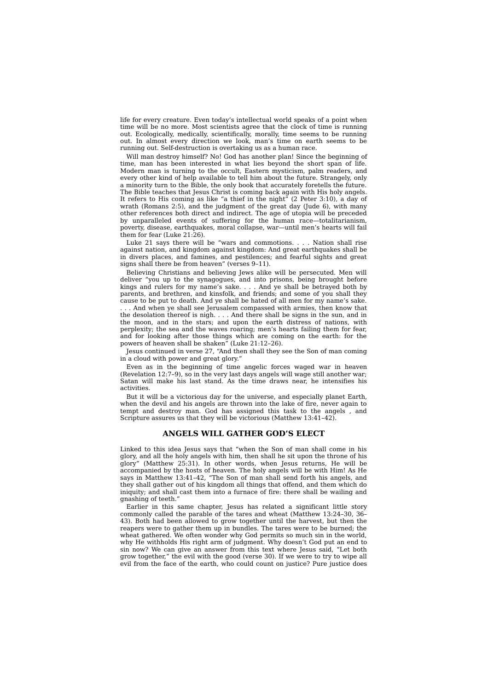life for every creature. Even today's intellectual world speaks of a point when time will be no more. Most scientists agree that the clock of time is running out. Ecologically, medically, scientifically, morally, time seems to be running out. In almost every direction we look, man's time on earth seems to be running out. Self-destruction is overtaking us as a human race.

Will man destroy himself? No! God has another plan! Since the beginning of time, man has been interested in what lies beyond the short span of life. Modern man is turning to the occult, Eastern mysticism, palm readers, and every other kind of help available to tell him about the future. Strangely, only a minority turn to the Bible, the only book that accurately foretells the future. The Bible teaches that Jesus Christ is coming back again with His holy angels. It refers to His coming as like "a thief in the night" (2 Peter 3:10), a day of wrath (Romans 2:5), and the judgment of the great day (Jude 6), with many other references both direct and indirect. The age of utopia will be preceded by unparalleled events of suffering for the human race—totalitarianism, poverty, disease, earthquakes, moral collapse, war—until men's hearts will fail them for fear (Luke 21:26).

Luke 21 says there will be "wars and commotions. . . . Nation shall rise against nation, and kingdom against kingdom: And great earthquakes shall be in divers places, and famines, and pestilences; and fearful sights and great signs shall there be from heaven" (verses 9–11).

Believing Christians and believing Jews alike will be persecuted. Men will deliver "you up to the synagogues, and into prisons, being brought before kings and rulers for my name's sake. . . . And ye shall be betrayed both by parents, and brethren, and kinsfolk, and friends; and some of you shall they cause to be put to death. And ye shall be hated of all men for my name's sake.

. . And when ye shall see Jerusalem compassed with armies, then know that the desolation thereof is nigh. . . . And there shall be signs in the sun, and in the moon, and in the stars; and upon the earth distress of nations, with perplexity; the sea and the waves roaring; men's hearts failing them for fear, and for looking after those things which are coming on the earth: for the powers of heaven shall be shaken" (Luke 21:12–26).

Jesus continued in verse 27, "And then shall they see the Son of man coming in a cloud with power and great glory.'

Even as in the beginning of time angelic forces waged war in heaven (Revelation 12:7–9), so in the very last days angels will wage still another war; Satan will make his last stand. As the time draws near, he intensifies his activities.

But it will be a victorious day for the universe, and especially planet Earth, when the devil and his angels are thrown into the lake of fire, never again to tempt and destroy man. God has assigned this task to the angels , and Scripture assures us that they will be victorious (Matthew 13:41-42).

#### **ANGELS WILL GATHER GOD'S ELECT**

Linked to this idea Jesus says that "when the Son of man shall come in his glory, and all the holy angels with him, then shall he sit upon the throne of his glory" (Matthew 25:31). In other words, when Jesus returns, He will be accompanied by the hosts of heaven. The holy angels will be with Him! As He says in Matthew 13:41–42, "The Son of man shall send forth his angels, and they shall gather out of his kingdom all things that offend, and them which do iniquity; and shall cast them into a furnace of fire: there shall be wailing and gnashing of teeth."

Earlier in this same chapter, Jesus has related a significant little story commonly called the parable of the tares and wheat (Matthew 13:24–30, 36– 43). Both had been allowed to grow together until the harvest, but then the reapers were to gather them up in bundles. The tares were to be burned; the wheat gathered. We often wonder why God permits so much sin in the world, why He withholds His right arm of judgment. Why doesn't God put an end to sin now? We can give an answer from this text where Jesus said, "Let both grow together," the evil with the good (verse 30). If we were to try to wipe all evil from the face of the earth, who could count on justice? Pure justice does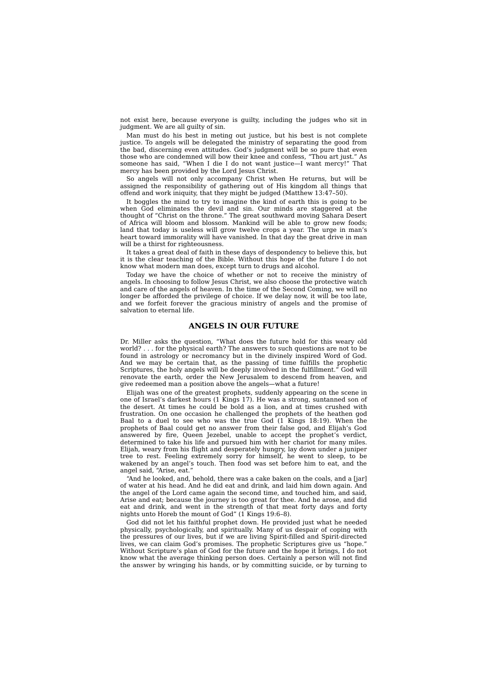not exist here, because everyone is guilty, including the judges who sit in judgment. We are all guilty of sin.

Man must do his best in meting out justice, but his best is not complete justice. To angels will be delegated the ministry of separating the good from the bad, discerning even attitudes. God's judgment will be so pure that even those who are condemned will bow their knee and confess, "Thou art just." As someone has said, "When I die I do not want justice—I want mercy!" That mercy has been provided by the Lord Jesus Christ.

So angels will not only accompany Christ when He returns, but will be assigned the responsibility of gathering out of His kingdom all things that offend and work iniquity, that they might be judged (Matthew 13:47–50).

It boggles the mind to try to imagine the kind of earth this is going to be when God eliminates the devil and sin. Our minds are staggered at the thought of "Christ on the throne." The great southward moving Sahara Desert of Africa will bloom and blossom. Mankind will be able to grow new foods; land that today is useless will grow twelve crops a year. The urge in man's heart toward immorality will have vanished. In that day the great drive in man will be a thirst for righteousness.

It takes a great deal of faith in these days of despondency to believe this, but it is the clear teaching of the Bible. Without this hope of the future I do not know what modern man does, except turn to drugs and alcohol.

Today we have the choice of whether or not to receive the ministry of angels. In choosing to follow Jesus Christ, we also choose the protective watch and care of the angels of heaven. In the time of the Second Coming, we will no longer be afforded the privilege of choice. If we delay now, it will be too late, and we forfeit forever the gracious ministry of angels and the promise of salvation to eternal life.

#### **ANGELS IN OUR FUTURE**

Dr. Miller asks the question, "What does the future hold for this weary old world? . . . for the physical earth? The answers to such questions are not to be found in astrology or necromancy but in the divinely inspired Word of God. And we may be certain that, as the passing of time fulfills the prophetic Scriptures, the holy angels will be deeply involved in the fulfillment." God will renovate the earth, order the New Jerusalem to descend from heaven, and give redeemed man a position above the angels—what a future!

Elijah was one of the greatest prophets, suddenly appearing on the scene in one of Israel's darkest hours (1 Kings 17). He was a strong, suntanned son of the desert. At times he could be bold as a lion, and at times crushed with frustration. On one occasion he challenged the prophets of the heathen god Baal to a duel to see who was the true  $God (1$  Kings 18:19). When the prophets of Baal could get no answer from their false god, and Elijah's God answered by fire, Queen Jezebel, unable to accept the prophet's verdict, determined to take his life and pursued him with her chariot for many miles. Elijah, weary from his flight and desperately hungry, lay down under a juniper tree to rest. Feeling extremely sorry for himself, he went to sleep, to be wakened by an angel's touch. Then food was set before him to eat, and the angel said, "Arise, eat."

"And he looked, and, behold, there was a cake baken on the coals, and a [jar] of water at his head. And he did eat and drink, and laid him down again. And the angel of the Lord came again the second time, and touched him, and said, Arise and eat; because the journey is too great for thee. And he arose, and did eat and drink, and went in the strength of that meat forty days and forty nights unto Horeb the mount of God" (1 Kings 19:6–8).

God did not let his faithful prophet down. He provided just what he needed physically, psychologically, and spiritually. Many of us despair of coping with the pressures of our lives, but if we are living Spirit-filled and Spirit-directed lives, we can claim God's promises. The prophetic Scriptures give us "hope." Without Scripture's plan of God for the future and the hope it brings, I do not know what the average thinking person does. Certainly a person will not find the answer by wringing his hands, or by committing suicide, or by turning to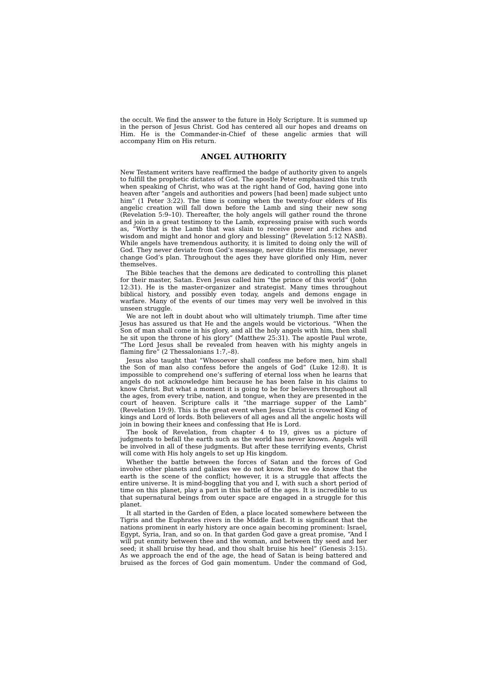the occult. We find the answer to the future in Holy Scripture. It is summed up in the person of Jesus Christ. God has centered all our hopes and dreams on Him. He is the Commander-in-Chief of these angelic armies that will accompany Him on His return.

### **ANGEL AUTHORITY**

New Testament writers have reaffirmed the badge of authority given to angels to fulfill the prophetic dictates of God. The apostle Peter emphasized this truth when speaking of Christ, who was at the right hand of God, having gone into heaven after "angels and authorities and powers [had been] made subject unto him" (1 Peter 3:22). The time is coming when the twenty-four elders of His angelic creation will fall down before the Lamb and sing their new song (Revelation 5:9–10). Thereafter, the holy angels will gather round the throne and join in a great testimony to the Lamb, expressing praise with such words as, "Worthy is the Lamb that was slain to receive power and riches and wisdom and might and honor and glory and blessing" (Revelation 5:12 NASB). While angels have tremendous authority, it is limited to doing only the will of God. They never deviate from God's message, never dilute His message, never change God's plan. Throughout the ages they have glorified only Him, never themselves.

The Bible teaches that the demons are dedicated to controlling this planet for their master, Satan. Even Jesus called him "the prince of this world" (John 12:31). He is the master-organizer and strategist. Many times throughout biblical history, and possibly even today, angels and demons engage in warfare. Many of the events of our times may very well be involved in this unseen struggle.

We are not left in doubt about who will ultimately triumph. Time after time Jesus has assured us that He and the angels would be victorious. "When the Son of man shall come in his glory, and all the holy angels with him, then shall he sit upon the throne of his glory" (Matthew 25:31). The apostle Paul wrote, "The Lord Jesus shall be revealed from heaven with his mighty angels in flaming fire" (2 Thessalonians 1:7,-8).

Jesus also taught that "Whosoever shall confess me before men, him shall the Son of man also confess before the angels of God" (Luke 12:8). It is impossible to comprehend one's suffering of eternal loss when he learns that angels do not acknowledge him because he has been false in his claims to know Christ. But what a moment it is going to be for believers throughout all the ages, from every tribe, nation, and tongue, when they are presented in the court of heaven. Scripture calls it "the marriage supper of the Lamb" (Revelation 19:9). This is the great event when Jesus Christ is crowned King of kings and Lord of lords. Both believers of all ages and all the angelic hosts will join in bowing their knees and confessing that He is Lord.

The book of Revelation, from chapter 4 to 19, gives us a picture of judgments to befall the earth such as the world has never known. Angels will be involved in all of these judgments. But after these terrifying events, Christ will come with His holy angels to set up His kingdom.

Whether the battle between the forces of Satan and the forces of God involve other planets and galaxies we do not know. But we do know that the earth is the scene of the conflict; however, it is a struggle that affects the entire universe. It is mind-boggling that you and I, with such a short period of time on this planet, play a part in this battle of the ages. It is incredible to us that supernatural beings from outer space are engaged in a struggle for this planet.

It all started in the Garden of Eden, a place located somewhere between the Tigris and the Euphrates rivers in the Middle East. It is significant that the nations prominent in early history are once again becoming prominent: Israel, Egypt, Syria, Iran, and so on. In that garden God gave a great promise, "And I will put enmity between thee and the woman, and between thy seed and her seed; it shall bruise thy head, and thou shalt bruise his heel" (Genesis 3:15). As we approach the end of the age, the head of Satan is being battered and bruised as the forces of God gain momentum. Under the command of God,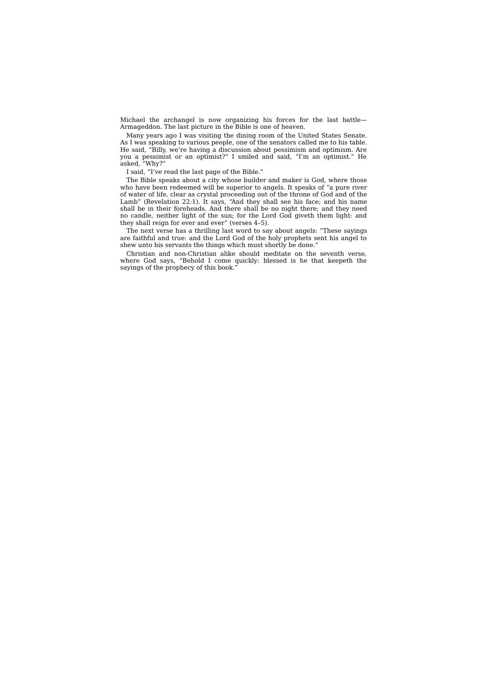Michael the archangel is now organizing his forces for the last battle— Armageddon. The last picture in the Bible is one of heaven.

Many years ago I was visiting the dining room of the United States Senate. As I was speaking to various people, one of the senators called me to his table. He said, "Billy, we're having a discussion about pessimism and optimism. Are you a pessimist or an optimist?" I smiled and said, "I'm an optimist." He asked, "Why?"

I said, "I've read the last page of the Bible."

The Bible speaks about a city whose builder and maker is God, where those who have been redeemed will be superior to angels. It speaks of "a pure river of water of life, clear as crystal proceeding out of the throne of God and of the Lamb" (Revelation 22:1). It says, "And they shall see his face; and his name shall be in their foreheads. And there shall be no night there; and they need no candle, neither light of the sun; for the Lord God giveth them light: and they shall reign for ever and ever" (verses 4–5).

The next verse has a thrilling last word to say about angels: "These sayings are faithful and true: and the Lord God of the holy prophets sent his angel to shew unto his servants the things which must shortly be done."

Christian and non-Christian alike should meditate on the seventh verse, where God says, "Behold I come quickly: blessed is he that keepeth the sayings of the prophecy of this book."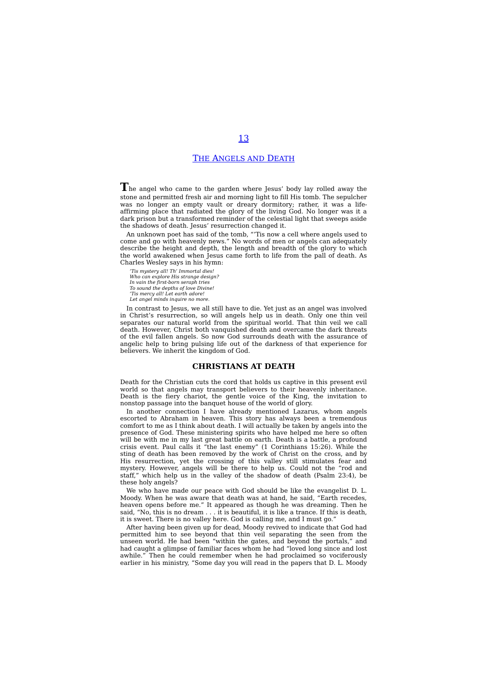# THE ANGELS AND DEATH

**T**he angel who came to the garden where Jesus' body lay rolled away the stone and permitted fresh air and morning light to fill His tomb. The sepulcher was no longer an empty vault or dreary dormitory; rather, it was a lifeaffirming place that radiated the glory of the living God. No longer was it a dark prison but a transformed reminder of the celestial light that sweeps aside the shadows of death. Jesus' resurrection changed it.

An unknown poet has said of the tomb, "'Tis now a cell where angels used to come and go with heavenly news." No words of men or angels can adequately describe the height and depth, the length and breadth of the glory to which the world awakened when Jesus came forth to life from the pall of death. As Charles Wesley says in his hymn:

*'Tis mystery all! Th' Immortal dies! Who can explore His strange design? In vain the first-born seraph tries To sound the depths of love Divine! 'Tis mercy all! Let earth adore! Let angel minds inquire no more.*

In contrast to Jesus, we all still have to die. Yet just as an angel was involved in Christ's resurrection, so will angels help us in death. Only one thin veil separates our natural world from the spiritual world. That thin veil we call death. However, Christ both vanquished death and overcame the dark threats of the evil fallen angels. So now God surrounds death with the assurance of angelic help to bring pulsing life out of the darkness of that experience for believers. We inherit the kingdom of God.

#### **CHRISTIANS AT DEATH**

Death for the Christian cuts the cord that holds us captive in this present evil world so that angels may transport believers to their heavenly inheritance. Death is the fiery chariot, the gentle voice of the King, the invitation to nonstop passage into the banquet house of the world of glory.

In another connection I have already mentioned Lazarus, whom angels escorted to Abraham in heaven. This story has always been a tremendous comfort to me as I think about death. I will actually be taken by angels into the presence of God. These ministering spirits who have helped me here so often will be with me in my last great battle on earth. Death is a battle, a profound crisis event. Paul calls it "the last enemy" (1 Corinthians 15:26). While the sting of death has been removed by the work of Christ on the cross, and by His resurrection, yet the crossing of this valley still stimulates fear and mystery. However, angels will be there to help us. Could not the "rod and staff," which help us in the valley of the shadow of death (Psalm 23:4), be these holy angels?

We who have made our peace with God should be like the evangelist D. L. Moody. When he was aware that death was at hand, he said, "Earth recedes, heaven opens before me." It appeared as though he was dreaming. Then he said, "No, this is no dream . . . it is beautiful, it is like a trance. If this is death, it is sweet. There is no valley here. God is calling me, and I must go.'

After having been given up for dead, Moody revived to indicate that God had permitted him to see beyond that thin veil separating the seen from the unseen world. He had been "within the gates, and beyond the portals," and had caught a glimpse of familiar faces whom he had "loved long since and lost awhile." Then he could remember when he had proclaimed so vociferously earlier in his ministry, "Some day you will read in the papers that D. L. Moody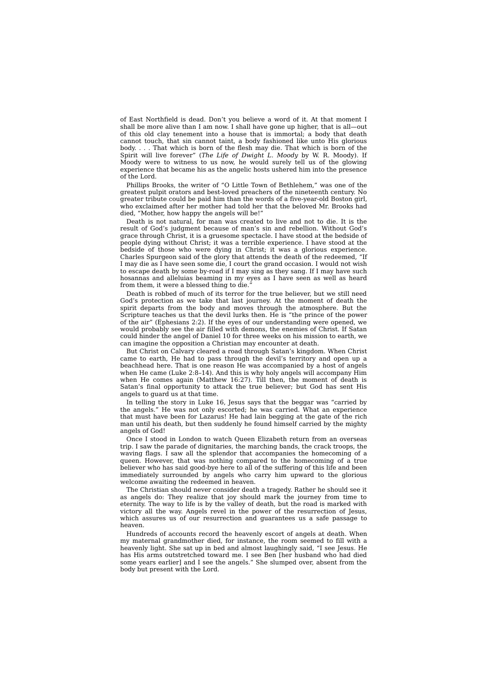of East Northfield is dead. Don't you believe a word of it. At that moment I shall be more alive than I am now. I shall have gone up higher, that is all—out of this old clay tenement into a house that is immortal; a body that death cannot touch, that sin cannot taint, a body fashioned like unto His glorious body. . . . That which is born of the flesh may die. That which is born of the Spirit will live forever" (*The Life of Dwight L. Moody* by W. R. Moody). If Moody were to witness to us now, he would surely tell us of the glowing experience that became his as the angelic hosts ushered him into the presence of the Lord.

Phillips Brooks, the writer of "O Little Town of Bethlehem," was one of the greatest pulpit orators and best-loved preachers of the nineteenth century. No greater tribute could be paid him than the words of a five-year-old Boston girl, who exclaimed after her mother had told her that the beloved Mr. Brooks had died, "Mother, how happy the angels will be!"

Death is not natural, for man was created to live and not to die. It is the result of God's judgment because of man's sin and rebellion. Without God's grace through Christ, it is a gruesome spectacle. I have stood at the bedside of people dying without Christ; it was a terrible experience. I have stood at the bedside of those who were dying in Christ; it was a glorious experience. Charles Spurgeon said of the glory that attends the death of the redeemed, "If I may die as I have seen some die, I court the grand occasion. I would not wish to escape death by some by-road if I may sing as they sang. If I may have such hosannas and alleluias beaming in my eyes as I have seen as well as heard from them, it were a blessed thing to die.

Death is robbed of much of its terror for the true believer, but we still need God's protection as we take that last journey. At the moment of death the spirit departs from the body and moves through the atmosphere. But the Scripture teaches us that the devil lurks then. He is "the prince of the power of the air" (Ephesians 2:2). If the eyes of our understanding were opened, we would probably see the air filled with demons, the enemies of Christ. If Satan could hinder the angel of Daniel 10 for three weeks on his mission to earth, we can imagine the opposition a Christian may encounter at death.

But Christ on Calvary cleared a road through Satan's kingdom. When Christ came to earth, He had to pass through the devil's territory and open up a beachhead here. That is one reason He was accompanied by a host of angels when He came (Luke 2:8-14). And this is why holy angels will accompany Him when He comes again (Matthew 16:27). Till then, the moment of death is Satan's final opportunity to attack the true believer; but God has sent His angels to guard us at that time.

In telling the story in Luke 16, Jesus says that the beggar was "carried by the angels." He was not only escorted; he was carried. What an experience that must have been for Lazarus! He had lain begging at the gate of the rich man until his death, but then suddenly he found himself carried by the mighty angels of God!

Once I stood in London to watch Queen Elizabeth return from an overseas trip. I saw the parade of dignitaries, the marching bands, the crack troops, the waving flags. I saw all the splendor that accompanies the homecoming of a queen. However, that was nothing compared to the homecoming of a true believer who has said good-bye here to all of the suffering of this life and been immediately surrounded by angels who carry him upward to the glorious welcome awaiting the redeemed in heaven.

The Christian should never consider death a tragedy. Rather he should see it as angels do: They realize that joy should mark the journey from time to eternity. The way to life is by the valley of death, but the road is marked with victory all the way. Angels revel in the power of the resurrection of Jesus, which assures us of our resurrection and guarantees us a safe passage to heaven.

Hundreds of accounts record the heavenly escort of angels at death. When my maternal grandmother died, for instance, the room seemed to fill with a heavenly light. She sat up in bed and almost laughingly said, "I see Jesus. He has His arms outstretched toward me. I see Ben [her husband who had died some years earlier] and I see the angels." She slumped over, absent from the body but present with the Lord.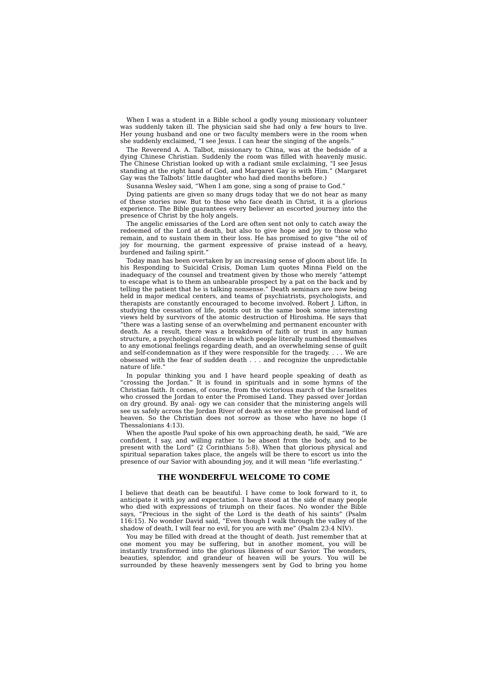When I was a student in a Bible school a godly young missionary volunteer was suddenly taken ill. The physician said she had only a few hours to live. Her young husband and one or two faculty members were in the room when she suddenly exclaimed, "I see Jesus. I can hear the singing of the angels."

The Reverend A. A. Talbot, missionary to China, was at the bedside of a dying Chinese Christian. Suddenly the room was filled with heavenly music. The Chinese Christian looked up with a radiant smile exclaiming, "I see Jesus standing at the right hand of God, and Margaret Gay is with Him." (Margaret Gay was the Talbots' little daughter who had died months before.)

Susanna Wesley said, "When I am gone, sing a song of praise to God."

Dying patients are given so many drugs today that we do not hear as many of these stories now. But to those who face death in Christ, it is a glorious experience. The Bible guarantees every believer an escorted journey into the presence of Christ by the holy angels.

The angelic emissaries of the Lord are often sent not only to catch away the redeemed of the Lord at death, but also to give hope and joy to those who remain, and to sustain them in their loss. He has promised to give "the oil of joy for mourning, the garment expressive of praise instead of a heavy, burdened and failing spirit."

Today man has been overtaken by an increasing sense of gloom about life. In his Responding to Suicidal Crisis, Doman Lum quotes Minna Field on the inadequacy of the counsel and treatment given by those who merely "attempt to escape what is to them an unbearable prospect by a pat on the back and by telling the patient that he is talking nonsense." Death seminars are now being held in major medical centers, and teams of psychiatrists, psychologists, and therapists are constantly encouraged to become involved. Robert J. Lifton, in studying the cessation of life, points out in the same book some interesting views held by survivors of the atomic destruction of Hiroshima. He says that "there was a lasting sense of an overwhelming and permanent encounter with death. As a result, there was a breakdown of faith or trust in any human structure, a psychological closure in which people literally numbed themselves to any emotional feelings regarding death, and an overwhelming sense of guilt and self-condemnation as if they were responsible for the tragedy. . . . We are obsessed with the fear of sudden death . . . and recognize the unpredictable nature of life."

In popular thinking you and I have heard people speaking of death as "crossing the Jordan." It is found in spirituals and in some hymns of the Christian faith. It comes, of course, from the victorious march of the Israelites who crossed the Jordan to enter the Promised Land. They passed over Jordan on dry ground. By anal- ogy we can consider that the ministering angels will see us safely across the Jordan River of death as we enter the promised land of heaven. So the Christian does not sorrow as those who have no hope (1 Thessalonians 4:13).

When the apostle Paul spoke of his own approaching death, he said, "We are confident, I say, and willing rather to be absent from the body, and to be present with the Lord" (2 Corinthians 5:8). When that glorious physical and spiritual separation takes place, the angels will be there to escort us into the presence of our Savior with abounding joy, and it will mean "life everlasting."

#### **THE WONDERFUL WELCOME TO COME**

I believe that death can be beautiful. I have come to look forward to it, to anticipate it with joy and expectation. I have stood at the side of many people who died with expressions of triumph on their faces. No wonder the Bible says, "Precious in the sight of the Lord is the death of his saints" (Psalm 116:15). No wonder David said, "Even though I walk through the valley of the shadow of death, I will fear no evil, for you are with me" (Psalm 23:4 NIV).

You may be filled with dread at the thought of death. Just remember that at one moment you may be suffering, but in another moment, you will be instantly transformed into the glorious likeness of our Savior. The wonders, beauties, splendor, and grandeur of heaven will be yours. You will be surrounded by these heavenly messengers sent by God to bring you home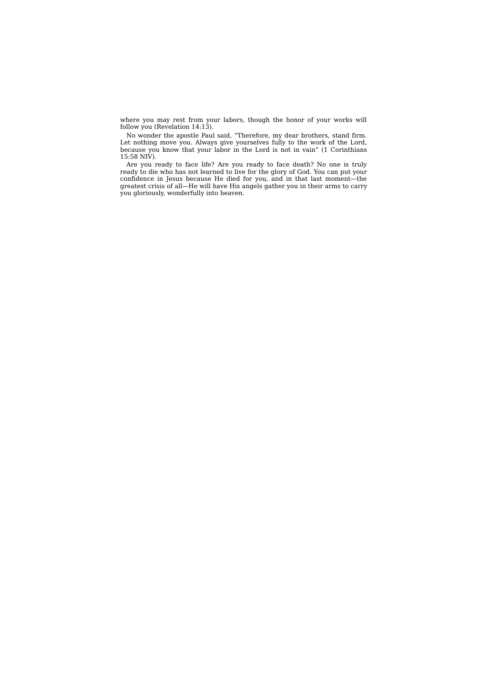where you may rest from your labors, though the honor of your works will follow you (Revelation 14:13).

No wonder the apostle Paul said, "Therefore, my dear brothers, stand firm. Let nothing move you. Always give yourselves fully to the work of the Lord, because you know that your labor in the Lord is not in vain" (1 Corinthians 15:58 NIV).

Are you ready to face life? Are you ready to face death? No one is truly ready to die who has not learned to live for the glory of God. You can put your confidence in Jesus because He died for you, and in that last moment—the greatest crisis of all—He will have His angels gather you in their arms to carry you gloriously, wonderfully into heaven.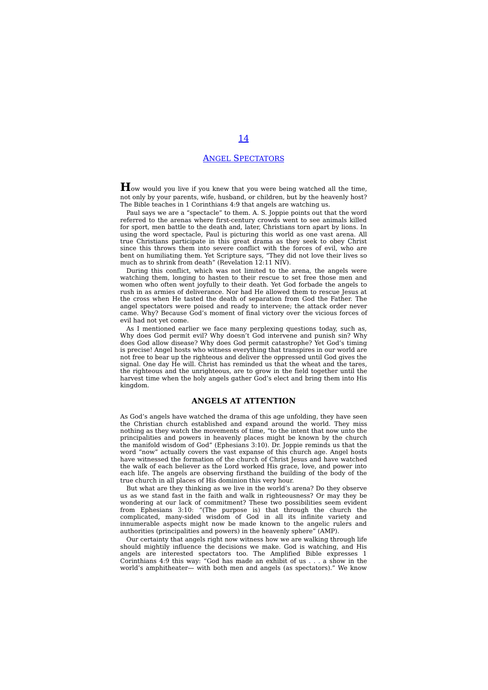## ANGEL SPECTATORS

 $\mathbf H_\text{ow}$  would you live if you knew that you were being watched all the time, not only by your parents, wife, husband, or children, but by the heavenly host? The Bible teaches in 1 Corinthians 4:9 that angels are watching us.

Paul says we are a "spectacle" to them. A. S. Joppie points out that the word referred to the arenas where first-century crowds went to see animals killed for sport, men battle to the death and, later, Christians torn apart by lions. In using the word spectacle, Paul is picturing this world as one vast arena. All true Christians participate in this great drama as they seek to obey Christ since this throws them into severe conflict with the forces of evil, who are bent on humiliating them. Yet Scripture says, "They did not love their lives so much as to shrink from death" (Revelation 12:11 NIV).

During this conflict, which was not limited to the arena, the angels were watching them, longing to hasten to their rescue to set free those men and women who often went joyfully to their death. Yet God forbade the angels to rush in as armies of deliverance. Nor had He allowed them to rescue Jesus at the cross when He tasted the death of separation from God the Father. The angel spectators were poised and ready to intervene; the attack order never came. Why? Because God's moment of final victory over the vicious forces of evil had not yet come.

As I mentioned earlier we face many perplexing questions today, such as, Why does God permit evil? Why doesn't God intervene and punish sin? Why does God allow disease? Why does God permit catastrophe? Yet God's timing is precise! Angel hosts who witness everything that transpires in our world are not free to bear up the righteous and deliver the oppressed until God gives the signal. One day He will. Christ has reminded us that the wheat and the tares, the righteous and the unrighteous, are to grow in the field together until the harvest time when the holy angels gather God's elect and bring them into His kingdom.

### **ANGELS AT ATTENTION**

As God's angels have watched the drama of this age unfolding, they have seen the Christian church established and expand around the world. They miss nothing as they watch the movements of time, "to the intent that now unto the principalities and powers in heavenly places might be known by the church the manifold wisdom of God" (Ephesians 3:10). Dr. Joppie reminds us that the word "now" actually covers the vast expanse of this church age. Angel hosts have witnessed the formation of the church of Christ Jesus and have watched the walk of each believer as the Lord worked His grace, love, and power into each life. The angels are observing firsthand the building of the body of the true church in all places of His dominion this very hour.

But what are they thinking as we live in the world's arena? Do they observe us as we stand fast in the faith and walk in righteousness? Or may they be wondering at our lack of commitment? These two possibilities seem evident from Ephesians 3:10: "(The purpose is) that through the church the complicated, many-sided wisdom of God in all its infinite variety and innumerable aspects might now be made known to the angelic rulers and authorities (principalities and powers) in the heavenly sphere" (AMP).

Our certainty that angels right now witness how we are walking through life should mightily influence the decisions we make. God is watching, and His angels are interested spectators too. The Amplified Bible expresses 1 Corinthians 4:9 this way: "God has made an exhibit of us . . . a show in the world's amphitheater— with both men and angels (as spectators)." We know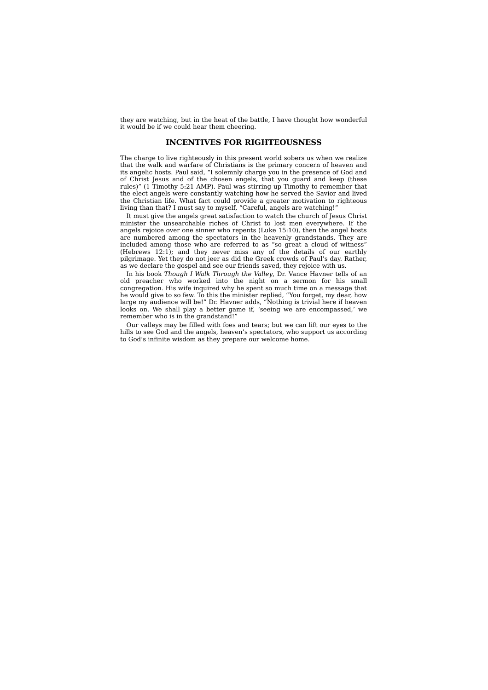they are watching, but in the heat of the battle, I have thought how wonderful it would be if we could hear them cheering.

#### **INCENTIVES FOR RIGHTEOUSNESS**

The charge to live righteously in this present world sobers us when we realize that the walk and warfare of Christians is the primary concern of heaven and its angelic hosts. Paul said, "I solemnly charge you in the presence of God and of Christ Jesus and of the chosen angels, that you guard and keep (these rules)" (1 Timothy 5:21 AMP). Paul was stirring up Timothy to remember that the elect angels were constantly watching how he served the Savior and lived the Christian life. What fact could provide a greater motivation to righteous living than that? I must say to myself, "Careful, angels are watching!"

It must give the angels great satisfaction to watch the church of Jesus Christ minister the unsearchable riches of Christ to lost men everywhere. If the angels rejoice over one sinner who repents (Luke 15:10), then the angel hosts are numbered among the spectators in the heavenly grandstands. They are included among those who are referred to as "so great a cloud of witness" (Hebrews 12:1); and they never miss any of the details of our earthly pilgrimage. Yet they do not jeer as did the Greek crowds of Paul's day. Rather, as we declare the gospel and see our friends saved, they rejoice with us.

In his book *Though I Walk Through the Valley*, Dr. Vance Havner tells of an old preacher who worked into the night on a sermon for his small congregation. His wife inquired why he spent so much time on a message that he would give to so few. To this the minister replied, "You forget, my dear, how large my audience will be!" Dr. Havner adds, "Nothing is trivial here if heaven looks on. We shall play a better game if, 'seeing we are encompassed,' we remember who is in the grandstand!"

Our valleys may be filled with foes and tears; but we can lift our eyes to the hills to see God and the angels, heaven's spectators, who support us according to God's infinite wisdom as they prepare our welcome home.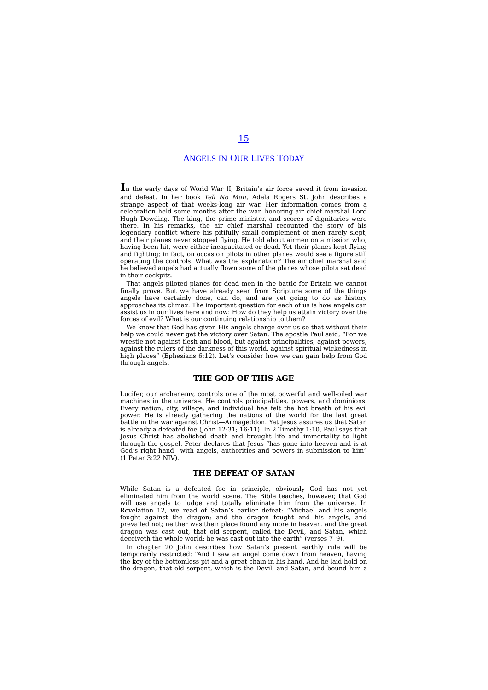## ANGELS IN OUR LIVES TODAY

**I**<sup>n</sup> the early days of World War II, Britain's air force saved it from invasion and defeat. In her book *Tell No Man*, Adela Rogers St. John describes a strange aspect of that weeks-long air war. Her information comes from a celebration held some months after the war, honoring air chief marshal Lord Hugh Dowding. The king, the prime minister, and scores of dignitaries were there. In his remarks, the air chief marshal recounted the story of his legendary conflict where his pitifully small complement of men rarely slept, and their planes never stopped flying. He told about airmen on a mission who, having been hit, were either incapacitated or dead. Yet their planes kept flying and fighting; in fact, on occasion pilots in other planes would see a figure still operating the controls. What was the explanation? The air chief marshal said he believed angels had actually flown some of the planes whose pilots sat dead in their cockpits.

That angels piloted planes for dead men in the battle for Britain we cannot finally prove. But we have already seen from Scripture some of the things angels have certainly done, can do, and are yet going to do as history approaches its climax. The important question for each of us is how angels can assist us in our lives here and now: How do they help us attain victory over the forces of evil? What is our continuing relationship to them?

We know that God has given His angels charge over us so that without their help we could never get the victory over Satan. The apostle Paul said, "For we wrestle not against flesh and blood, but against principalities, against powers, against the rulers of the darkness of this world, against spiritual wickedness in high places" (Ephesians 6:12). Let's consider how we can gain help from God through angels.

#### **THE GOD OF THIS AGE**

Lucifer, our archenemy, controls one of the most powerful and well-oiled war machines in the universe. He controls principalities, powers, and dominions. Every nation, city, village, and individual has felt the hot breath of his evil power. He is already gathering the nations of the world for the last great battle in the war against Christ—Armageddon. Yet Jesus assures us that Satan is already a defeated foe (John 12:31; 16:11). In 2 Timothy 1:10, Paul says that Jesus Christ has abolished death and brought life and immortality to light through the gospel. Peter declares that Jesus "has gone into heaven and is at God's right hand—with angels, authorities and powers in submission to him" (1 Peter 3:22 NIV).

#### **THE DEFEAT OF SATAN**

While Satan is a defeated foe in principle, obviously God has not yet eliminated him from the world scene. The Bible teaches, however, that God will use angels to judge and totally eliminate him from the universe. In Revelation 12, we read of Satan's earlier defeat: "Michael and his angels fought against the dragon; and the dragon fought and his angels, and prevailed not; neither was their place found any more in heaven. and the great dragon was cast out, that old serpent, called the Devil, and Satan, which deceiveth the whole world: he was cast out into the earth" (verses 7–9).

In chapter 20 John describes how Satan's present earthly rule will be temporarily restricted: "And I saw an angel come down from heaven, having the key of the bottomless pit and a great chain in his hand. And he laid hold on the dragon, that old serpent, which is the Devil, and Satan, and bound him a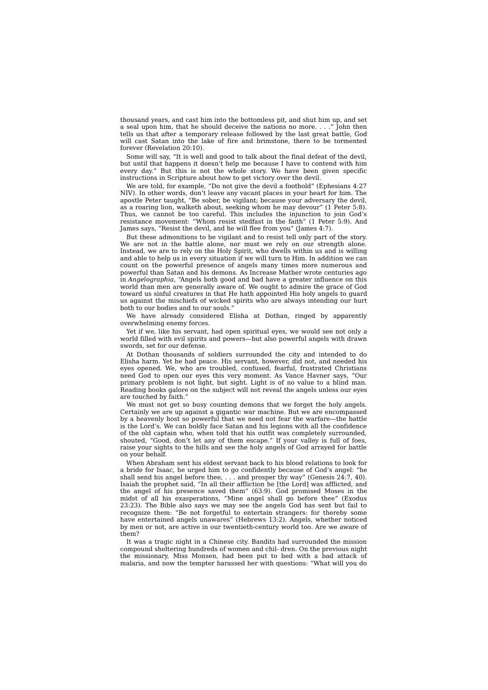thousand years, and cast him into the bottomless pit, and shut him up, and set a seal upon him, that he should deceive the nations no more. . . ." John then tells us that after a temporary release followed by the last great battle, God will cast Satan into the lake of fire and brimstone, there to be tormented forever (Revelation 20:10).

Some will say, "It is well and good to talk about the final defeat of the devil, but until that happens it doesn't help me because I have to contend with him every day." But this is not the whole story. We have been given specific instructions in Scripture about how to get victory over the devil.

We are told, for example, "Do not give the devil a foothold" (Ephesians 4:27 NIV). In other words, don't leave any vacant places in your heart for him. The apostle Peter taught, "Be sober, be vigilant; because your adversary the devil, as a roaring lion, walketh about, seeking whom he may devour" (1 Peter 5:8). Thus, we cannot be too careful. This includes the injunction to join God's resistance movement: "Whom resist stedfast in the faith" (1 Peter 5:9). And James says, "Resist the devil, and he will flee from you" (James 4:7).

But these admonitions to be vigilant and to resist tell only part of the story. We are not in the battle alone, nor must we rely on our strength alone. Instead, we are to rely on the Holy Spirit, who dwells within us and is willing and able to help us in every situation if we will turn to Him. In addition we can count on the powerful presence of angels many times more numerous and powerful than Satan and his demons. As Increase Mather wrote centuries ago in *Angelographia*, "Angels both good and bad have a greater influence on this world than men are generally aware of. We ought to admire the grace of God toward us sinful creatures in that He hath appointed His holy angels to guard us against the mischiefs of wicked spirits who are always intending our hurt both to our bodies and to our souls."

We have already considered Elisha at Dothan, ringed by apparently overwhelming enemy forces.

Yet if we, like his servant, had open spiritual eyes, we would see not only a world filled with evil spirits and powers—but also powerful angels with drawn swords, set for our defense.

At Dothan thousands of soldiers surrounded the city and intended to do Elisha harm. Yet he had peace. His servant, however, did not, and needed his eyes opened. We, who are troubled, confused, fearful, frustrated Christians need God to open our eyes this very moment. As Vance Havner says, "Our primary problem is not light, but sight. Light is of no value to a blind man. Reading books galore on the subject will not reveal the angels unless our eyes are touched by faith."

We must not get so busy counting demons that we forget the holy angels. Certainly we are up against a gigantic war machine. But we are encompassed by a heavenly host so powerful that we need not fear the warfare—the battle is the Lord's. We can boldly face Satan and his legions with all the confidence of the old captain who, when told that his outfit was completely surrounded, shouted, "Good, don't let any of them escape." If your valley is full of foes, raise your sights to the hills and see the holy angels of God arrayed for battle on your behalf.

When Abraham sent his eldest servant back to his blood relations to look for a bride for Isaac, he urged him to go confidently because of God's angel: "he shall send his angel before thee, . . . and prosper thy way" (Genesis 24:7, 40). Isaiah the prophet said, "In all their affliction he [the Lord] was afflicted, and the angel of his presence saved them" (63:9). God promised Moses in the midst of all his exasperations, "Mine angel shall go before thee" (Exodus 23:23). The Bible also says we may see the angels God has sent but fail to recognize them: "Be not forgetful to entertain strangers: for thereby some have entertained angels unawares" (Hebrews 13:2). Angels, whether noticed by men or not, are active in our twentieth-century world too. Are we aware of them?

It was a tragic night in a Chinese city. Bandits had surrounded the mission compound sheltering hundreds of women and chil- dren. On the previous night the missionary, Miss Monsen, had been put to bed with a bad attack of malaria, and now the tempter harassed her with questions: "What will you do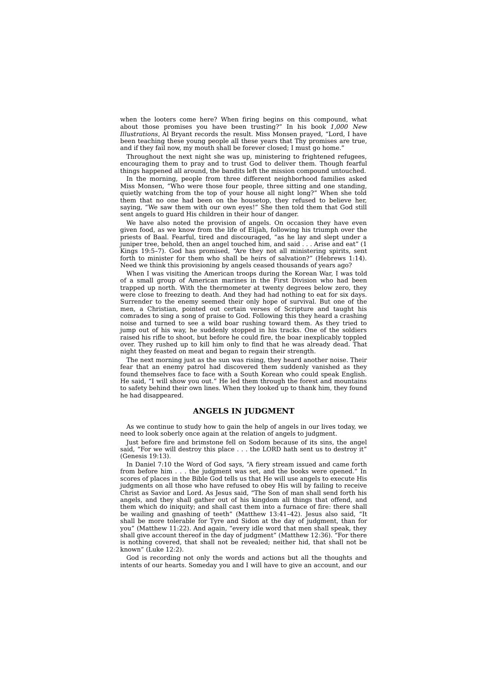when the looters come here? When firing begins on this compound, what about those promises you have been trusting?" In his book *1,000 New Illustrations*, Al Bryant records the result. Miss Monsen prayed, "Lord, I have been teaching these young people all these years that Thy promises are true, and if they fail now, my mouth shall be forever closed; I must go home."

Throughout the next night she was up, ministering to frightened refugees, encouraging them to pray and to trust God to deliver them. Though fearful things happened all around, the bandits left the mission compound untouched.

In the morning, people from three different neighborhood families asked Miss Monsen, "Who were those four people, three sitting and one standing, quietly watching from the top of your house all night long?" When she told them that no one had been on the housetop, they refused to believe her, saying, "We saw them with our own eyes!" She then told them that God still sent angels to guard His children in their hour of danger.

We have also noted the provision of angels. On occasion they have even given food, as we know from the life of Elijah, following his triumph over the priests of Baal. Fearful, tired and discouraged, "as he lay and slept under a juniper tree, behold, then an angel touched him, and said . . . Arise and eat" (1 Kings 19:5–7). God has promised, "Are they not all ministering spirits, sent forth to minister for them who shall be heirs of salvation?" (Hebrews 1:14). Need we think this provisioning by angels ceased thousands of years ago?

When I was visiting the American troops during the Korean War, I was told of a small group of American marines in the First Division who had been trapped up north. With the thermometer at twenty degrees below zero, they were close to freezing to death. And they had had nothing to eat for six days. Surrender to the enemy seemed their only hope of survival. But one of the men, a Christian, pointed out certain verses of Scripture and taught his comrades to sing a song of praise to God. Following this they heard a crashing noise and turned to see a wild boar rushing toward them. As they tried to jump out of his way, he suddenly stopped in his tracks. One of the soldiers raised his rifle to shoot, but before he could fire, the boar inexplicably toppled over. They rushed up to kill him only to find that he was already dead. That night they feasted on meat and began to regain their strength.

The next morning just as the sun was rising, they heard another noise. Their fear that an enemy patrol had discovered them suddenly vanished as they found themselves face to face with a South Korean who could speak English. He said, "I will show you out." He led them through the forest and mountains to safety behind their own lines. When they looked up to thank him, they found he had disappeared.

#### **ANGELS IN JUDGMENT**

As we continue to study how to gain the help of angels in our lives today, we need to look soberly once again at the relation of angels to judgment.

Just before fire and brimstone fell on Sodom because of its sins, the angel said, "For we will destroy this place . . . the LORD hath sent us to destroy it" (Genesis 19:13).

In Daniel 7:10 the Word of God says, "A fiery stream issued and came forth from before him . . . the judgment was set, and the books were opened." In scores of places in the Bible God tells us that He will use angels to execute His judgments on all those who have refused to obey His will by failing to receive Christ as Savior and Lord. As Jesus said, "The Son of man shall send forth his angels, and they shall gather out of his kingdom all things that offend, and them which do iniquity; and shall cast them into a furnace of fire: there shall be wailing and gnashing of teeth" (Matthew 13:41–42). Jesus also said, "It shall be more tolerable for Tyre and Sidon at the day of judgment, than for you" (Matthew 11:22). And again, "every idle word that men shall speak, they shall give account thereof in the day of judgment" (Matthew 12:36). "For there is nothing covered, that shall not be revealed; neither hid, that shall not be known" (Luke 12:2).

God is recording not only the words and actions but all the thoughts and intents of our hearts. Someday you and I will have to give an account, and our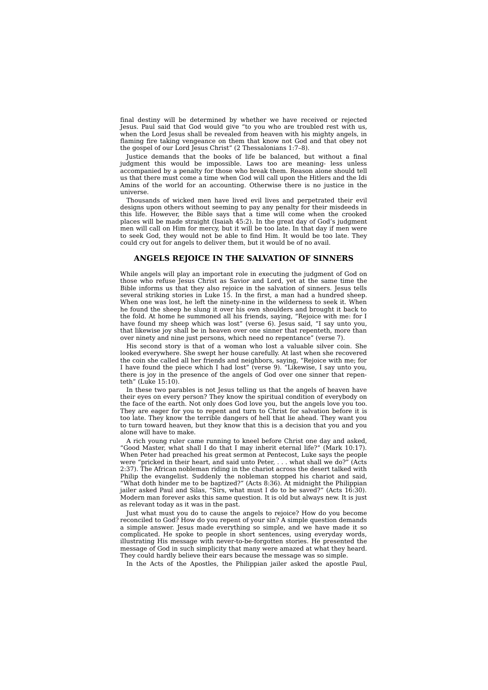final destiny will be determined by whether we have received or rejected Jesus. Paul said that God would give "to you who are troubled rest with us, when the Lord Jesus shall be revealed from heaven with his mighty angels, in flaming fire taking vengeance on them that know not God and that obey not the gospel of our Lord Jesus Christ" (2 Thessalonians 1:7-8).

Justice demands that the books of life be balanced, but without a final judgment this would be impossible. Laws too are meaning- less unless accompanied by a penalty for those who break them. Reason alone should tell us that there must come a time when God will call upon the Hitlers and the Idi Amins of the world for an accounting. Otherwise there is no justice in the universe.

Thousands of wicked men have lived evil lives and perpetrated their evil designs upon others without seeming to pay any penalty for their misdeeds in this life. However, the Bible says that a time will come when the crooked places will be made straight (Isaiah 45:2). In the great day of God's judgment men will call on Him for mercy, but it will be too late. In that day if men were to seek God, they would not be able to find Him. It would be too late. They could cry out for angels to deliver them, but it would be of no avail.

## **ANGELS REJOICE IN THE SALVATION OF SINNERS**

While angels will play an important role in executing the judgment of God on those who refuse Jesus Christ as Savior and Lord, yet at the same time the Bible informs us that they also rejoice in the salvation of sinners. Jesus tells several striking stories in Luke 15. In the first, a man had a hundred sheep. When one was lost, he left the ninety-nine in the wilderness to seek it. When he found the sheep he slung it over his own shoulders and brought it back to the fold. At home he summoned all his friends, saying, "Rejoice with me: for I have found my sheep which was lost" (verse 6). Jesus said, "I say unto you, that likewise joy shall be in heaven over one sinner that repenteth, more than over ninety and nine just persons, which need no repentance" (verse 7).

His second story is that of a woman who lost a valuable silver coin. She looked everywhere. She swept her house carefully. At last when she recovered the coin she called all her friends and neighbors, saying, "Rejoice with me; for I have found the piece which I had lost" (verse 9). "Likewise, I say unto you, there is joy in the presence of the angels of God over one sinner that repenteth" (Luke 15:10).

In these two parables is not Jesus telling us that the angels of heaven have their eves on every person? They know the spiritual condition of everybody on the face of the earth. Not only does God love you, but the angels love you too. They are eager for you to repent and turn to Christ for salvation before it is too late. They know the terrible dangers of hell that lie ahead. They want you to turn toward heaven, but they know that this is a decision that you and you alone will have to make.

A rich young ruler came running to kneel before Christ one day and asked, "Good Master, what shall I do that I may inherit eternal life?" (Mark 10:17). When Peter had preached his great sermon at Pentecost, Luke says the people were "pricked in their heart, and said unto Peter, . . . what shall we do?" (Acts 2:37). The African nobleman riding in the chariot across the desert talked with Philip the evangelist. Suddenly the nobleman stopped his chariot and said, "What doth hinder me to be baptized?" (Acts 8:36). At midnight the Philippian jailer asked Paul and Silas, "Sirs, what must I do to be saved?" (Acts 16:30). Modern man forever asks this same question. It is old but always new. It is just as relevant today as it was in the past.

Just what must you do to cause the angels to rejoice? How do you become reconciled to God? How do you repent of your sin? A simple question demands a simple answer. Jesus made everything so simple, and we have made it so complicated. He spoke to people in short sentences, using everyday words, illustrating His message with never-to-be-forgotten stories. He presented the message of God in such simplicity that many were amazed at what they heard. They could hardly believe their ears because the message was so simple.

In the Acts of the Apostles, the Philippian jailer asked the apostle Paul,